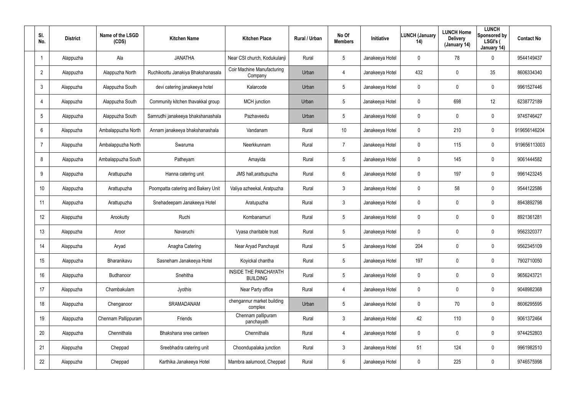| SI.<br>No.     | <b>District</b> | Name of the LSGD<br>(CDS) | <b>Kitchen Name</b>                | <b>Kitchen Place</b>                     | Rural / Urban | No Of<br><b>Members</b> | Initiative      | <b>LUNCH (January</b><br>14) | <b>LUNCH Home</b><br><b>Delivery</b><br>(January 14) | <b>LUNCH</b><br>Sponsored by<br>LSGI's (<br>January 14) | <b>Contact No</b> |
|----------------|-----------------|---------------------------|------------------------------------|------------------------------------------|---------------|-------------------------|-----------------|------------------------------|------------------------------------------------------|---------------------------------------------------------|-------------------|
| $\mathbf 1$    | Alappuzha       | Ala                       | <b>JANATHA</b>                     | Near CSI church, Kodukulanji             | Rural         | 5                       | Janakeeya Hotel | 0                            | 78                                                   | 0                                                       | 9544149437        |
| $\overline{2}$ | Alappuzha       | Alappuzha North           | Ruchikoottu Janakiya Bhakshanasala | Coir Machine Manufacturing<br>Company    | Urban         | 4                       | Janakeeya Hotel | 432                          | $\mathbf 0$                                          | 35                                                      | 8606334340        |
| $\mathfrak{Z}$ | Alappuzha       | Alappuzha South           | devi catering janakeeya hotel      | Kalarcode                                | Urban         | 5                       | Janakeeya Hotel | 0                            | $\mathbf 0$                                          | 0                                                       | 9961527446        |
| $\overline{4}$ | Alappuzha       | Alappuzha South           | Community kitchen thavakkal group  | <b>MCH</b> junction                      | Urban         | 5                       | Janakeeya Hotel | 0                            | 698                                                  | 12                                                      | 6238772189        |
| 5              | Alappuzha       | Alappuzha South           | Samrudhi janakeeya bhakshanashala  | Pazhaveedu                               | Urban         | 5                       | Janakeeya Hotel | 0                            | $\mathbf 0$                                          | 0                                                       | 9745746427        |
| 6              | Alappuzha       | Ambalappuzha North        | Annam janakeeya bhakshanashala     | Vandanam                                 | Rural         | 10                      | Janakeeya Hotel | 0                            | 210                                                  | $\mathbf 0$                                             | 919656146204      |
| $\overline{7}$ | Alappuzha       | Ambalappuzha North        | Swaruma                            | Neerkkunnam                              | Rural         | $\overline{7}$          | Janakeeya Hotel | 0                            | 115                                                  | 0                                                       | 919656113003      |
| 8              | Alappuzha       | Ambalappuzha South        | Patheyam                           | Amayida                                  | Rural         | 5                       | Janakeeya Hotel | 0                            | 145                                                  | 0                                                       | 9061444582        |
| 9              | Alappuzha       | Arattupuzha               | Hanna catering unit                | JMS hall, arattupuzha                    | Rural         | 6                       | Janakeeya Hotel | 0                            | 197                                                  | 0                                                       | 9961423245        |
| 10             | Alappuzha       | Arattupuzha               | Poompatta catering and Bakery Unit | Valiya azheekal, Aratpuzha               | Rural         | $\mathbf{3}$            | Janakeeya Hotel | 0                            | 58                                                   | $\mathbf 0$                                             | 9544122586        |
| 11             | Alappuzha       | Arattupuzha               | Snehadeepam Janakeeya Hotel        | Aratupuzha                               | Rural         | $\mathbf{3}$            | Janakeeya Hotel | 0                            | $\pmb{0}$                                            | $\mathbf 0$                                             | 8943892798        |
| 12             | Alappuzha       | Arookutty                 | Ruchi                              | Kombanamuri                              | Rural         | 5                       | Janakeeya Hotel | 0                            | 0                                                    | 0                                                       | 8921361281        |
| 13             | Alappuzha       | Aroor                     | Navaruchi                          | Vyasa charitable trust                   | Rural         | 5                       | Janakeeya Hotel | 0                            | $\boldsymbol{0}$                                     | 0                                                       | 9562320377        |
| 14             | Alappuzha       | Aryad                     | Anagha Catering                    | Near Aryad Panchayat                     | Rural         | 5                       | Janakeeya Hotel | 204                          | $\mathbf 0$                                          | 0                                                       | 9562345109        |
| 15             | Alappuzha       | Bharanikavu               | Sasneham Janakeeya Hotel           | Koyickal chantha                         | Rural         | $5\phantom{.0}$         | Janakeeya Hotel | 197                          | $\pmb{0}$                                            | 0                                                       | 7902710050        |
| 16             | Alappuzha       | Budhanoor                 | Snehitha                           | INSIDE THE PANCHAYATH<br><b>BUILDING</b> | Rural         | 5                       | Janakeeya Hotel | 0                            | $\mathbf 0$                                          | $\pmb{0}$                                               | 9656243721        |
| 17             | Alappuzha       | Chambakulam               | Jyothis                            | Near Party office                        | Rural         | 4                       | Janakeeya Hotel | 0                            | $\pmb{0}$                                            | 0                                                       | 9048982368        |
| 18             | Alappuzha       | Chenganoor                | SRAMADANAM                         | chengannur market building<br>complex    | Urban         | 5                       | Janakeeya Hotel | 0                            | 70                                                   | 0                                                       | 8606295595        |
| 19             | Alappuzha       | Chennam Pallippuram       | Friends                            | Chennam pallipuram<br>panchayath         | Rural         | $\mathbf{3}$            | Janakeeya Hotel | 42                           | 110                                                  | 0                                                       | 9061372464        |
| 20             | Alappuzha       | Chennithala               | Bhakshana sree canteen             | Chennithala                              | Rural         | $\overline{4}$          | Janakeeya Hotel | 0                            | $\mathbf 0$                                          | 0                                                       | 9744252803        |
| 21             | Alappuzha       | Cheppad                   | Sreebhadra catering unit           | Choondupalaka junction                   | Rural         | $\mathbf{3}$            | Janakeeya Hotel | 51                           | 124                                                  | 0                                                       | 9961982510        |
| 22             | Alappuzha       | Cheppad                   | Karthika Janakeeya Hotel           | Mambra aalumood, Cheppad                 | Rural         | $6\phantom{.}6$         | Janakeeya Hotel | 0                            | 225                                                  | 0                                                       | 9746575998        |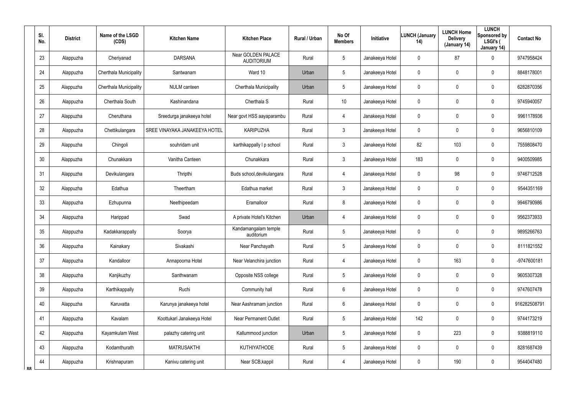|    | SI.<br>No. | <b>District</b> | Name of the LSGD<br>(CDS) | <b>Kitchen Name</b>           | <b>Kitchen Place</b>                    | <b>Rural / Urban</b> | No Of<br><b>Members</b> | <b>Initiative</b> | LUNCH (January<br>14) | <b>LUNCH Home</b><br><b>Delivery</b><br>(January 14) | <b>LUNCH</b><br>Sponsored by<br>LSGI's (<br>January 14) | <b>Contact No</b> |
|----|------------|-----------------|---------------------------|-------------------------------|-----------------------------------------|----------------------|-------------------------|-------------------|-----------------------|------------------------------------------------------|---------------------------------------------------------|-------------------|
|    | 23         | Alappuzha       | Cheriyanad                | <b>DARSANA</b>                | Near GOLDEN PALACE<br><b>AUDITORIUM</b> | Rural                | 5                       | Janakeeya Hotel   | 0                     | 87                                                   | 0                                                       | 9747958424        |
|    | 24         | Alappuzha       | Cherthala Municipality    | Santwanam                     | Ward 10                                 | Urban                | 5                       | Janakeeya Hotel   | 0                     | 0                                                    | 0                                                       | 8848178001        |
|    | 25         | Alappuzha       | Cherthala Municipality    | <b>NULM</b> canteen           | Cherthala Municipality                  | Urban                | $5\phantom{.0}$         | Janakeeya Hotel   | 0                     | 0                                                    | 0                                                       | 6282870356        |
|    | 26         | Alappuzha       | Cherthala South           | Kashinandana                  | Cherthala S                             | Rural                | 10 <sup>°</sup>         | Janakeeya Hotel   | 0                     | 0                                                    | 0                                                       | 9745940057        |
|    | 27         | Alappuzha       | Cheruthana                | Sreedurga janakeeya hotel     | Near govt HSS aayaparambu               | Rural                | 4                       | Janakeeya Hotel   | 0                     | 0                                                    | 0                                                       | 9961178936        |
|    | 28         | Alappuzha       | Chettikulangara           | SREE VINAYAKA JANAKEEYA HOTEL | <b>KARIPUZHA</b>                        | Rural                | 3                       | Janakeeya Hotel   | 0                     | 0                                                    | 0                                                       | 9656810109        |
|    | 29         | Alappuzha       | Chingoli                  | souhridam unit                | karthikappally I p school               | Rural                | $\mathbf{3}$            | Janakeeya Hotel   | 82                    | 103                                                  | 0                                                       | 7559808470        |
|    | 30         | Alappuzha       | Chunakkara                | Vanitha Canteen               | Chunakkara                              | Rural                | $\mathbf{3}$            | Janakeeya Hotel   | 183                   | 0                                                    | 0                                                       | 9400509985        |
|    | 31         | Alappuzha       | Devikulangara             | Thripthi                      | Buds school, devikulangara              | Rural                | 4                       | Janakeeya Hotel   | 0                     | 98                                                   | 0                                                       | 9746712528        |
|    | 32         | Alappuzha       | Edathua                   | Theertham                     | Edathua market                          | Rural                | $\mathbf{3}$            | Janakeeya Hotel   | 0                     | 0                                                    | 0                                                       | 9544351169        |
|    | 33         | Alappuzha       | Ezhupunna                 | Neethipeedam                  | Eramalloor                              | Rural                | 8                       | Janakeeya Hotel   | 0                     | 0                                                    | 0                                                       | 9946790986        |
|    | 34         | Alappuzha       | Harippad                  | Swad                          | A private Hotel's Kitchen               | Urban                | 4                       | Janakeeya Hotel   | 0                     | 0                                                    | 0                                                       | 9562373933        |
|    | 35         | Alappuzha       | Kadakkarappally           | Soorya                        | Kandamangalam temple<br>auditorium      | Rural                | 5                       | Janakeeya Hotel   | 0                     | 0                                                    | 0                                                       | 9895266763        |
|    | 36         | Alappuzha       | Kainakary                 | Sivakashi                     | Near Panchayath                         | Rural                | 5                       | Janakeeya Hotel   | 0                     | 0                                                    | 0                                                       | 8111821552        |
|    | 37         | Alappuzha       | Kandalloor                | Annapoorna Hotel              | Near Velanchira junction                | Rural                | 4                       | Janakeeya Hotel   | 0                     | 163                                                  | 0                                                       | -9747600181       |
|    | 38         | Alappuzha       | Kanjikuzhy                | Santhwanam                    | Opposite NSS college                    | Rural                | $5\phantom{.0}$         | Janakeeya Hotel   | 0                     | $\mathbf 0$                                          | 0                                                       | 9605307328        |
|    | 39         | Alappuzha       | Karthikappally            | Ruchi                         | Community hall                          | Rural                | 6                       | Janakeeya Hotel   | 0                     | $\mathbf 0$                                          | 0                                                       | 9747607478        |
|    | 40         | Alappuzha       | Karuvatta                 | Karunya janakeeya hotel       | Near Aashramam junction                 | Rural                | $6\,$                   | Janakeeya Hotel   | 0                     | $\mathbf 0$                                          | 0                                                       | 916282508791      |
|    | 41         | Alappuzha       | Kavalam                   | Koottukari Janakeeya Hotel    | <b>Near Permanent Outlet</b>            | Rural                | $5\phantom{.0}$         | Janakeeya Hotel   | 142                   | $\mathbf 0$                                          | 0                                                       | 9744173219        |
|    | 42         | Alappuzha       | Kayamkulam West           | palazhy catering unit         | Kallummood junction                     | Urban                | $5\phantom{.0}$         | Janakeeya Hotel   | 0                     | 223                                                  | 0                                                       | 9388819110        |
|    | 43         | Alappuzha       | Kodamthurath              | <b>MATRUSAKTHI</b>            | <b>KUTHIYATHODE</b>                     | Rural                | $5\phantom{.0}$         | Janakeeya Hotel   | 0                     | $\mathbf 0$                                          | 0                                                       | 8281687439        |
| ጸጸ | 44         | Alappuzha       | Krishnapuram              | Kanivu catering unit          | Near SCB, kappil                        | Rural                | 4                       | Janakeeya Hotel   | 0                     | 190                                                  | 0                                                       | 9544047480        |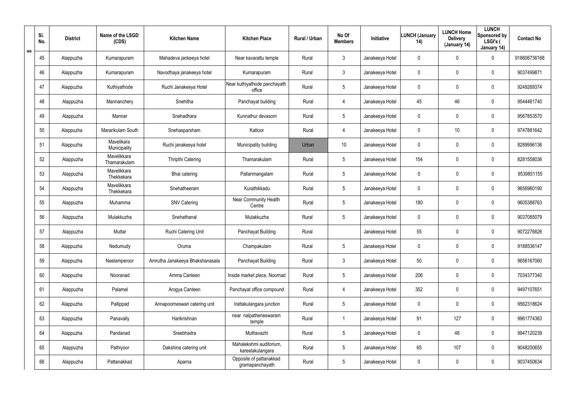|   | SI.<br>No. | <b>District</b> | Name of the LSGD<br>(CDS)   | <b>Kitchen Name</b>             | <b>Kitchen Place</b>                        | Rural / Urban | No Of<br><b>Members</b> | Initiative      | LUNCH (January<br>14) | <b>LUNCH Home</b><br><b>Delivery</b><br>(January 14) | <b>LUNCH</b><br>Sponsored by<br>LSGI's (<br>January 14) | <b>Contact No</b> |
|---|------------|-----------------|-----------------------------|---------------------------------|---------------------------------------------|---------------|-------------------------|-----------------|-----------------------|------------------------------------------------------|---------------------------------------------------------|-------------------|
| ೲ | 45         | Alappuzha       | Kumarapuram                 | Mahadeva jankeeya hotel         | Near kavarattu temple                       | Rural         | $\mathfrak{Z}$          | Janakeeya Hotel | 0                     | 0                                                    | 0                                                       | 918606736168      |
|   | 46         | Alappuzha       | Kumarapuram                 | Navodhaya janakeeya hotel       | Kumarapuram                                 | Rural         | 3                       | Janakeeya Hotel | 0                     | 0                                                    | 0                                                       | 9037499871        |
|   | 47         | Alappuzha       | Kuthiyathode                | Ruchi Janakeeya Hotel           | Near kuthiyathode panchayath<br>office      | Rural         | 5                       | Janakeeya Hotel | 0                     | 0                                                    | 0                                                       | 9249269374        |
|   | 48         | Alappuzha       | Mannanchery                 | Snehitha                        | Panchayat building                          | Rural         | 4                       | Janakeeya Hotel | 45                    | 46                                                   | 0                                                       | 9544461740        |
|   | 49         | Alappuzha       | Mannar                      | Snehadhara                      | Kunnathur devasom                           | Rural         | 5                       | Janakeeya Hotel | 0                     | 0                                                    | 0                                                       | 9567853570        |
|   | 50         | Alappuzha       | Mararikulam South           | Snehasparsham                   | Kattoor                                     | Rural         | 4                       | Janakeeya Hotel | 0                     | 10                                                   | 0                                                       | 9747881642        |
|   | 51         | Alappuzha       | Mavelikara<br>Municipality  | Ruchi janakeeya hotel           | Municipality building                       | Urban         | 10                      | Janakeeya Hotel | 0                     | 0                                                    | 0                                                       | 8289996136        |
|   | 52         | Alappuzha       | Mavelikkara<br>Thamarakulam | Thripthi Catering               | Thamarakulam                                | Rural         | 5                       | Janakeeya Hotel | 154                   | 0                                                    | 0                                                       | 8281558036        |
|   | 53         | Alappuzha       | Mavelikkara<br>Thekkekara   | Bhai catering                   | Pallarimangalam                             | Rural         | $5\phantom{.0}$         | Janakeeya Hotel | 0                     | 0                                                    | 0                                                       | 9539851155        |
|   | 54         | Alappuzha       | Mavelikkara<br>Thekkekara   | Snehatheeram                    | Kurathikkadu                                | Rural         | 5                       | Janakeeya Hotel | 0                     | 0                                                    | 0                                                       | 9656960190        |
|   | 55         | Alappuzha       | Muhamma                     | <b>SNV Catering</b>             | Near Community Health<br>Centre             | Rural         | 5                       | Janakeeya Hotel | 180                   | 0                                                    | 0                                                       | 9605388763        |
|   | 56         | Alappuzha       | Mulakkuzha                  | Snehathanal                     | Mulakkuzha                                  | Rural         | 5                       | Janakeeya Hotel | 0                     | 0                                                    | 0                                                       | 9037085079        |
|   | 57         | Alappuzha       | Muttar                      | Ruchi Catering Unit             | Panchayat Building                          | Rural         |                         | Janakeeya Hotel | 55                    | 0                                                    | 0                                                       | 9072276826        |
|   | 58         | Alappuzha       | Nedumudy                    | Oruma                           | Champakulam                                 | Rural         | 5                       | Janakeeya Hotel | 0                     | 0                                                    | 0                                                       | 9188536147        |
|   | 59         | Alappuzha       | Neelamperoor                | Amrutha Janakeeya Bhakshanasala | Panchayat Building                          | Rural         | $\mathbf{3}$            | Janakeeya Hotel | 50                    | $\mathbf 0$                                          | 0                                                       | 9656167060        |
|   | 60         | Alappuzha       | Nooranad                    | Amma Canteen                    | Inside market place, Noornad                | Rural         | $5\phantom{.0}$         | Janakeeya Hotel | 206                   | $\mathbf 0$                                          | 0                                                       | 7034377340        |
|   | 61         | Alappuzha       | Palamel                     | Arogya Canteen                  | Panchayat office compound                   | Rural         | 4                       | Janakeeya Hotel | 352                   | $\mathbf 0$                                          | 0                                                       | 9497107651        |
|   | 62         | Alappuzha       | Pallippad                   | Annapoorneswari catering unit   | Irattakulangara junction                    | Rural         | $5\phantom{.0}$         | Janakeeya Hotel | 0                     | $\mathbf 0$                                          | 0                                                       | 9562318624        |
|   | 63         | Alappuzha       | Panavally                   | Harikrishnan                    | near nalpatheneswaram<br>temple             | Rural         | -1                      | Janakeeya Hotel | 91                    | 127                                                  | 0                                                       | 9961774363        |
|   | 64         | Alappuzha       | Pandanad                    | Sreebhadra                      | Muthavazhi                                  | Rural         | $5\phantom{.0}$         | Janakeeya Hotel | 0                     | 48                                                   | 0                                                       | 9947120239        |
|   | 65         | Alappuzha       | Pathiyoor                   | Dakshina catering unit          | Mahalekshmi auditorium,<br>kareelakulangara | Rural         | $5\phantom{.0}$         | Janakeeya Hotel | 65                    | 107                                                  | 0                                                       | 9048200655        |
|   | 66         | Alappuzha       | Pattanakkad                 | Aparna                          | Opposite of pattanakkad<br>gramapanchayath  | Rural         | $5\phantom{.0}$         | Janakeeya Hotel | 0                     | $\mathbf 0$                                          | 0                                                       | 9037450634        |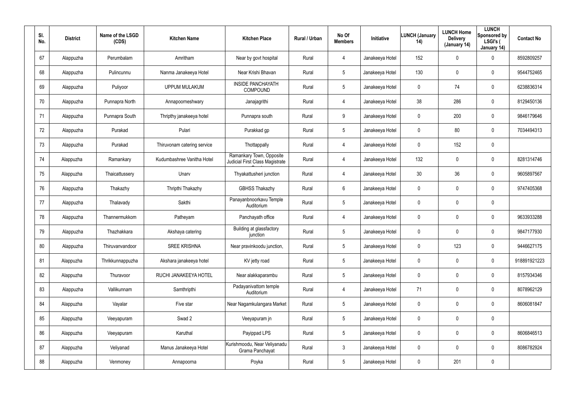| SI.<br>No. | <b>District</b> | Name of the LSGD<br>(CDS) | <b>Kitchen Name</b>         | <b>Kitchen Place</b>                                        | Rural / Urban | No Of<br><b>Members</b> | Initiative      | <b>LUNCH (January</b><br>14) | <b>LUNCH Home</b><br><b>Delivery</b><br>(January 14) | <b>LUNCH</b><br>Sponsored by<br>LSGI's (<br>January 14) | <b>Contact No</b> |
|------------|-----------------|---------------------------|-----------------------------|-------------------------------------------------------------|---------------|-------------------------|-----------------|------------------------------|------------------------------------------------------|---------------------------------------------------------|-------------------|
| 67         | Alappuzha       | Perumbalam                | Amritham                    | Near by govt hospital                                       | Rural         | $\overline{4}$          | Janakeeya Hotel | 152                          | 0                                                    | $\mathbf 0$                                             | 8592809257        |
| 68         | Alappuzha       | Pulincunnu                | Nanma Janakeeya Hotel       | Near Krishi Bhavan                                          | Rural         | $5\phantom{.0}$         | Janakeeya Hotel | 130                          | 0                                                    | $\mathbf 0$                                             | 9544752465        |
| 69         | Alappuzha       | Puliyoor                  | <b>UPPUM MULAKUM</b>        | <b>INSIDE PANCHAYATH</b><br><b>COMPOUND</b>                 | Rural         | $5\phantom{.0}$         | Janakeeya Hotel | 0                            | 74                                                   | $\mathbf 0$                                             | 6238836314        |
| 70         | Alappuzha       | Punnapra North            | Annapoorneshwary            | Janajagrithi                                                | Rural         | $\overline{4}$          | Janakeeya Hotel | 38                           | 286                                                  | $\mathbf 0$                                             | 8129450136        |
| 71         | Alappuzha       | Punnapra South            | Thripthy janakeeya hotel    | Punnapra south                                              | Rural         | 9                       | Janakeeya Hotel | 0                            | 200                                                  | $\mathbf 0$                                             | 9846179646        |
| 72         | Alappuzha       | Purakad                   | Pulari                      | Purakkad gp                                                 | Rural         | $5\phantom{.0}$         | Janakeeya Hotel | 0                            | 80                                                   | $\mathbf 0$                                             | 7034494313        |
| 73         | Alappuzha       | Purakad                   | Thiruvonam catering service | Thottappally                                                | Rural         | $\overline{4}$          | Janakeeya Hotel | 0                            | 152                                                  | $\pmb{0}$                                               |                   |
| 74         | Alappuzha       | Ramankary                 | Kudumbashree Vanitha Hotel  | Ramankary Town, Opposite<br>Judicial First Class Magistrate | Rural         | $\overline{4}$          | Janakeeya Hotel | 132                          | 0                                                    | $\mathbf 0$                                             | 8281314746        |
| 75         | Alappuzha       | Thaicattussery            | Unarv                       | Thyakattusheri junction                                     | Rural         | $\overline{4}$          | Janakeeya Hotel | 30                           | 36                                                   | $\mathbf 0$                                             | 9605897567        |
| 76         | Alappuzha       | Thakazhy                  | Thripthi Thakazhy           | <b>GBHSS Thakazhy</b>                                       | Rural         | 6                       | Janakeeya Hotel | 0                            | 0                                                    | $\mathbf 0$                                             | 9747405368        |
| 77         | Alappuzha       | Thalavady                 | Sakthi                      | Panayanbnoorkavu Temple<br>Auditorium                       | Rural         | $5\phantom{.0}$         | Janakeeya Hotel | 0                            | 0                                                    | $\mathbf 0$                                             |                   |
| 78         | Alappuzha       | Thannermukkom             | Patheyam                    | Panchayath office                                           | Rural         | $\overline{4}$          | Janakeeya Hotel | 0                            | 0                                                    | $\mathbf 0$                                             | 9633933288        |
| 79         | Alappuzha       | Thazhakkara               | Akshaya catering            | Building at glassfactory<br>junction                        | Rural         | $5\phantom{.0}$         | Janakeeya Hotel | 0                            | 0                                                    | $\mathbf 0$                                             | 9847177930        |
| 80         | Alappuzha       | Thiruvanvandoor           | <b>SREE KRISHNA</b>         | Near pravinkoodu junction,                                  | Rural         | $5\phantom{.0}$         | Janakeeya Hotel | 0                            | 123                                                  | $\pmb{0}$                                               | 9446627175        |
| 81         | Alappuzha       | Thrikkunnappuzha          | Akshara janakeeya hotel     | KV jetty road                                               | Rural         | $5\phantom{.0}$         | Janakeeya Hotel | 0                            | $\mathbf 0$                                          | $\mathbf 0$                                             | 918891921223      |
| 82         | Alappuzha       | Thuravoor                 | RUCHI JANAKEEYA HOTEL       | Near alakkaparambu                                          | Rural         | $5\phantom{.0}$         | Janakeeya Hotel | 0                            | $\mathbf 0$                                          | $\mathbf 0$                                             | 8157934346        |
| 83         | Alappuzha       | Vallikunnam               | Samthripthi                 | Padayanivattom temple<br>Auditorium                         | Rural         | $\overline{4}$          | Janakeeya Hotel | 71                           | $\mathbf 0$                                          | $\mathbf 0$                                             | 8078962129        |
| 84         | Alappuzha       | Vayalar                   | Five star                   | Near Nagamkulangara Market                                  | Rural         | $5\phantom{.0}$         | Janakeeya Hotel | 0                            | $\mathbf 0$                                          | $\mathbf 0$                                             | 8606081847        |
| 85         | Alappuzha       | Veeyapuram                | Swad 2                      | Veeyapuram jn                                               | Rural         | $5\phantom{.0}$         | Janakeeya Hotel | 0                            | $\mathbf 0$                                          | $\pmb{0}$                                               |                   |
| 86         | Alappuzha       | Veeyapuram                | Karuthal                    | Payippad LPS                                                | Rural         | $5\phantom{.0}$         | Janakeeya Hotel | 0                            | $\mathbf 0$                                          | $\mathbf 0$                                             | 8606846513        |
| 87         | Alappuzha       | Veliyanad                 | Manus Janakeeya Hotel       | Kurishmoodu, Near Veliyanadu<br>Grama Panchayat             | Rural         | $\mathbf{3}$            | Janakeeya Hotel | 0                            | 0                                                    | $\mathbf 0$                                             | 8086782924        |
| 88         | Alappuzha       | Venmoney                  | Annapoorna                  | Poyka                                                       | Rural         | $5\phantom{.0}$         | Janakeeya Hotel | 0                            | 201                                                  | $\pmb{0}$                                               |                   |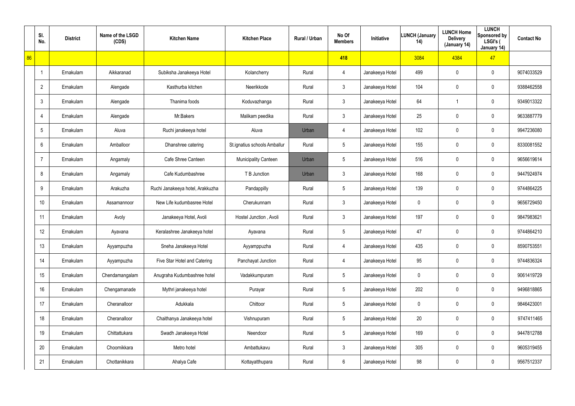|    | SI.<br>No.      | <b>District</b> | Name of the LSGD<br>(CDS) | <b>Kitchen Name</b>              | <b>Kitchen Place</b>         | Rural / Urban | No Of<br><b>Members</b> | Initiative      | <b>LUNCH (January</b><br>14) | <b>LUNCH Home</b><br><b>Delivery</b><br>(January 14) | <b>LUNCH</b><br>Sponsored by<br>LSGI's (<br>January 14) | <b>Contact No</b> |
|----|-----------------|-----------------|---------------------------|----------------------------------|------------------------------|---------------|-------------------------|-----------------|------------------------------|------------------------------------------------------|---------------------------------------------------------|-------------------|
| 86 |                 |                 |                           |                                  |                              |               | 418                     |                 | 3084                         | 4384                                                 | 47                                                      |                   |
|    | J,              | Ernakulam       | Aikkaranad                | Subiksha Janakeeya Hotel         | Kolancherry                  | Rural         | 4                       | Janakeeya Hotel | 499                          | 0                                                    | $\mathbf 0$                                             | 9074033529        |
|    | $\overline{2}$  | Ernakulam       | Alengade                  | Kasthurba kitchen                | Neerikkode                   | Rural         | $\mathbf{3}$            | Janakeeya Hotel | 104                          | 0                                                    | $\pmb{0}$                                               | 9388462558        |
|    | $\mathbf{3}$    | Ernakulam       | Alengade                  | Thanima foods                    | Koduvazhanga                 | Rural         | $\mathbf{3}$            | Janakeeya Hotel | 64                           |                                                      | $\mathbf 0$                                             | 9349013322        |
|    | $\overline{4}$  | Ernakulam       | Alengade                  | Mr.Bakers                        | Malikam peedika              | Rural         | $\mathbf{3}$            | Janakeeya Hotel | 25                           | 0                                                    | $\pmb{0}$                                               | 9633887779        |
|    | 5               | Ernakulam       | Aluva                     | Ruchi janakeeya hotel            | Aluva                        | Urban         | 4                       | Janakeeya Hotel | 102                          | 0                                                    | $\pmb{0}$                                               | 9947236080        |
|    | 6               | Ernakulam       | Amballoor                 | Dhanshree catering               | St.ignatius schools Amballur | Rural         | $5\phantom{.0}$         | Janakeeya Hotel | 155                          | 0                                                    | $\pmb{0}$                                               | 8330081552        |
|    | $\overline{7}$  | Ernakulam       | Angamaly                  | Cafe Shree Canteen               | Municipality Canteen         | Urban         | $5\overline{)}$         | Janakeeya Hotel | 516                          | 0                                                    | $\pmb{0}$                                               | 9656619614        |
|    | 8               | Ernakulam       | Angamaly                  | Cafe Kudumbashree                | T B Junction                 | Urban         | $\mathbf{3}$            | Janakeeya Hotel | 168                          | 0                                                    | $\pmb{0}$                                               | 9447924974        |
|    | 9               | Ernakulam       | Arakuzha                  | Ruchi Janakeeya hotel, Arakkuzha | Pandappilly                  | Rural         | $5\overline{)}$         | Janakeeya Hotel | 139                          | 0                                                    | $\pmb{0}$                                               | 9744864225        |
|    | 10 <sup>°</sup> | Ernakulam       | Assamannoor               | New Life kudumbasree Hotel       | Cherukunnam                  | Rural         | $\mathbf{3}$            | Janakeeya Hotel | $\mathbf 0$                  | 0                                                    | $\pmb{0}$                                               | 9656729450        |
|    | 11              | Ernakulam       | Avoly                     | Janakeeya Hotel, Avoli           | Hostel Junction, Avoli       | Rural         | $\mathbf{3}$            | Janakeeya Hotel | 197                          | 0                                                    | $\pmb{0}$                                               | 9847983621        |
|    | 12              | Ernakulam       | Ayavana                   | Keralashree Janakeeya hotel      | Ayavana                      | Rural         | $5\phantom{.0}$         | Janakeeya Hotel | 47                           | 0                                                    | $\mathbf 0$                                             | 9744864210        |
|    | 13              | Ernakulam       | Ayyampuzha                | Sneha Janakeeya Hotel            | Ayyamppuzha                  | Rural         | 4                       | Janakeeya Hotel | 435                          | 0                                                    | $\pmb{0}$                                               | 8590753551        |
|    | 14              | Ernakulam       | Ayyampuzha                | Five Star Hotel and Catering     | Panchayat Junction           | Rural         | 4                       | Janakeeya Hotel | 95                           | 0                                                    | $\mathbf 0$                                             | 9744836324        |
|    | 15              | Ernakulam       | Chendamangalam            | Anugraha Kudumbashree hotel      | Vadakkumpuram                | Rural         | $5\phantom{.0}$         | Janakeeya Hotel | $\mathbf 0$                  | 0                                                    | $\mathbf 0$                                             | 9061419729        |
|    | 16              | Ernakulam       | Chengamanade              | Mythri janakeeya hotel           | Purayar                      | Rural         | $5\phantom{.0}$         | Janakeeya Hotel | 202                          | 0                                                    | $\mathbf 0$                                             | 9496818865        |
|    | 17              | Ernakulam       | Cheranalloor              | Adukkala                         | Chittoor                     | Rural         | $5\phantom{.0}$         | Janakeeya Hotel | $\mathbf 0$                  | 0                                                    | $\mathbf 0$                                             | 9846423001        |
|    | 18              | Ernakulam       | Cheranalloor              | Chaithanya Janakeeya hotel       | Vishnupuram                  | Rural         | $5\phantom{.0}$         | Janakeeya Hotel | 20                           | 0                                                    | $\mathbf 0$                                             | 9747411465        |
|    | 19              | Ernakulam       | Chittattukara             | Swadh Janakeeya Hotel            | Neendoor                     | Rural         | $5\phantom{.0}$         | Janakeeya Hotel | 169                          | 0                                                    | $\mathbf 0$                                             | 9447812788        |
|    | 20              | Ernakulam       | Choornikkara              | Metro hotel                      | Ambattukavu                  | Rural         | $\mathbf{3}$            | Janakeeya Hotel | 305                          | 0                                                    | $\mathbf 0$                                             | 9605319455        |
|    | 21              | Ernakulam       | Chottanikkara             | Ahalya Cafe                      | Kottayatthupara              | Rural         | $6\,$                   | Janakeeya Hotel | 98                           | 0                                                    | $\mathsf{0}$                                            | 9567512337        |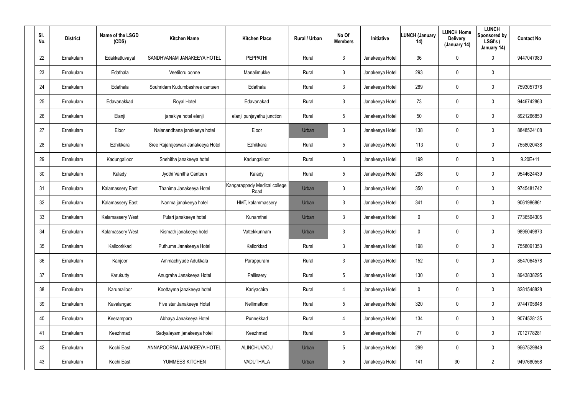| SI.<br>No. | <b>District</b> | Name of the LSGD<br>(CDS) | <b>Kitchen Name</b>                | <b>Kitchen Place</b>                 | Rural / Urban | No Of<br><b>Members</b> | Initiative      | <b>LUNCH (January</b><br>14) | <b>LUNCH Home</b><br><b>Delivery</b><br>(January 14) | <b>LUNCH</b><br>Sponsored by<br>LSGI's (<br>January 14) | <b>Contact No</b> |
|------------|-----------------|---------------------------|------------------------------------|--------------------------------------|---------------|-------------------------|-----------------|------------------------------|------------------------------------------------------|---------------------------------------------------------|-------------------|
| 22         | Ernakulam       | Edakkattuvayal            | SANDHVANAM JANAKEEYA HOTEL         | PEPPATHI                             | Rural         | 3                       | Janakeeya Hotel | 36                           | 0                                                    | 0                                                       | 9447047980        |
| 23         | Ernakulam       | Edathala                  | Veetiloru oonne                    | Manalimukke                          | Rural         | $\mathbf{3}$            | Janakeeya Hotel | 293                          | 0                                                    | $\mathbf 0$                                             |                   |
| 24         | Ernakulam       | Edathala                  | Souhridam Kudumbashree canteen     | Edathala                             | Rural         | 3                       | Janakeeya Hotel | 289                          | 0                                                    | $\mathbf 0$                                             | 7593057378        |
| 25         | Ernakulam       | Edavanakkad               | Royal Hotel                        | Edavanakad                           | Rural         | $\mathbf{3}$            | Janakeeya Hotel | 73                           | 0                                                    | $\mathbf 0$                                             | 9446742863        |
| 26         | Ernakulam       | Elanji                    | janakiya hotel elanji              | elanji punjayathu junction           | Rural         | 5                       | Janakeeya Hotel | 50                           | 0                                                    | $\mathbf 0$                                             | 8921266850        |
| 27         | Ernakulam       | Eloor                     | Nalanandhana janakeeya hotel       | Eloor                                | Urban         | 3                       | Janakeeya Hotel | 138                          | 0                                                    | $\mathbf 0$                                             | 8848524108        |
| 28         | Ernakulam       | Ezhikkara                 | Sree Rajarajeswari Janakeeya Hotel | Ezhikkara                            | Rural         | 5                       | Janakeeya Hotel | 113                          | $\boldsymbol{0}$                                     | 0                                                       | 7558020438        |
| 29         | Ernakulam       | Kadungalloor              | Snehitha janakeeya hotel           | Kadungalloor                         | Rural         | $\mathbf{3}$            | Janakeeya Hotel | 199                          | $\boldsymbol{0}$                                     | $\mathbf 0$                                             | $9.20E+11$        |
| 30         | Ernakulam       | Kalady                    | Jyothi Vanitha Canteen             | Kalady                               | Rural         | 5                       | Janakeeya Hotel | 298                          | $\boldsymbol{0}$                                     | 0                                                       | 9544624439        |
| 31         | Ernakulam       | <b>Kalamassery East</b>   | Thanima Janakeeya Hotel            | Kangarappady Medical college<br>Road | Urban         | $\mathbf{3}$            | Janakeeya Hotel | 350                          | $\boldsymbol{0}$                                     | $\mathbf 0$                                             | 9745481742        |
| 32         | Ernakulam       | Kalamassery East          | Nanma janakeeya hotel              | HMT, kalammassery                    | Urban         | $\mathbf{3}$            | Janakeeya Hotel | 341                          | $\boldsymbol{0}$                                     | 0                                                       | 9061986861        |
| 33         | Ernakulam       | Kalamassery West          | Pulari janakeeya hotel             | Kunamthai                            | Urban         | $\mathbf{3}$            | Janakeeya Hotel | 0                            | $\boldsymbol{0}$                                     | $\mathbf 0$                                             | 7736594305        |
| 34         | Ernakulam       | <b>Kalamassery West</b>   | Kismath janakeeya hotel            | Vattekkunnam                         | Urban         | $\mathbf{3}$            | Janakeeya Hotel | 0                            | $\boldsymbol{0}$                                     | $\mathbf 0$                                             | 9895049873        |
| 35         | Ernakulam       | Kalloorkkad               | Puthuma Janakeeya Hotel            | Kallorkkad                           | Rural         | $\mathbf{3}$            | Janakeeya Hotel | 198                          | $\boldsymbol{0}$                                     | $\pmb{0}$                                               | 7558091353        |
| 36         | Ernakulam       | Kanjoor                   | Ammachiyude Adukkala               | Parappuram                           | Rural         | $\mathbf{3}$            | Janakeeya Hotel | 152                          | $\pmb{0}$                                            | 0                                                       | 8547064578        |
| 37         | Ernakulam       | Karukutty                 | Anugraha Janakeeya Hotel           | Pallissery                           | Rural         | 5                       | Janakeeya Hotel | 130                          | $\boldsymbol{0}$                                     | $\pmb{0}$                                               | 8943838295        |
| 38         | Ernakulam       | Karumalloor               | Koottayma janakeeya hotel          | Kariyachira                          | Rural         | $\overline{4}$          | Janakeeya Hotel | $\pmb{0}$                    | $\pmb{0}$                                            | $\pmb{0}$                                               | 8281548828        |
| 39         | Ernakulam       | Kavalangad                | Five star Janakeeya Hotel          | Nellimattom                          | Rural         | $5\phantom{.0}$         | Janakeeya Hotel | 320                          | $\mathbf 0$                                          | $\pmb{0}$                                               | 9744705648        |
| 40         | Ernakulam       | Keerampara                | Abhaya Janakeeya Hotel             | Punnekkad                            | Rural         | $\overline{4}$          | Janakeeya Hotel | 134                          | $\pmb{0}$                                            | 0                                                       | 9074528135        |
| 41         | Ernakulam       | Keezhmad                  | Sadyalayam janakeeya hotel         | Keezhmad                             | Rural         | $5\phantom{.0}$         | Janakeeya Hotel | 77                           | $\mathbf 0$                                          | $\pmb{0}$                                               | 7012778281        |
| 42         | Ernakulam       | Kochi East                | ANNAPOORNA JANAKEEYA HOTEL         | ALINCHUVADU                          | Urban         | $5\phantom{.0}$         | Janakeeya Hotel | 299                          | $\pmb{0}$                                            | 0                                                       | 9567529849        |
| 43         | Ernakulam       | Kochi East                | YUMMEES KITCHEN                    | VADUTHALA                            | Urban         | $5\phantom{.0}$         | Janakeeya Hotel | 141                          | $30\,$                                               | $\overline{2}$                                          | 9497680558        |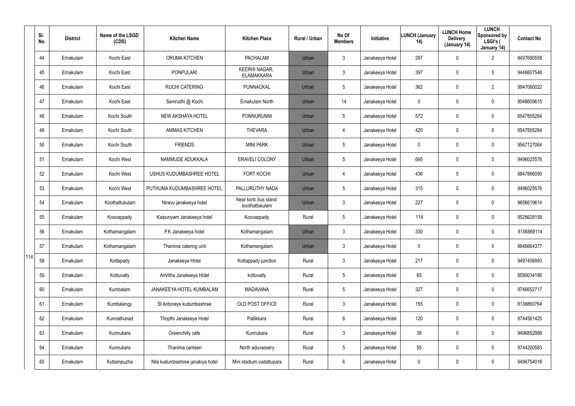|     | SI.<br>No. | <b>District</b> | Name of the LSGD<br>(CDS) | <b>Kitchen Name</b>              | <b>Kitchen Place</b>                      | <b>Rural / Urban</b> | No Of<br><b>Members</b> | <b>Initiative</b> | <b>LUNCH (January</b><br>14) | <b>LUNCH Home</b><br><b>Delivery</b><br>(January 14) | <b>LUNCH</b><br>Sponsored by<br>LSGI's (<br>January 14) | <b>Contact No</b> |
|-----|------------|-----------------|---------------------------|----------------------------------|-------------------------------------------|----------------------|-------------------------|-------------------|------------------------------|------------------------------------------------------|---------------------------------------------------------|-------------------|
|     | 44         | Ernakulam       | Kochi East                | <b>ORUMA KITCHEN</b>             | PACHALAM                                  | Urban                | 3                       | Janakeeya Hotel   | 297                          | $\mathbf 0$                                          | $\overline{2}$                                          | 9497680558        |
|     | 45         | Ernakulam       | Kochi East                | <b>PONPULARI</b>                 | <b>KEERHI NAGAR,</b><br><b>ELAMAKKARA</b> | Urban                | 3                       | Janakeeya Hotel   | 397                          | 0                                                    | 5                                                       | 9446607548        |
|     | 46         | Ernakulam       | Kochi East                | <b>RUCHI CATERING</b>            | PUNNACKAL                                 | Urban                | 5                       | Janakeeya Hotel   | 362                          | $\mathbf 0$                                          | $\overline{2}$                                          | 9947080022        |
|     | 47         | Ernakulam       | Kochi East                | Samrudhi @ Kochi                 | Ernakulam North                           | Urban                | 14                      | Janakeeya Hotel   | 0                            | 0                                                    | 0                                                       | 9048609615        |
|     | 48         | Ernakulam       | Kochi South               | NEW AKSHAYA HOTEL                | <b>PONNURUNNI</b>                         | Urban                | 5                       | Janakeeya Hotel   | 572                          | 0                                                    | 0                                                       | 8547855284        |
|     | 49         | Ernakulam       | Kochi South               | <b>AMMAS KITCHEN</b>             | <b>THEVARA</b>                            | Urban                | 4                       | Janakeeya Hotel   | 420                          | 0                                                    | 0                                                       | 8547855284        |
|     | 50         | Ernakulam       | Kochi South               | <b>FRIENDS</b>                   | <b>MINI PARK</b>                          | Urban                | $5\phantom{.0}$         | Janakeeya Hotel   | 0                            | $\mathbf 0$                                          | 0                                                       | 9567127064        |
|     | 51         | Ernakulam       | Kochi West                | NAMMUDE ADUKKALA                 | <b>ERAVELI COLONY</b>                     | Urban                | 5                       | Janakeeya Hotel   | 695                          | 0                                                    | 0                                                       | 9496025576        |
|     | 52         | Ernakulam       | Kochi West                | USHUS KUDUMBASHREE HOTEL         | <b>FORT KOCHI</b>                         | Urban                | 4                       | Janakeeya Hotel   | 436                          | 0                                                    | 0                                                       | 9847866090        |
|     | 53         | Ernakulam       | Kochi West                | PUTHUMA KUDUMBASHREE HOTEL       | PALLURUTHY NADA                           | Urban                | 5                       | Janakeeya Hotel   | 315                          | 0                                                    | 0                                                       | 9496025576        |
|     | 54         | Ernakulam       | Koothattukulam            | Niravu janakeeya hotel           | Near ksrtc bus stand<br>koothattukulam    | Urban                | $\mathbf{3}$            | Janakeeya Hotel   | 227                          | 0                                                    | 0                                                       | 9656619614        |
|     | 55         | Ernakulam       | Koovappady                | Kaipunyam Janakeeya hotel        | Koovappady                                | Rural                | 5                       | Janakeeya Hotel   | 114                          | 0                                                    | 0                                                       | 9526628158        |
|     | 56         | Ernakulam       | Kothamangalam             | P.K Janakeeya hotel              | Kothamangalam                             | Urban                | $\mathbf{3}$            | Janakeeya Hotel   | 330                          | 0                                                    | 0                                                       | 8156869114        |
|     | 57         | Ernakulam       | Kothamangalam             | Thanima catering unit            | Kothamangalam                             | Urban                | 3                       | Janakeeya Hotel   | 0                            | 0                                                    | 0                                                       | 9846664377        |
| 114 | 58         | Ernakulam       | Kottapady                 | Janakeeya Hotel                  | Kottappady junction                       | Rural                | $\mathbf{3}$            | Janakeeya Hotel   | 217                          | $\mathbf 0$                                          | 0                                                       | 9497406993        |
|     | 59         | Ernakulam       | Kottuvally                | Amritha Janakeeya Hotel          | kottuvally                                | Rural                | $5\phantom{.0}$         | Janakeeya Hotel   | 65                           | $\mathbf 0$                                          | 0                                                       | 8590034196        |
|     | 60         | Ernakulam       | Kumbalam                  | JANAKEEYA HOTEL KUMBALAM         | <b>MADAVANA</b>                           | Rural                | 5                       | Janakeeya Hotel   | 327                          | $\mathbf 0$                                          | 0                                                       | 9746652717        |
|     | 61         | Ernakulam       | Kumbalangy                | St Antoneys kudumbashree         | OLD POST OFFICE                           | Rural                | $\mathbf{3}$            | Janakeeya Hotel   | 155                          | $\mathbf 0$                                          | 0                                                       | 8138860764        |
|     | 62         | Ernakulam       | Kunnathunad               | Thripthi Janakeeya Hotel         | Pallikkara                                | Rural                | 6                       | Janakeeya Hotel   | 120                          | $\mathbf 0$                                          | 0                                                       | 9744561425        |
|     | 63         | Ernakulam       | Kunnukara                 | Greenchilly cafe                 | Kunnukara                                 | Rural                | $\mathbf{3}$            | Janakeeya Hotel   | 38                           | $\mathbf 0$                                          | 0                                                       | 9496852989        |
|     | 64         | Ernakulam       | Kunnukara                 | Thanima canteen                  | North aduvassery                          | Rural                | $5\phantom{.0}$         | Janakeeya Hotel   | 55                           | $\mathbf 0$                                          | 0                                                       | 9744200583        |
|     | 65         | Ernakulam       | Kuttampuzha               | Nila kudumbashree janakiya hotel | Mini stadium, vadattupara                 | Rural                | 6                       | Janakeeya Hotel   | 0                            | $\mathbf 0$                                          | 0                                                       | 9496754018        |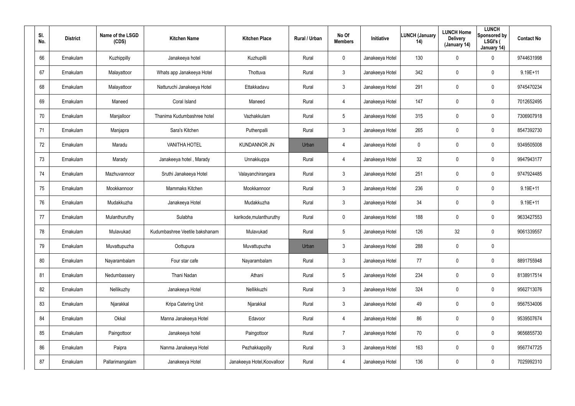| SI.<br>No. | <b>District</b> | Name of the LSGD<br>(CDS) | <b>Kitchen Name</b>            | <b>Kitchen Place</b>        | Rural / Urban | No Of<br><b>Members</b> | Initiative      | LUNCH (January<br>14) | <b>LUNCH Home</b><br><b>Delivery</b><br>(January 14) | <b>LUNCH</b><br>Sponsored by<br>LSGI's (<br>January 14) | <b>Contact No</b> |
|------------|-----------------|---------------------------|--------------------------------|-----------------------------|---------------|-------------------------|-----------------|-----------------------|------------------------------------------------------|---------------------------------------------------------|-------------------|
| 66         | Ernakulam       | Kuzhippilly               | Janakeeya hotel                | Kuzhupilli                  | Rural         | $\mathbf 0$             | Janakeeya Hotel | 130                   | 0                                                    | 0                                                       | 9744631998        |
| 67         | Ernakulam       | Malayattoor               | Whats app Janakeeya Hotel      | Thottuva                    | Rural         | $\mathbf{3}$            | Janakeeya Hotel | 342                   | $\mathbf 0$                                          | 0                                                       | $9.19E + 11$      |
| 68         | Ernakulam       | Malayattoor               | Natturuchi Janakeeya Hotel     | Ettakkadavu                 | Rural         | $\mathbf{3}$            | Janakeeya Hotel | 291                   | $\mathbf 0$                                          | 0                                                       | 9745470234        |
| 69         | Ernakulam       | Maneed                    | Coral Island                   | Maneed                      | Rural         | 4                       | Janakeeya Hotel | 147                   | $\mathbf 0$                                          | 0                                                       | 7012652495        |
| 70         | Ernakulam       | Manjalloor                | Thanima Kudumbashree hotel     | Vazhakkulam                 | Rural         | $5\overline{)}$         | Janakeeya Hotel | 315                   | $\mathbf 0$                                          | 0                                                       | 7306907918        |
| 71         | Ernakulam       | Manjapra                  | Sara's Kitchen                 | Puthenpalli                 | Rural         | $\mathbf{3}$            | Janakeeya Hotel | 265                   | 0                                                    | 0                                                       | 8547392730        |
| 72         | Ernakulam       | Maradu                    | <b>VANITHA HOTEL</b>           | <b>KUNDANNOR JN</b>         | Urban         | 4                       | Janakeeya Hotel | 0                     | $\mathbf 0$                                          | 0                                                       | 9349505008        |
| 73         | Ernakulam       | Marady                    | Janakeeya hotel, Marady        | Unnakkuppa                  | Rural         | $\overline{4}$          | Janakeeya Hotel | 32                    | 0                                                    | 0                                                       | 9947943177        |
| 74         | Ernakulam       | Mazhuvannoor              | Sruthi Janakeeya Hotel         | Valayanchirangara           | Rural         | $\mathbf{3}$            | Janakeeya Hotel | 251                   | $\mathbf 0$                                          | 0                                                       | 9747924485        |
| 75         | Ernakulam       | Mookkannoor               | Mammaks Kitchen                | Mookkannoor                 | Rural         | 3                       | Janakeeya Hotel | 236                   | 0                                                    | 0                                                       | $9.19E+11$        |
| 76         | Ernakulam       | Mudakkuzha                | Janakeeya Hotel                | Mudakkuzha                  | Rural         | $\mathbf{3}$            | Janakeeya Hotel | 34                    | $\mathbf 0$                                          | 0                                                       | $9.19E+11$        |
| 77         | Ernakulam       | Mulanthuruthy             | Sulabha                        | karikode, mulanthuruthy     | Rural         | $\mathbf 0$             | Janakeeya Hotel | 188                   | $\boldsymbol{0}$                                     | 0                                                       | 9633427553        |
| 78         | Ernakulam       | Mulavukad                 | Kudumbashree Veetile bakshanam | Mulavukad                   | Rural         | $5\overline{)}$         | Janakeeya Hotel | 126                   | 32                                                   | 0                                                       | 9061339557        |
| 79         | Ernakulam       | Muvattupuzha              | Oottupura                      | Muvattupuzha                | Urban         | $\mathfrak{Z}$          | Janakeeya Hotel | 288                   | $\mathbf 0$                                          | 0                                                       |                   |
| 80         | Ernakulam       | Nayarambalam              | Four star cafe                 | Nayarambalam                | Rural         | $\mathfrak{Z}$          | Janakeeya Hotel | 77                    | $\boldsymbol{0}$                                     | 0                                                       | 8891755948        |
| 81         | Ernakulam       | Nedumbassery              | Thani Nadan                    | Athani                      | Rural         | $5\phantom{.0}$         | Janakeeya Hotel | 234                   | $\boldsymbol{0}$                                     | 0                                                       | 8138917514        |
| 82         | Ernakulam       | Nellikuzhy                | Janakeeya Hotel                | Nellikkuzhi                 | Rural         | $\mathbf{3}$            | Janakeeya Hotel | 324                   | $\boldsymbol{0}$                                     | 0                                                       | 9562713076        |
| 83         | Ernakulam       | Njarakkal                 | Kripa Catering Unit            | Njarakkal                   | Rural         | $\mathfrak{Z}$          | Janakeeya Hotel | 49                    | $\pmb{0}$                                            | 0                                                       | 9567534006        |
| 84         | Ernakulam       | Okkal                     | Manna Janakeeya Hotel          | Edavoor                     | Rural         | 4                       | Janakeeya Hotel | 86                    | $\boldsymbol{0}$                                     | 0                                                       | 9539507674        |
| 85         | Ernakulam       | Paingottoor               | Janakeeya hotel                | Paingottoor                 | Rural         | $\overline{7}$          | Janakeeya Hotel | 70                    | $\mathbf 0$                                          | 0                                                       | 9656855730        |
| 86         | Ernakulam       | Paipra                    | Nanma Janakeeya Hotel          | Pezhakkappilly              | Rural         | $\mathbf{3}$            | Janakeeya Hotel | 163                   | $\boldsymbol{0}$                                     | 0                                                       | 9567747725        |
| 87         | Ernakulam       | Pallarimangalam           | Janakeeya Hotel                | Janakeeya Hotel, Koovalloor | Rural         | 4                       | Janakeeya Hotel | 136                   | $\boldsymbol{0}$                                     | 0                                                       | 7025992310        |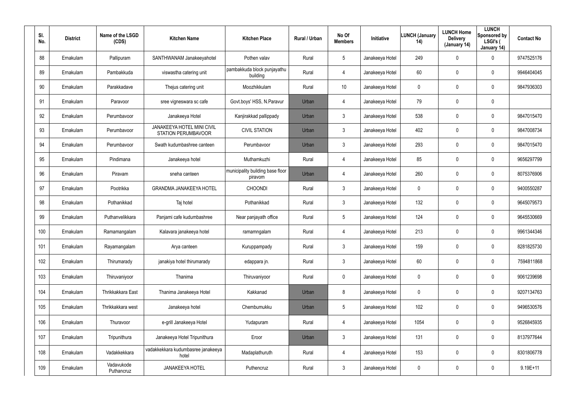| SI.<br>No. | <b>District</b> | Name of the LSGD<br>(CDS) | <b>Kitchen Name</b>                                      | <b>Kitchen Place</b>                        | <b>Rural / Urban</b> | No Of<br><b>Members</b> | Initiative      | <b>LUNCH (January</b><br>14) | <b>LUNCH Home</b><br><b>Delivery</b><br>(January 14) | <b>LUNCH</b><br>Sponsored by<br>LSGI's (<br>January 14) | <b>Contact No</b> |
|------------|-----------------|---------------------------|----------------------------------------------------------|---------------------------------------------|----------------------|-------------------------|-----------------|------------------------------|------------------------------------------------------|---------------------------------------------------------|-------------------|
| 88         | Ernakulam       | Pallipuram                | SANTHWANAM Janakeeyahotel                                | Pothen valav                                | Rural                | $5\overline{)}$         | Janakeeya Hotel | 249                          | $\mathbf 0$                                          | 0                                                       | 9747525176        |
| 89         | Ernakulam       | Pambakkuda                | viswastha catering unit                                  | pambakkuda block punjayathu<br>building     | Rural                | 4                       | Janakeeya Hotel | 60                           | $\mathbf 0$                                          | $\mathbf 0$                                             | 9946404045        |
| 90         | Ernakulam       | Parakkadave               | Thejus catering unit                                     | Moozhikkulam                                | Rural                | 10                      | Janakeeya Hotel | 0                            | 0                                                    | $\mathbf 0$                                             | 9847936303        |
| 91         | Ernakulam       | Paravoor                  | sree vigneswara sc cafe                                  | Govt.boys' HSS, N.Paravur                   | Urban                | 4                       | Janakeeya Hotel | 79                           | 0                                                    | $\mathbf 0$                                             |                   |
| 92         | Ernakulam       | Perumbavoor               | Janakeeya Hotel                                          | Kanjirakkad pallippady                      | Urban                | $\mathbf{3}$            | Janakeeya Hotel | 538                          | $\mathbf 0$                                          | $\mathbf 0$                                             | 9847015470        |
| 93         | Ernakulam       | Perumbavoor               | JANAKEEYA HOTEL MINI CIVIL<br><b>STATION PERUMBAVOOR</b> | <b>CIVIL STATION</b>                        | Urban                | $\mathfrak{Z}$          | Janakeeya Hotel | 402                          | 0                                                    | $\mathbf 0$                                             | 9847008734        |
| 94         | Ernakulam       | Perumbavoor               | Swath kudumbashree canteen                               | Perumbavoor                                 | Urban                | $\mathbf{3}$            | Janakeeya Hotel | 293                          | $\mathbf 0$                                          | $\mathbf 0$                                             | 9847015470        |
| 95         | Ernakulam       | Pindimana                 | Janakeeya hotel                                          | Muthamkuzhi                                 | Rural                | 4                       | Janakeeya Hotel | 85                           | 0                                                    | 0                                                       | 9656297799        |
| 96         | Ernakulam       | Piravam                   | sneha canteen                                            | municipality building base floor<br>piravom | Urban                | 4                       | Janakeeya Hotel | 260                          | $\mathbf 0$                                          | $\mathbf 0$                                             | 8075376906        |
| 97         | Ernakulam       | Pootrikka                 | <b>GRANDMA JANAKEEYA HOTEL</b>                           | <b>CHOONDI</b>                              | Rural                | $\mathbf{3}$            | Janakeeya Hotel | 0                            | 0                                                    | 0                                                       | 9400550287        |
| 98         | Ernakulam       | Pothanikkad               | Taj hotel                                                | Pothanikkad                                 | Rural                | $\mathbf{3}$            | Janakeeya Hotel | 132                          | $\mathbf 0$                                          | 0                                                       | 9645079573        |
| 99         | Ernakulam       | Puthanvelikkara           | Panjami cafe kudumbashree                                | Near panjayath office                       | Rural                | $5\overline{)}$         | Janakeeya Hotel | 124                          | 0                                                    | 0                                                       | 9645530669        |
| 100        | Ernakulam       | Ramamangalam              | Kalavara janakeeya hotel                                 | ramamngalam                                 | Rural                | 4                       | Janakeeya Hotel | 213                          | 0                                                    | 0                                                       | 9961344346        |
| 101        | Ernakulam       | Rayamangalam              | Arya canteen                                             | Kuruppampady                                | Rural                | $\mathbf{3}$            | Janakeeya Hotel | 159                          | $\boldsymbol{0}$                                     | 0                                                       | 8281825730        |
| 102        | Ernakulam       | Thirumarady               | janakiya hotel thirumarady                               | edappara jn.                                | Rural                | $\mathfrak{Z}$          | Janakeeya Hotel | 60                           | $\boldsymbol{0}$                                     | $\pmb{0}$                                               | 7594811868        |
| 103        | Ernakulam       | Thiruvaniyoor             | Thanima                                                  | Thiruvaniyoor                               | Rural                | $\mathbf 0$             | Janakeeya Hotel | 0                            | $\pmb{0}$                                            | 0                                                       | 9061239698        |
| 104        | Ernakulam       | Thrikkakkara East         | Thanima Janakeeya Hotel                                  | Kakkanad                                    | Urban                | 8                       | Janakeeya Hotel | 0                            | $\pmb{0}$                                            | $\pmb{0}$                                               | 9207134763        |
| 105        | Ernakulam       | Thrikkakkara west         | Janakeeya hotel                                          | Chembumukku                                 | Urban                | $5\phantom{.0}$         | Janakeeya Hotel | 102                          | $\pmb{0}$                                            | 0                                                       | 9496530576        |
| 106        | Ernakulam       | Thuravoor                 | e-grill Janakeeya Hotel                                  | Yudapuram                                   | Rural                | $\overline{4}$          | Janakeeya Hotel | 1054                         | $\pmb{0}$                                            | $\pmb{0}$                                               | 9526845935        |
| 107        | Ernakulam       | Tripunithura              | Janakeeya Hotel Tripunithura                             | Eroor                                       | Urban                | $\mathfrak{Z}$          | Janakeeya Hotel | 131                          | $\pmb{0}$                                            | $\pmb{0}$                                               | 8137977644        |
| 108        | Ernakulam       | Vadakkekkara              | vadakkekkara kudumbasree janakeeya<br>hotel              | Madaplathuruth                              | Rural                | 4                       | Janakeeya Hotel | 153                          | $\boldsymbol{0}$                                     | $\pmb{0}$                                               | 8301806778        |
| 109        | Ernakulam       | Vadavukode<br>Puthancruz  | JANAKEEYA HOTEL                                          | Puthencruz                                  | Rural                | $\mathfrak{Z}$          | Janakeeya Hotel | 0                            | $\pmb{0}$                                            | $\pmb{0}$                                               | $9.19E + 11$      |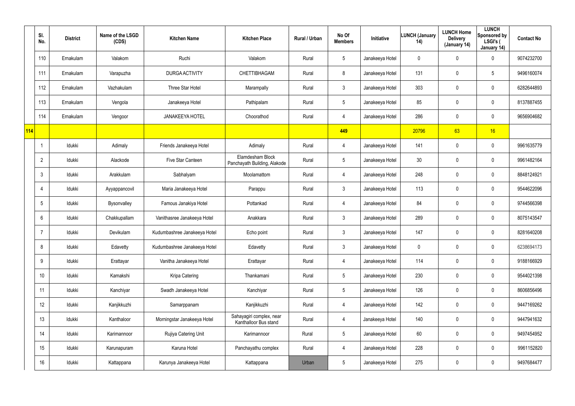|     | SI.<br>No.      | <b>District</b> | Name of the LSGD<br>(CDS) | <b>Kitchen Name</b>          | <b>Kitchen Place</b>                              | Rural / Urban | No Of<br><b>Members</b> | Initiative      | <b>LUNCH (January</b><br>14) | <b>LUNCH Home</b><br><b>Delivery</b><br>(January 14) | <b>LUNCH</b><br>Sponsored by<br>LSGI's (<br>January 14) | <b>Contact No</b> |
|-----|-----------------|-----------------|---------------------------|------------------------------|---------------------------------------------------|---------------|-------------------------|-----------------|------------------------------|------------------------------------------------------|---------------------------------------------------------|-------------------|
|     | 110             | Ernakulam       | Valakom                   | Ruchi                        | Valakom                                           | Rural         | $5\phantom{.0}$         | Janakeeya Hotel | 0                            | 0                                                    | $\mathbf 0$                                             | 9074232700        |
|     | 111             | Ernakulam       | Varapuzha                 | DURGA ACTIVITY               | CHETTIBHAGAM                                      | Rural         | 8                       | Janakeeya Hotel | 131                          | 0                                                    | $5\phantom{.0}$                                         | 9496160074        |
|     | 112             | Ernakulam       | Vazhakulam                | Three Star Hotel             | Marampally                                        | Rural         | $\mathbf{3}$            | Janakeeya Hotel | 303                          | 0                                                    | $\pmb{0}$                                               | 6282644893        |
|     | 113             | Ernakulam       | Vengola                   | Janakeeya Hotel              | Pathipalam                                        | Rural         | $5\phantom{.0}$         | Janakeeya Hotel | 85                           | 0                                                    | $\pmb{0}$                                               | 8137887455        |
|     | 114             | Ernakulam       | Vengoor                   | <b>JANAKEEYA HOTEL</b>       | Choorathod                                        | Rural         | $\overline{4}$          | Janakeeya Hotel | 286                          | 0                                                    | $\pmb{0}$                                               | 9656904682        |
| 114 |                 |                 |                           |                              |                                                   |               | 449                     |                 | 20796                        | 63                                                   | 16                                                      |                   |
|     |                 | Idukki          | Adimaly                   | Friends Janakeeya Hotel      | Adimaly                                           | Rural         | $\overline{4}$          | Janakeeya Hotel | 141                          | 0                                                    | $\pmb{0}$                                               | 9961635779        |
|     | $\overline{2}$  | Idukki          | Alackode                  | Five Star Canteen            | Elamdesham Block<br>Panchayath Building, Alakode  | Rural         | $5\phantom{.0}$         | Janakeeya Hotel | 30 <sup>°</sup>              | 0                                                    | $\pmb{0}$                                               | 9961482164        |
|     | $\mathbf{3}$    | Idukki          | Arakkulam                 | Sabhalyam                    | Moolamattom                                       | Rural         | $\overline{4}$          | Janakeeya Hotel | 248                          | 0                                                    | $\pmb{0}$                                               | 8848124921        |
|     | $\overline{4}$  | Idukki          | Ayyappancovil             | Maria Janakeeya Hotel        | Parappu                                           | Rural         | $\mathbf{3}$            | Janakeeya Hotel | 113                          | 0                                                    | $\pmb{0}$                                               | 9544622096        |
|     | $5\phantom{.0}$ | Idukki          | Bysonvalley               | Famous Janakiya Hotel        | Pottankad                                         | Rural         | $\overline{4}$          | Janakeeya Hotel | 84                           | 0                                                    | $\pmb{0}$                                               | 9744566398        |
|     | 6               | Idukki          | Chakkupallam              | Vanithasree Janakeeya Hotel  | Anakkara                                          | Rural         | $\mathbf{3}$            | Janakeeya Hotel | 289                          | 0                                                    | $\pmb{0}$                                               | 8075143547        |
|     | -7              | Idukki          | Devikulam                 | Kudumbashree Janakeeya Hotel | Echo point                                        | Rural         | $\mathbf{3}$            | Janakeeya Hotel | 147                          | 0                                                    | $\pmb{0}$                                               | 8281640208        |
|     | 8               | Idukki          | Edavetty                  | Kudumbashree Janakeeya Hotel | Edavetty                                          | Rural         | $\mathbf{3}$            | Janakeeya Hotel | 0                            | 0                                                    | $\pmb{0}$                                               | 6238694173        |
|     | 9               | Idukki          | Erattayar                 | Vanitha Janakeeya Hotel      | Erattayar                                         | Rural         | $\overline{4}$          | Janakeeya Hotel | 114                          | 0                                                    | $\pmb{0}$                                               | 9188166929        |
|     | 10 <sup>°</sup> | Idukki          | Kamakshi                  | Kripa Catering               | Thankamani                                        | Rural         | $5\phantom{.0}$         | Janakeeya Hotel | 230                          | 0                                                    | $\mathsf{0}$                                            | 9544021398        |
|     | 11              | Idukki          | Kanchiyar                 | Swadh Janakeeya Hotel        | Kanchiyar                                         | Rural         | $5\phantom{.0}$         | Janakeeya Hotel | 126                          | 0                                                    | $\pmb{0}$                                               | 8606856496        |
|     | 12              | Idukki          | Kanjikkuzhi               | Samarppanam                  | Kanjikkuzhi                                       | Rural         | $\overline{4}$          | Janakeeya Hotel | 142                          | 0                                                    | $\mathsf{0}$                                            | 9447169262        |
|     | 13              | Idukki          | Kanthaloor                | Morningstar Janakeeya Hotel  | Sahayagiri complex, near<br>Kanthalloor Bus stand | Rural         | $\overline{4}$          | Janakeeya Hotel | 140                          | 0                                                    | $\pmb{0}$                                               | 9447941632        |
|     | 14              | Idukki          | Karimannoor               | Rujiya Catering Unit         | Karimannoor                                       | Rural         | $5\phantom{.0}$         | Janakeeya Hotel | 60                           | 0                                                    | $\pmb{0}$                                               | 9497454952        |
|     | 15              | Idukki          | Karunapuram               | Karuna Hotel                 | Panchayathu complex                               | Rural         | 4                       | Janakeeya Hotel | 228                          | 0                                                    | $\pmb{0}$                                               | 9961152820        |
|     | 16              | Idukki          | Kattappana                | Karunya Janakeeya Hotel      | Kattappana                                        | Urban         | $5\,$                   | Janakeeya Hotel | 275                          | 0                                                    | $\pmb{0}$                                               | 9497684477        |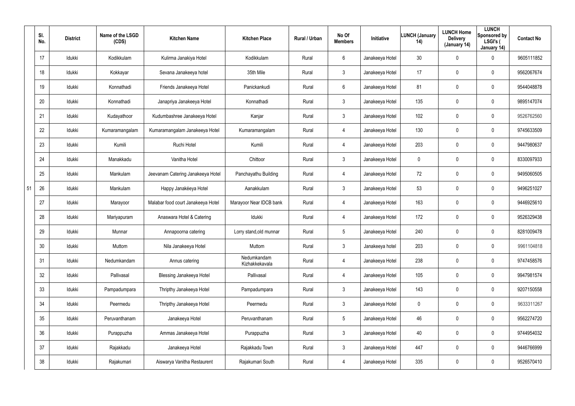|    | SI.<br>No.      | <b>District</b> | Name of the LSGD<br>(CDS) | <b>Kitchen Name</b>                | <b>Kitchen Place</b>          | Rural / Urban | No Of<br><b>Members</b> | Initiative      | <b>LUNCH (January</b><br>14) | <b>LUNCH Home</b><br><b>Delivery</b><br>(January 14) | <b>LUNCH</b><br>Sponsored by<br>LSGI's (<br>January 14) | <b>Contact No</b> |
|----|-----------------|-----------------|---------------------------|------------------------------------|-------------------------------|---------------|-------------------------|-----------------|------------------------------|------------------------------------------------------|---------------------------------------------------------|-------------------|
|    | 17              | Idukki          | Kodikkulam                | Kulirma Janakiya Hotel             | Kodikkulam                    | Rural         | 6                       | Janakeeya Hotel | 30 <sub>o</sub>              | 0                                                    | $\mathbf 0$                                             | 9605111852        |
|    | 18              | Idukki          | Kokkayar                  | Sevana Janakeeya hotel             | 35th Mile                     | Rural         | $\mathfrak{Z}$          | Janakeeya Hotel | 17                           | 0                                                    | $\mathbf 0$                                             | 9562067674        |
|    | 19              | Idukki          | Konnathadi                | Friends Janakeeya Hotel            | Panickankudi                  | Rural         | 6                       | Janakeeya Hotel | 81                           | 0                                                    | $\mathbf 0$                                             | 9544048878        |
|    | 20              | Idukki          | Konnathadi                | Janapriya Janakeeya Hotel          | Konnathadi                    | Rural         | $\mathfrak{Z}$          | Janakeeya Hotel | 135                          | 0                                                    | $\mathbf 0$                                             | 9895147074        |
|    | 21              | Idukki          | Kudayathoor               | Kudumbashree Janakeeya Hotel       | Kanjar                        | Rural         | $\mathfrak{Z}$          | Janakeeya Hotel | 102                          | 0                                                    | $\mathbf 0$                                             | 9526762560        |
|    | 22              | Idukki          | Kumaramangalam            | Kumaramangalam Janakeeya Hotel     | Kumaramangalam                | Rural         | 4                       | Janakeeya Hotel | 130                          | 0                                                    | $\mathbf 0$                                             | 9745633509        |
|    | 23              | Idukki          | Kumili                    | Ruchi Hotel                        | Kumili                        | Rural         | 4                       | Janakeeya Hotel | 203                          | 0                                                    | $\mathbf 0$                                             | 9447980637        |
|    | 24              | Idukki          | Manakkadu                 | Vanitha Hotel                      | Chittoor                      | Rural         | 3                       | Janakeeya Hotel | 0                            | 0                                                    | $\mathbf 0$                                             | 8330097933        |
|    | 25              | Idukki          | Mankulam                  | Jeevanam Catering Janakeeya Hotel  | Panchayathu Building          | Rural         | 4                       | Janakeeya Hotel | 72                           | 0                                                    | $\mathbf 0$                                             | 9495060505        |
| 51 | 26              | Idukki          | Mankulam                  | Happy Janakéeya Hotel              | Aanakkulam                    | Rural         | 3                       | Janakeeya Hotel | 53                           | 0                                                    | $\mathbf 0$                                             | 9496251027        |
|    | 27              | Idukki          | Marayoor                  | Malabar food court Janakeeya Hotel | Marayoor Near IDCB bank       | Rural         | 4                       | Janakeeya Hotel | 163                          | 0                                                    | $\mathbf 0$                                             | 9446925610        |
|    | 28              | Idukki          | Mariyapuram               | Anaswara Hotel & Catering          | Idukki                        | Rural         | 4                       | Janakeeya Hotel | 172                          | 0                                                    | $\mathbf 0$                                             | 9526329438        |
|    | 29              | Idukki          | Munnar                    | Annapoorna catering                | Lorry stand, old munnar       | Rural         | $5\phantom{.0}$         | Janakeeya Hotel | 240                          | 0                                                    | $\mathbf 0$                                             | 8281009478        |
|    | 30 <sub>2</sub> | Idukki          | Muttom                    | Nila Janakeeya Hotel               | Muttom                        | Rural         | $\mathbf{3}$            | Janakeeya hotel | 203                          | $\mathbf 0$                                          | $\boldsymbol{0}$                                        | 9961104818        |
|    | 31              | ldukki          | Nedumkandam               | Annus catering                     | Nedumkandam<br>Kizhakkekavala | Rural         | 4                       | Janakeeya Hotel | 238                          | $\mathbf 0$                                          | $\boldsymbol{0}$                                        | 9747458576        |
|    | 32              | Idukki          | Pallivasal                | <b>Blessing Janakeeya Hotel</b>    | Pallivasal                    | Rural         | 4                       | Janakeeya Hotel | 105                          | 0                                                    | $\pmb{0}$                                               | 9947981574        |
|    | 33              | ldukki          | Pampadumpara              | Thripthy Janakeeya Hotel           | Pampadumpara                  | Rural         | $\mathfrak{Z}$          | Janakeeya Hotel | 143                          | $\mathbf 0$                                          | $\pmb{0}$                                               | 9207150558        |
|    | 34              | Idukki          | Peermedu                  | Thripthy Janakeeya Hotel           | Peermedu                      | Rural         | $\mathfrak{Z}$          | Janakeeya Hotel | $\boldsymbol{0}$             | 0                                                    | $\pmb{0}$                                               | 9633311267        |
|    | 35              | ldukki          | Peruvanthanam             | Janakeeya Hotel                    | Peruvanthanam                 | Rural         | $5\phantom{.0}$         | Janakeeya Hotel | 46                           | $\mathbf 0$                                          | $\boldsymbol{0}$                                        | 9562274720        |
|    | 36              | ldukki          | Purappuzha                | Ammas Janakeeya Hotel              | Purappuzha                    | Rural         | $\mathfrak{Z}$          | Janakeeya Hotel | 40                           | $\mathbf 0$                                          | $\pmb{0}$                                               | 9744954032        |
|    | 37              | ldukki          | Rajakkadu                 | Janakeeya Hotel                    | Rajakkadu Town                | Rural         | $\mathbf{3}$            | Janakeeya Hotel | 447                          | 0                                                    | $\mathbf 0$                                             | 9446766999        |
|    | 38              | Idukki          | Rajakumari                | Aiswarya Vanitha Restaurent        | Rajakumari South              | Rural         | 4                       | Janakeeya Hotel | 335                          | 0                                                    | $\pmb{0}$                                               | 9526570410        |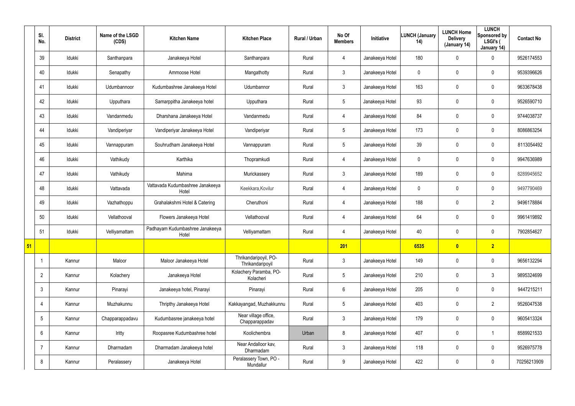|                 | SI.<br>No.      | <b>District</b> | Name of the LSGD<br>(CDS) | <b>Kitchen Name</b>                       | <b>Kitchen Place</b>                      | Rural / Urban | No Of<br><b>Members</b> | Initiative      | <b>LUNCH (January</b><br>14) | <b>LUNCH Home</b><br><b>Delivery</b><br>(January 14) | <b>LUNCH</b><br>Sponsored by<br>LSGI's (<br>January 14) | <b>Contact No</b> |
|-----------------|-----------------|-----------------|---------------------------|-------------------------------------------|-------------------------------------------|---------------|-------------------------|-----------------|------------------------------|------------------------------------------------------|---------------------------------------------------------|-------------------|
|                 | 39              | Idukki          | Santhanpara               | Janakeeya Hotel                           | Santhanpara                               | Rural         | 4                       | Janakeeya Hotel | 180                          | 0                                                    | $\mathbf 0$                                             | 9526174553        |
|                 | 40              | Idukki          | Senapathy                 | Ammoose Hotel                             | Mangathotty                               | Rural         | $\mathbf{3}$            | Janakeeya Hotel | 0                            | 0                                                    | $\mathbf 0$                                             | 9539396626        |
|                 | 41              | Idukki          | Udumbannoor               | Kudumbashree Janakeeya Hotel              | Udumbannor                                | Rural         | $\mathbf{3}$            | Janakeeya Hotel | 163                          | 0                                                    | $\mathbf 0$                                             | 9633678438        |
|                 | 42              | Idukki          | Upputhara                 | Samarppitha Janakeeya hotel               | Upputhara                                 | Rural         | 5                       | Janakeeya Hotel | 93                           | 0                                                    | $\mathbf 0$                                             | 9526590710        |
|                 | 43              | Idukki          | Vandanmedu                | Dharshana Janakeeya Hotel                 | Vandanmedu                                | Rural         | $\overline{4}$          | Janakeeya Hotel | 84                           | $\mathbf 0$                                          | $\mathbf 0$                                             | 9744038737        |
|                 | 44              | Idukki          | Vandiperiyar              | Vandiperiyar Janakeeya Hotel              | Vandiperiyar                              | Rural         | 5                       | Janakeeya Hotel | 173                          | $\mathbf 0$                                          | $\pmb{0}$                                               | 8086863254        |
|                 | 45              | Idukki          | Vannappuram               | Souhrudham Janakeeya Hotel                | Vannappuram                               | Rural         | $5\phantom{.0}$         | Janakeeya Hotel | 39                           | 0                                                    | $\mathbf 0$                                             | 8113054492        |
|                 | 46              | Idukki          | Vathikudy                 | Karthika                                  | Thopramkudi                               | Rural         | 4                       | Janakeeya Hotel | 0                            | 0                                                    | $\mathbf 0$                                             | 9947636989        |
|                 | 47              | Idukki          | Vathikudy                 | Mahima                                    | Murickassery                              | Rural         | $\mathbf{3}$            | Janakeeya Hotel | 189                          | $\mathbf 0$                                          | $\mathbf 0$                                             | 8289945652        |
|                 | 48              | Idukki          | Vattavada                 | Vattavada Kudumbashree Janakeeya<br>Hotel | Keekkara, Kovilur                         | Rural         | 4                       | Janakeeya Hotel | 0                            | 0                                                    | $\mathbf 0$                                             | 9497790469        |
|                 | 49              | Idukki          | Vazhathoppu               | Grahalakshmi Hotel & Catering             | Cheruthoni                                | Rural         | $\overline{4}$          | Janakeeya Hotel | 188                          | 0                                                    | $\overline{2}$                                          | 9496178884        |
|                 | 50              | Idukki          | Vellathooval              | Flowers Janakeeya Hotel                   | Vellathooval                              | Rural         | 4                       | Janakeeya Hotel | 64                           | 0                                                    | $\mathbf 0$                                             | 9961419892        |
|                 | 51              | Idukki          | Velliyamattam             | Padhayam Kudumbashree Janakeeya<br>Hotel  | Velliyamattam                             | Rural         | 4                       | Janakeeya Hotel | 40                           | 0                                                    | $\mathbf 0$                                             | 7902854627        |
| $\overline{51}$ |                 |                 |                           |                                           |                                           |               | 201                     |                 | 6535                         | $\bullet$                                            | $\overline{2}$                                          |                   |
|                 |                 | Kannur          | Maloor                    | Maloor Janakeeya Hotel                    | Thrikandaripoyil, PO-<br>Thrikandaripoyil | Rural         | $\mathbf{3}$            | Janakeeya Hotel | 149                          | $\mathbf 0$                                          | $\mathbf 0$                                             | 9656132294        |
|                 | $\overline{2}$  | Kannur          | Kolachery                 | Janakeeya Hotel                           | Kolachery Paramba, PO-<br>Kolacheri       | Rural         | $5\phantom{.0}$         | Janakeeya Hotel | 210                          | $\mathbf 0$                                          | $3\phantom{.0}$                                         | 9895324699        |
|                 | 3               | Kannur          | Pinarayi                  | Janakeeya hotel, Pinarayi                 | Pinarayi                                  | Rural         | $6\,$                   | Janakeeya Hotel | 205                          | $\mathbf 0$                                          | $\mathsf{0}$                                            | 9447215211        |
|                 | 4               | Kannur          | Muzhakunnu                | Thripthy Janakeeya Hotel                  | Kakkayangad, Muzhakkunnu                  | Rural         | $5\overline{)}$         | Janakeeya Hotel | 403                          | $\mathbf 0$                                          | $\overline{2}$                                          | 9526047538        |
|                 | $5\overline{)}$ | Kannur          | Chapparappadavu           | Kudumbasree janakeeya hotel               | Near village office,<br>Chapparappadav    | Rural         | $\mathbf{3}$            | Janakeeya Hotel | 179                          | $\mathbf 0$                                          | $\mathbf 0$                                             | 9605413324        |
|                 | 6               | Kannur          | Iritty                    | Roopasree Kudumbashree hotel              | Koolichembra                              | Urban         | $\bf 8$                 | Janakeeya Hotel | 407                          | $\pmb{0}$                                            | $\mathbf 1$                                             | 8589921533        |
|                 |                 | Kannur          | Dharmadam                 | Dharmadam Janakeeya hotel                 | Near Andalloor kav,<br>Dharmadam          | Rural         | $\mathbf{3}$            | Janakeeya Hotel | 118                          | $\mathbf 0$                                          | $\mathbf 0$                                             | 9526975778        |
|                 | 8               | Kannur          | Peralassery               | Janakeeya Hotel                           | Peralassery Town, PO -<br>Mundallur       | Rural         | 9                       | Janakeeya Hotel | 422                          | 0                                                    | $\mathsf{0}$                                            | 70256213909       |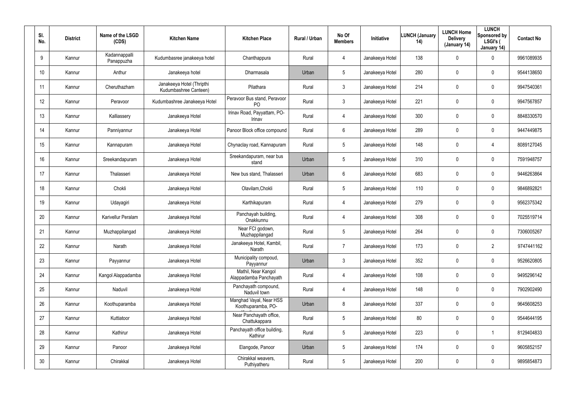| SI.<br>No.      | <b>District</b> | Name of the LSGD<br>(CDS)   | <b>Kitchen Name</b>                                | <b>Kitchen Place</b>                          | Rural / Urban | No Of<br><b>Members</b> | Initiative      | <b>LUNCH (January</b><br>14) | <b>LUNCH Home</b><br><b>Delivery</b><br>(January 14) | <b>LUNCH</b><br>Sponsored by<br>LSGI's (<br>January 14) | <b>Contact No</b> |
|-----------------|-----------------|-----------------------------|----------------------------------------------------|-----------------------------------------------|---------------|-------------------------|-----------------|------------------------------|------------------------------------------------------|---------------------------------------------------------|-------------------|
| 9               | Kannur          | Kadannappalli<br>Panappuzha | Kudumbasree janakeeya hotel                        | Chanthappura                                  | Rural         | 4                       | Janakeeya Hotel | 138                          | $\mathbf 0$                                          | 0                                                       | 9961089935        |
| 10 <sup>°</sup> | Kannur          | Anthur                      | Janakeeya hotel                                    | Dharmasala                                    | Urban         | 5                       | Janakeeya Hotel | 280                          | $\pmb{0}$                                            | 0                                                       | 9544138650        |
| 11              | Kannur          | Cheruthazham                | Janakeeya Hotel (Thripthi<br>Kudumbashree Canteen) | Pilathara                                     | Rural         | $\mathbf{3}$            | Janakeeya Hotel | 214                          | $\pmb{0}$                                            | 0                                                       | 9947540361        |
| 12 <sup>°</sup> | Kannur          | Peravoor                    | Kudumbashree Janakeeya Hotel                       | Peravoor Bus stand, Peravoor<br>PO            | Rural         | 3                       | Janakeeya Hotel | 221                          | $\mathbf 0$                                          | 0                                                       | 9947567857        |
| 13              | Kannur          | Kalliassery                 | Janakeeya Hotel                                    | Irinav Road, Payyattam, PO-<br>Irinav         | Rural         | 4                       | Janakeeya Hotel | 300                          | $\mathbf 0$                                          | 0                                                       | 8848330570        |
| 14              | Kannur          | Panniyannur                 | Janakeeya Hotel                                    | Panoor Block office compound                  | Rural         | 6                       | Janakeeya Hotel | 289                          | $\mathbf 0$                                          | 0                                                       | 9447449875        |
| 15              | Kannur          | Kannapuram                  | Janakeeya Hotel                                    | Chynaclay road, Kannapuram                    | Rural         | $5\phantom{.0}$         | Janakeeya Hotel | 148                          | $\mathbf 0$                                          | $\overline{4}$                                          | 8089127045        |
| 16              | Kannur          | Sreekandapuram              | Janakeeya Hotel                                    | Sreekandapuram, near bus<br>stand             | Urban         | $5\overline{)}$         | Janakeeya Hotel | 310                          | $\mathbf 0$                                          | 0                                                       | 7591948757        |
| 17              | Kannur          | Thalasseri                  | Janakeeya Hotel                                    | New bus stand, Thalasseri                     | Urban         | 6                       | Janakeeya Hotel | 683                          | $\mathbf 0$                                          | 0                                                       | 9446263864        |
| 18              | Kannur          | Chokli                      | Janakeeya Hotel                                    | Olavilam, Chokli                              | Rural         | $5\overline{)}$         | Janakeeya Hotel | 110                          | $\mathbf 0$                                          | 0                                                       | 9846892821        |
| 19              | Kannur          | Udayagiri                   | Janakeeya Hotel                                    | Karthikapuram                                 | Rural         | 4                       | Janakeeya Hotel | 279                          | $\mathbf 0$                                          | 0                                                       | 9562375342        |
| 20              | Kannur          | Karivellur Peralam          | Janakeeya Hotel                                    | Panchayah building,<br>Onakkunnu              | Rural         | 4                       | Janakeeya Hotel | 308                          | $\mathbf 0$                                          | 0                                                       | 7025519714        |
| 21              | Kannur          | Muzhappilangad              | Janakeeya Hotel                                    | Near FCI godown,<br>Muzhappilangad            | Rural         | $5\phantom{.0}$         | Janakeeya Hotel | 264                          | $\mathbf 0$                                          | 0                                                       | 7306005267        |
| 22              | Kannur          | Narath                      | Janakeeya Hotel                                    | Janakeeya Hotel, Kambil,<br>Narath            | Rural         | $\overline{7}$          | Janakeeya Hotel | 173                          | $\mathbf 0$                                          | $\overline{2}$                                          | 9747441162        |
| 23              | Kannur          | Payyannur                   | Janakeeya Hotel                                    | Municipality compoud,<br>Payyannur            | Urban         | $\mathbf{3}$            | Janakeeya Hotel | 352                          | $\mathbf 0$                                          | 0                                                       | 9526620805        |
| 24              | Kannur          | Kangol Alappadamba          | Janakeeya Hotel                                    | Mathil, Near Kangol<br>Alappadamba Panchayath | Rural         | 4                       | Janakeeya Hotel | 108                          | $\mathbf 0$                                          | 0                                                       | 9495296142        |
| 25              | Kannur          | Naduvil                     | Janakeeya Hotel                                    | Panchayath compound,<br>Naduvil town          | Rural         | 4                       | Janakeeya Hotel | 148                          | $\mathbf 0$                                          | 0                                                       | 7902902490        |
| 26              | Kannur          | Koothuparamba               | Janakeeya Hotel                                    | Manghad Vayal, Near HSS<br>Koothuparamba, PO- | Urban         | 8                       | Janakeeya Hotel | 337                          | $\mathbf 0$                                          | 0                                                       | 9645608253        |
| 27              | Kannur          | Kuttiatoor                  | Janakeeya Hotel                                    | Near Panchayath office,<br>Chattukappara      | Rural         | $5\phantom{.0}$         | Janakeeya Hotel | 80                           | $\boldsymbol{0}$                                     | 0                                                       | 9544644195        |
| 28              | Kannur          | Kathirur                    | Janakeeya Hotel                                    | Panchayath office building,<br>Kathirur       | Rural         | $5\phantom{.0}$         | Janakeeya Hotel | 223                          | $\boldsymbol{0}$                                     |                                                         | 8129404833        |
| 29              | Kannur          | Panoor                      | Janakeeya Hotel                                    | Elangode, Panoor                              | Urban         | $5\phantom{.0}$         | Janakeeya Hotel | 174                          | $\boldsymbol{0}$                                     | 0                                                       | 9605852157        |
| 30              | Kannur          | Chirakkal                   | Janakeeya Hotel                                    | Chirakkal weavers,<br>Puthiyatheru            | Rural         | $5\phantom{.0}$         | Janakeeya Hotel | 200                          | $\pmb{0}$                                            | 0                                                       | 9895854873        |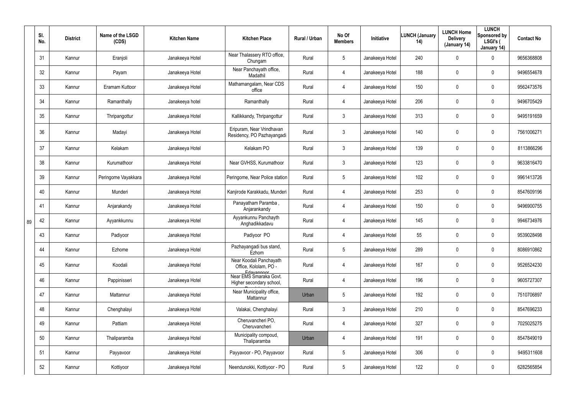|    | SI.<br>No. | <b>District</b> | Name of the LSGD<br>(CDS) | <b>Kitchen Name</b> | <b>Kitchen Place</b>                                             | Rural / Urban | No Of<br><b>Members</b> | Initiative      | <b>LUNCH (January</b><br>14) | <b>LUNCH Home</b><br><b>Delivery</b><br>(January 14) | <b>LUNCH</b><br>Sponsored by<br>LSGI's (<br>January 14) | <b>Contact No</b> |
|----|------------|-----------------|---------------------------|---------------------|------------------------------------------------------------------|---------------|-------------------------|-----------------|------------------------------|------------------------------------------------------|---------------------------------------------------------|-------------------|
|    | 31         | Kannur          | Eranjoli                  | Janakeeya Hotel     | Near Thalassery RTO office,<br>Chungam                           | Rural         | $5\phantom{.0}$         | Janakeeya Hotel | 240                          | 0                                                    | $\mathbf 0$                                             | 9656368808        |
|    | 32         | Kannur          | Payam                     | Janakeeya Hotel     | Near Panchayath office,<br>Madathil                              | Rural         | 4                       | Janakeeya Hotel | 188                          | 0                                                    | $\mathbf 0$                                             | 9496554678        |
|    | 33         | Kannur          | Eramam Kuttoor            | Janakeeya Hotel     | Mathamangalam, Near CDS<br>office                                | Rural         | 4                       | Janakeeya Hotel | 150                          | 0                                                    | $\pmb{0}$                                               | 9562473576        |
|    | 34         | Kannur          | Ramanthally               | Janakeeya hotel     | Ramanthally                                                      | Rural         | 4                       | Janakeeya Hotel | 206                          | 0                                                    | $\mathbf 0$                                             | 9496705429        |
|    | 35         | Kannur          | Thripangottur             | Janakeeya Hotel     | Kallikkandy, Thripangottur                                       | Rural         | $\mathfrak{Z}$          | Janakeeya Hotel | 313                          | 0                                                    | $\mathbf 0$                                             | 9495191659        |
|    | 36         | Kannur          | Madayi                    | Janakeeya Hotel     | Eripuram, Near Vrindhavan<br>Residency, PO Pazhayangadi          | Rural         | 3                       | Janakeeya Hotel | 140                          | 0                                                    | $\mathbf 0$                                             | 7561006271        |
|    | 37         | Kannur          | Kelakam                   | Janakeeya Hotel     | Kelakam PO                                                       | Rural         | $\mathbf{3}$            | Janakeeya Hotel | 139                          | 0                                                    | $\mathbf 0$                                             | 8113866296        |
|    | 38         | Kannur          | Kurumathoor               | Janakeeya Hotel     | Near GVHSS, Kurumathoor                                          | Rural         | $\mathfrak{Z}$          | Janakeeya Hotel | 123                          | 0                                                    | $\mathbf 0$                                             | 9633816470        |
|    | 39         | Kannur          | Peringome Vayakkara       | Janakeeya Hotel     | Peringome, Near Police station                                   | Rural         | $5\phantom{.0}$         | Janakeeya Hotel | 102                          | 0                                                    | $\mathbf 0$                                             | 9961413726        |
|    | 40         | Kannur          | Munderi                   | Janakeeya Hotel     | Kanjirode Karakkadu, Munderi                                     | Rural         | 4                       | Janakeeya Hotel | 253                          | 0                                                    | $\boldsymbol{0}$                                        | 8547609196        |
|    | 41         | Kannur          | Anjarakandy               | Janakeeya Hotel     | Panayatham Paramba,<br>Anjarankandy                              | Rural         | 4                       | Janakeeya Hotel | 150                          | 0                                                    | $\boldsymbol{0}$                                        | 9496900755        |
| 89 | 42         | Kannur          | Ayyankkunnu               | Janakeeya Hotel     | Ayyankunnu Panchayth<br>Anghadikkadavu                           | Rural         | 4                       | Janakeeya Hotel | 145                          | 0                                                    | $\boldsymbol{0}$                                        | 9946734976        |
|    | 43         | Kannur          | Padiyoor                  | Janakeeya Hotel     | Padiyoor PO                                                      | Rural         | 4                       | Janakeeya Hotel | 55                           | 0                                                    | $\mathbf 0$                                             | 9539028498        |
|    | 44         | Kannur          | Ezhome                    | Janakeeya Hotel     | Pazhayangadi bus stand,<br>Ezhom                                 | Rural         | $5\phantom{.0}$         | Janakeeya Hotel | 289                          | $\mathbf 0$                                          | $\mathbf 0$                                             | 8086910862        |
|    | 45         | Kannur          | Koodali                   | Janakeeya Hotel     | Near Koodali Panchayath<br>Office, Kololam, PO -                 | Rural         | 4                       | Janakeeya Hotel | 167                          | $\mathbf 0$                                          | $\pmb{0}$                                               | 9526524230        |
|    | 46         | Kannur          | Pappinisseri              | Janakeeya Hotel     | Edavannoor<br>Near EMS Smaraka Govt.<br>Higher secondary school, | Rural         | 4                       | Janakeeya Hotel | 196                          | $\mathbf 0$                                          | $\pmb{0}$                                               | 9605727307        |
|    | 47         | Kannur          | Mattannur                 | Janakeeya Hotel     | Near Municipality office,<br>Mattannur                           | Urban         | $5\phantom{.0}$         | Janakeeya Hotel | 192                          | $\mathbf 0$                                          | $\pmb{0}$                                               | 7510706897        |
|    | 48         | Kannur          | Chenghalayi               | Janakeeya Hotel     | Valakai, Chenghalayi                                             | Rural         | $\mathfrak{Z}$          | Janakeeya Hotel | 210                          | $\mathbf 0$                                          | $\pmb{0}$                                               | 8547696233        |
|    | 49         | Kannur          | Pattiam                   | Janakeeya Hotel     | Cheruvancheri PO,<br>Cheruvancheri                               | Rural         | 4                       | Janakeeya Hotel | 327                          | $\mathbf 0$                                          | $\pmb{0}$                                               | 7025025275        |
|    | 50         | Kannur          | Thaliparamba              | Janakeeya Hotel     | Municipality compoud,<br>Thaliparamba                            | Urban         | 4                       | Janakeeya Hotel | 191                          | $\mathbf 0$                                          | $\pmb{0}$                                               | 8547849019        |
|    | 51         | Kannur          | Payyavoor                 | Janakeeya Hotel     | Payyavoor - PO, Payyavoor                                        | Rural         | $5\phantom{.0}$         | Janakeeya Hotel | 306                          | $\mathbf 0$                                          | $\pmb{0}$                                               | 9495311608        |
|    | 52         | Kannur          | Kottiyoor                 | Janakeeya Hotel     | Neendunokki, Kottiyoor - PO                                      | Rural         | $5\phantom{.0}$         | Janakeeya Hotel | 122                          | 0                                                    | $\pmb{0}$                                               | 6282565854        |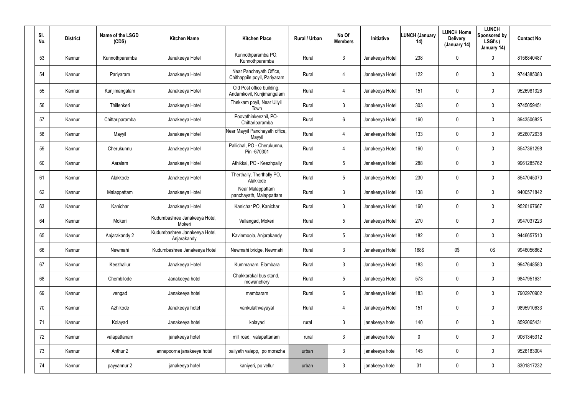| SI.<br>No. | <b>District</b> | Name of the LSGD<br>(CDS) | <b>Kitchen Name</b>                          | <b>Kitchen Place</b>                                    | Rural / Urban | No Of<br><b>Members</b> | <b>Initiative</b> | <b>LUNCH (January</b><br>(14) | <b>LUNCH Home</b><br><b>Delivery</b><br>(January 14) | <b>LUNCH</b><br>Sponsored by<br>LSGI's (<br>January 14) | <b>Contact No</b> |
|------------|-----------------|---------------------------|----------------------------------------------|---------------------------------------------------------|---------------|-------------------------|-------------------|-------------------------------|------------------------------------------------------|---------------------------------------------------------|-------------------|
| 53         | Kannur          | Kunnothparamba            | Janakeeya Hotel                              | Kunnothparamba PO,<br>Kunnothparamba                    | Rural         | 3                       | Janakeeya Hotel   | 238                           | $\mathbf 0$                                          | 0                                                       | 8156840487        |
| 54         | Kannur          | Pariyaram                 | Janakeeya Hotel                              | Near Panchayath Office,<br>Chithappile poyil, Pariyaram | Rural         | 4                       | Janakeeya Hotel   | 122                           | $\mathbf 0$                                          | 0                                                       | 9744385083        |
| 55         | Kannur          | Kunjimangalam             | Janakeeya Hotel                              | Old Post office building,<br>Andamkovil, Kunjimangalam  | Rural         | 4                       | Janakeeya Hotel   | 151                           | 0                                                    | 0                                                       | 9526981326        |
| 56         | Kannur          | Thillenkeri               | Janakeeya Hotel                              | Thekkam poyil, Near Uliyil<br>Town                      | Rural         | $\mathbf{3}$            | Janakeeya Hotel   | 303                           | 0                                                    | 0                                                       | 9745059451        |
| 57         | Kannur          | Chittariparamba           | Janakeeya Hotel                              | Poovathinkeezhil, PO-<br>Chittariparamba                | Rural         | $6\phantom{.}$          | Janakeeya Hotel   | 160                           | 0                                                    | 0                                                       | 8943506825        |
| 58         | Kannur          | Mayyil                    | Janakeeya Hotel                              | Near Mayyil Panchayath office,<br>Mayyil                | Rural         | 4                       | Janakeeya Hotel   | 133                           | 0                                                    | 0                                                       | 9526072638        |
| 59         | Kannur          | Cherukunnu                | Janakeeya Hotel                              | Pallichal, PO - Cherukunnu,<br>Pin -670301              | Rural         | 4                       | Janakeeya Hotel   | 160                           | 0                                                    | 0                                                       | 8547361298        |
| 60         | Kannur          | Aaralam                   | Janakeeya Hotel                              | Athikkal, PO - Keezhpally                               | Rural         | 5                       | Janakeeya Hotel   | 288                           | 0                                                    | 0                                                       | 9961285762        |
| 61         | Kannur          | Alakkode                  | Janakeeya Hotel                              | Therthally, Therthally PO,<br>Alakkode                  | Rural         | 5                       | Janakeeya Hotel   | 230                           | 0                                                    | 0                                                       | 8547045070        |
| 62         | Kannur          | Malappattam               | Janakeeya Hotel                              | Near Malappattam<br>panchayath, Malappattam             | Rural         | 3                       | Janakeeya Hotel   | 138                           | 0                                                    | 0                                                       | 9400571842        |
| 63         | Kannur          | Kanichar                  | Janakeeya Hotel                              | Kanichar PO, Kanichar                                   | Rural         | 3                       | Janakeeya Hotel   | 160                           | 0                                                    | 0                                                       | 9526167667        |
| 64         | Kannur          | Mokeri                    | Kudumbashree Janakeeya Hotel,<br>Mokeri      | Vallangad, Mokeri                                       | Rural         | 5                       | Janakeeya Hotel   | 270                           | 0                                                    | 0                                                       | 9947037223        |
| 65         | Kannur          | Anjarakandy 2             | Kudumbashree Janakeeya Hotel,<br>Anjarakandy | Kavinmoola, Anjarakandy                                 | Rural         | 5                       | Janakeeya Hotel   | 182                           | 0                                                    | 0                                                       | 9446657510        |
| 66         | Kannur          | Newmahi                   | Kudumbashree Janakeeya Hotel                 | Newmahi bridge, Newmahi                                 | Rural         | 3                       | Janakeeya Hotel   | 188\$                         | 0\$                                                  | 0\$                                                     | 9946056862        |
| 67         | Kannur          | Keezhallur                | Janakeeya Hotel                              | Kummanam, Elambara                                      | Rural         | 3                       | Janakeeya Hotel   | 183                           | $\mathbf 0$                                          | 0                                                       | 9947648580        |
| 68         | Kannur          | Chembilode                | Janakeeya hotel                              | Chakkarakal bus stand,<br>mowanchery                    | Rural         | $5\phantom{.0}$         | Janakeeya Hotel   | 573                           | 0                                                    | 0                                                       | 9847951631        |
| 69         | Kannur          | vengad                    | Janakeeya hotel                              | mambaram                                                | Rural         | $6\phantom{.}$          | Janakeeya Hotel   | 183                           | $\mathbf 0$                                          | 0                                                       | 7902970902        |
| 70         | Kannur          | Azhikode                  | Janakeeya hotel                              | vankulathvayayal                                        | Rural         | 4                       | Janakeeya Hotel   | 151                           | 0                                                    | 0                                                       | 9895910633        |
| 71         | Kannur          | Kolayad                   | Janakeeya hotel                              | kolayad                                                 | rural         | 3                       | janakeeya hotel   | 140                           | $\mathbf 0$                                          | 0                                                       | 8592065431        |
| 72         | Kannur          | valapattanam              | janakeeya hotel                              | mill road, valapattanam                                 | rural         | 3                       | janakeeya hotel   | 0                             | 0                                                    | 0                                                       | 9061345312        |
| 73         | Kannur          | Anthur 2                  | annapoorna janakeeya hotel                   | paliyath valapp, po morazha                             | urban         | 3                       | janakeeya hotel   | 145                           | $\mathbf 0$                                          | 0                                                       | 9526183004        |
| 74         | Kannur          | payyannur 2               | janakeeya hotel                              | kaniyeri, po vellur                                     | urban         | $\mathfrak{Z}$          | janakeeya hotel   | 31                            | $\mathbf 0$                                          | 0                                                       | 8301817232        |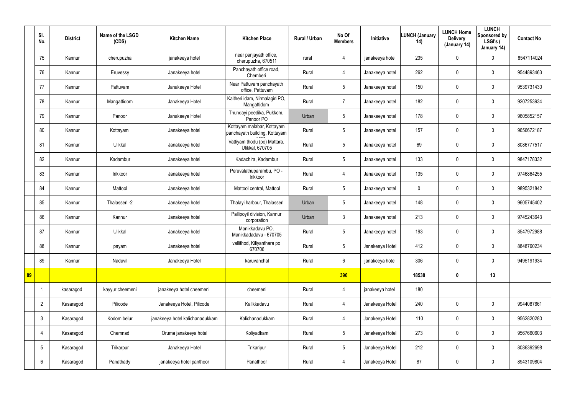|    | SI.<br>No.      | <b>District</b> | Name of the LSGD<br>(CDS) | <b>Kitchen Name</b>             | <b>Kitchen Place</b>                                        | Rural / Urban | No Of<br><b>Members</b> | Initiative      | <b>LUNCH (January</b><br>14) | <b>LUNCH Home</b><br><b>Delivery</b><br>(January 14) | <b>LUNCH</b><br>Sponsored by<br>LSGI's (<br>January 14) | <b>Contact No</b> |
|----|-----------------|-----------------|---------------------------|---------------------------------|-------------------------------------------------------------|---------------|-------------------------|-----------------|------------------------------|------------------------------------------------------|---------------------------------------------------------|-------------------|
|    | 75              | Kannur          | cherupuzha                | janakeeya hotel                 | near panjayath office,<br>cherupuzha, 670511                | rural         | 4                       | janakeeya hotel | 235                          | 0                                                    | $\mathbf 0$                                             | 8547114024        |
|    | 76              | Kannur          | Eruvessy                  | Janakeeya hotel                 | Panchayath office road,<br>Chemberi                         | Rural         | $\overline{4}$          | Janakeeya hotel | 262                          | 0                                                    | $\mathbf 0$                                             | 9544893463        |
|    | 77              | Kannur          | Pattuvam                  | Janakeeya Hotel                 | Near Pattuvam panchayath<br>office, Pattuvam                | Rural         | $5\overline{)}$         | Janakeeya hotel | 150                          | 0                                                    | $\mathbf 0$                                             | 9539731430        |
|    | 78              | Kannur          | Mangattidom               | Janakeeya Hotel                 | Kaitheri idam, Nirmalagiri PO,<br>Mangattidom               | Rural         | 7                       | Janakeeya hotel | 182                          | 0                                                    | $\mathbf 0$                                             | 9207253934        |
|    | 79              | Kannur          | Panoor                    | Janakeeya Hotel                 | Thundayi peedika, Pukkom,<br>Panoor PO                      | Urban         | $5\overline{)}$         | Janakeeya hotel | 178                          | $\mathbf 0$                                          | $\pmb{0}$                                               | 9605852157        |
|    | 80              | Kannur          | Kottayam                  | Janakeeya hotel                 | Kottayam malabar, Kottayam<br>panchayath building, Kottayam | Rural         | $5\overline{)}$         | Janakeeya hotel | 157                          | 0                                                    | $\mathbf 0$                                             | 9656672187        |
|    | 81              | Kannur          | Ulikkal                   | Janakeeya hotel                 | Vattiyam thodu (po) Mattara,<br>Ulikkal, 670705             | Rural         | $5\overline{)}$         | Janakeeya hotel | 69                           | 0                                                    | $\pmb{0}$                                               | 8086777517        |
|    | 82              | Kannur          | Kadambur                  | Janakeeya hotel                 | Kadachira, Kadambur                                         | Rural         | $5\overline{)}$         | Janakeeya hotel | 133                          | 0                                                    | $\mathbf 0$                                             | 9847178332        |
|    | 83              | Kannur          | Irikkoor                  | Janakeeya hotel                 | Peruvalathuparambu, PO -<br>Irikkoor                        | Rural         | $\overline{4}$          | Janakeeya hotel | 135                          | 0                                                    | $\mathbf 0$                                             | 9746864255        |
|    | 84              | Kannur          | Mattool                   | Janakeeya hotel                 | Mattool central, Mattool                                    | Rural         | $5\overline{)}$         | Janakeeya hotel | $\mathbf 0$                  | 0                                                    | $\mathbf 0$                                             | 9895321842        |
|    | 85              | Kannur          | Thalasseri -2             | Janakeeya hotel                 | Thalayi harbour, Thalasseri                                 | Urban         | $5\overline{)}$         | Janakeeya hotel | 148                          | 0                                                    | $\mathbf 0$                                             | 9605745402        |
|    | 86              | Kannur          | Kannur                    | Janakeeya hotel                 | Pallipoyil division, Kannur<br>corporation                  | Urban         | 3                       | Janakeeya hotel | 213                          | 0                                                    | $\mathbf 0$                                             | 9745243643        |
|    | 87              | Kannur          | Ulikkal                   | Janakeeya hotel                 | Manikkadavu PO,<br>Manikkadadavu - 670705                   | Rural         | $5\overline{)}$         | Janakeeya hotel | 193                          | 0                                                    | $\mathbf 0$                                             | 8547972988        |
|    | 88              | Kannur          | payam                     | Janakeeya hotel                 | vallithod, Kiliyanthara po<br>670706                        | Rural         | $5\overline{)}$         | Janakeeya Hotel | 412                          | 0                                                    | $\pmb{0}$                                               | 8848760234        |
|    | 89              | Kannur          | Naduvil                   | Janakeeya Hotel                 | karuvanchal                                                 | Rural         | $6\overline{6}$         | janakeeya hotel | 306                          | $\mathbf 0$                                          | $\mathbf 0$                                             | 9495191934        |
| 89 |                 |                 |                           |                                 |                                                             |               | 396                     |                 | 18538                        | $\boldsymbol{0}$                                     | 13                                                      |                   |
|    | $\overline{1}$  | kasaragod       | kayyur cheemeni           | janakeeya hotel cheemeni        | cheemeni                                                    | Rural         | $\overline{4}$          | janakeeya hotel | 180                          |                                                      |                                                         |                   |
|    | $\overline{2}$  | Kasaragod       | Pilicode                  | Janakeeya Hotel, Pilicode       | Kalikkadavu                                                 | Rural         | $\overline{4}$          | Janakeeya Hotel | 240                          | 0                                                    | $\mathbf 0$                                             | 9944087661        |
|    | $\mathbf{3}$    | Kasaragod       | Kodom belur               | janakeeya hotel kalichanadukkam | Kalichanadukkam                                             | Rural         | $\overline{4}$          | Janakeeya Hotel | 110                          | $\pmb{0}$                                            | $\mathbf 0$                                             | 9562820280        |
|    | 4               | Kasaragod       | Chemnad                   | Oruma janakeeya hotel           | Koliyadkam                                                  | Rural         | 5 <sub>5</sub>          | Janakeeya Hotel | 273                          | 0                                                    | $\mathbf 0$                                             | 9567660603        |
|    | $5\phantom{.0}$ | Kasaragod       | Trikarpur                 | Janakeeya Hotel                 | Trikaripur                                                  | Rural         | $5\overline{)}$         | Janakeeya Hotel | 212                          | 0                                                    | $\mathbf 0$                                             | 8086392698        |
|    | 6               | Kasaragod       | Panathady                 | janakeeya hotel panthoor        | Panathoor                                                   | Rural         | 4                       | Janakeeya Hotel | 87                           | 0                                                    | $\bf{0}$                                                | 8943109804        |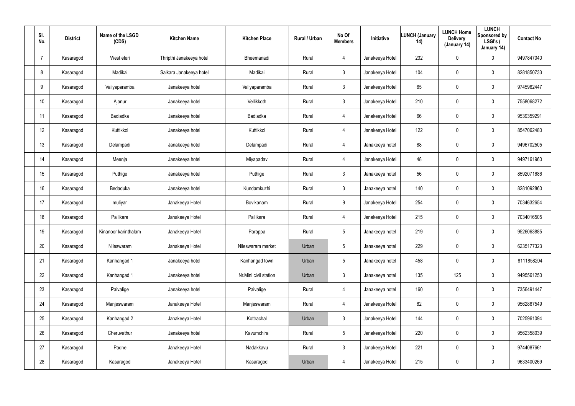| SI.<br>No.      | <b>District</b> | Name of the LSGD<br>(CDS) | <b>Kitchen Name</b>      | <b>Kitchen Place</b>  | Rural / Urban | No Of<br><b>Members</b> | Initiative      | <b>LUNCH (January</b><br>14) | <b>LUNCH Home</b><br><b>Delivery</b><br>(January 14) | <b>LUNCH</b><br>Sponsored by<br>LSGI's (<br>January 14) | <b>Contact No</b> |
|-----------------|-----------------|---------------------------|--------------------------|-----------------------|---------------|-------------------------|-----------------|------------------------------|------------------------------------------------------|---------------------------------------------------------|-------------------|
| -7              | Kasaragod       | West eleri                | Thripthi Janakeeya hotel | Bheemanadi            | Rural         | 4                       | Janakeeya Hotel | 232                          | 0                                                    | $\boldsymbol{0}$                                        | 9497847040        |
| 8               | Kasaragod       | Madikai                   | Salkara Janakeeya hotel  | Madikai               | Rural         | $\mathfrak{Z}$          | Janakeeya Hotel | 104                          | $\boldsymbol{0}$                                     | $\mathbf 0$                                             | 8281850733        |
| 9               | Kasaragod       | Valiyaparamba             | Janakeeya hotel          | Valiyaparamba         | Rural         | 3 <sup>1</sup>          | Janakeeya Hotel | 65                           | $\boldsymbol{0}$                                     | $\pmb{0}$                                               | 9745962447        |
| 10 <sup>°</sup> | Kasaragod       | Ajanur                    | Janakeeya hotel          | Vellikkoth            | Rural         | $\mathbf{3}$            | Janakeeya Hotel | 210                          | $\boldsymbol{0}$                                     | $\boldsymbol{0}$                                        | 7558068272        |
| 11              | Kasaragod       | Badiadka                  | Janakeeya hotel          | Badiadka              | Rural         | $\overline{4}$          | Janakeeya Hotel | 66                           | 0                                                    | $\boldsymbol{0}$                                        | 9539359291        |
| 12              | Kasaragod       | Kuttikkol                 | Janakeeya hotel          | Kuttikkol             | Rural         | 4                       | Janakeeya Hotel | 122                          | $\boldsymbol{0}$                                     | $\boldsymbol{0}$                                        | 8547062480        |
| 13              | Kasaragod       | Delampadi                 | Janakeeya hotel          | Delampadi             | Rural         | $\overline{4}$          | Janakeeya hotel | 88                           | $\boldsymbol{0}$                                     | $\pmb{0}$                                               | 9496702505        |
| 14              | Kasaragod       | Meenja                    | Janakeeya hotel          | Miyapadav             | Rural         | 4                       | Janakeeya Hotel | 48                           | $\boldsymbol{0}$                                     | $\boldsymbol{0}$                                        | 9497161960        |
| 15              | Kasaragod       | Puthige                   | Janakeeya hotel          | Puthige               | Rural         | $\mathbf{3}$            | Janakeeya hotel | 56                           | $\boldsymbol{0}$                                     | $\boldsymbol{0}$                                        | 8592071686        |
| 16              | Kasaragod       | Bedaduka                  | Janakeeya hotel          | Kundamkuzhi           | Rural         | $\mathbf{3}$            | Janakeeya hotel | 140                          | $\boldsymbol{0}$                                     | $\boldsymbol{0}$                                        | 8281092860        |
| 17              | Kasaragod       | muliyar                   | Janakeeya Hotel          | Bovikanam             | Rural         | 9                       | Janakeeya Hotel | 254                          | $\boldsymbol{0}$                                     | $\pmb{0}$                                               | 7034632654        |
| 18              | Kasaragod       | Pallikara                 | Janakeeya Hotel          | Pallikara             | Rural         | 4                       | Janakeeya Hotel | 215                          | $\boldsymbol{0}$                                     | $\pmb{0}$                                               | 7034016505        |
| 19              | Kasaragod       | Kinanoor karinthalam      | Janakeeya Hotel          | Parappa               | Rural         | $5\phantom{.0}$         | Janakeeya hotel | 219                          | $\boldsymbol{0}$                                     | $\pmb{0}$                                               | 9526063885        |
| 20              | Kasaragod       | Nileswaram                | Janakeeya Hotel          | Nileswaram market     | Urban         | $\mathbf 5$             | Janakeeya hotel | 229                          | $\pmb{0}$                                            | $\pmb{0}$                                               | 6235177323        |
| 21              | Kasaragod       | Kanhangad 1               | Janakeeya hotel          | Kanhangad town        | Urban         | $5\phantom{.0}$         | Janakeeya hotel | 458                          | 0                                                    | $\mathbf 0$                                             | 8111858204        |
| 22              | Kasaragod       | Kanhangad 1               | Janakeeya hotel          | Nr.Mini civil station | Urban         | 3 <sup>1</sup>          | Janakeeya hotel | 135                          | 125                                                  | $\mathbf 0$                                             | 9495561250        |
| 23              | Kasaragod       | Paivalige                 | Janakeeya hotel          | Paivalige             | Rural         | 4                       | Janakeeya hotel | 160                          | 0                                                    | $\mathbf 0$                                             | 7356491447        |
| 24              | Kasaragod       | Manjeswaram               | Janakeeya Hotel          | Manjeswaram           | Rural         | $\overline{4}$          | Janakeeya Hotel | 82                           | 0                                                    | $\mathbf 0$                                             | 9562867549        |
| 25              | Kasaragod       | Kanhangad 2               | Janakeeya Hotel          | Kottrachal            | Urban         | 3                       | Janakeeya Hotel | 144                          | 0                                                    | $\mathbf 0$                                             | 7025961094        |
| 26              | Kasaragod       | Cheruvathur               | Janakeeya hotel          | Kavumchira            | Rural         | 5 <sub>5</sub>          | Janakeeya Hotel | 220                          | 0                                                    | $\mathbf 0$                                             | 9562358039        |
| 27              | Kasaragod       | Padne                     | Janakeeya Hotel          | Nadakkavu             | Rural         | 3                       | Janakeeya Hotel | 221                          | $\mathbf 0$                                          | $\mathbf 0$                                             | 9744087661        |
| 28              | Kasaragod       | Kasaragod                 | Janakeeya Hotel          | Kasaragod             | Urban         | 4                       | Janakeeya Hotel | 215                          | 0                                                    | $\bf{0}$                                                | 9633400269        |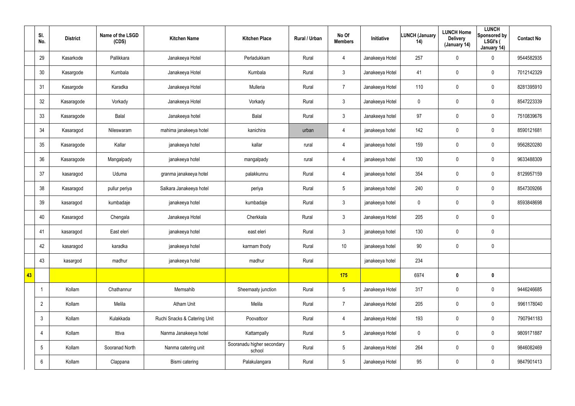|    | SI.<br>No.      | <b>District</b> | Name of the LSGD<br>(CDS) | <b>Kitchen Name</b>          | <b>Kitchen Place</b>                 | Rural / Urban | No Of<br><b>Members</b> | Initiative      | <b>LUNCH (January</b><br>14) | <b>LUNCH Home</b><br><b>Delivery</b><br>(January 14) | <b>LUNCH</b><br>Sponsored by<br>LSGI's (<br>January 14) | <b>Contact No</b> |
|----|-----------------|-----------------|---------------------------|------------------------------|--------------------------------------|---------------|-------------------------|-----------------|------------------------------|------------------------------------------------------|---------------------------------------------------------|-------------------|
|    | 29              | Kasarkode       | Pallikkara                | Janakeeya Hotel              | Perladukkam                          | Rural         | 4                       | Janakeeya Hotel | 257                          | 0                                                    | 0                                                       | 9544582935        |
|    | 30              | Kasargode       | Kumbala                   | Janakeeya Hotel              | Kumbala                              | Rural         | $\mathbf{3}$            | Janakeeya Hotel | 41                           | $\mathbf 0$                                          | $\mathsf{0}$                                            | 7012142329        |
|    | 31              | Kasargode       | Karadka                   | Janakeeya Hotel              | Mulleria                             | Rural         | $\overline{7}$          | Janakeeya Hotel | 110                          | $\mathbf 0$                                          | $\mathsf{0}$                                            | 8281395910        |
|    | 32              | Kasaragode      | Vorkady                   | Janakeeya Hotel              | Vorkady                              | Rural         | $\mathbf{3}$            | Janakeeya Hotel | $\mathbf 0$                  | 0                                                    | $\mathbf 0$                                             | 8547223339        |
|    | 33              | Kasaragode      | Balal                     | Janakeeya hotel              | Balal                                | Rural         | $\mathbf{3}$            | Janakeeya hotel | 97                           | $\mathbf 0$                                          | $\mathbf 0$                                             | 7510839676        |
|    | 34              | Kasaragod       | Nileswaram                | mahima janakeeya hotel       | kanichira                            | urban         | 4                       | janakeeya hotel | 142                          | 0                                                    | $\mathbf 0$                                             | 8590121681        |
|    | 35              | Kasaragode      | Kallar                    | janakeeya hotel              | kallar                               | rural         | $\overline{4}$          | janakeeya hotel | 159                          | $\mathbf 0$                                          | $\mathbf 0$                                             | 9562820280        |
|    | 36              | Kasaragode      | Mangalpady                | janakeeya hotel              | mangalpady                           | rural         | 4                       | janakeeya hotel | 130                          | 0                                                    | $\mathbf 0$                                             | 9633488309        |
|    | 37              | kasaragod       | Uduma                     | granma janakeeya hotel       | palakkunnu                           | Rural         | $\overline{4}$          | janakeeya hotel | 354                          | $\mathbf 0$                                          | $\mathbf 0$                                             | 8129957159        |
|    | 38              | Kasaragod       | pullur periya             | Salkara Janakeeya hotel      | periya                               | Rural         | $5\phantom{.0}$         | janakeeya hotel | 240                          | 0                                                    | $\mathbf 0$                                             | 8547309266        |
|    | 39              | kasaragod       | kumbadaje                 | janakeeya hotel              | kumbadaje                            | Rural         | $\mathbf{3}$            | janakeeya hotel | 0                            | $\mathbf 0$                                          | $\mathbf 0$                                             | 8593848698        |
|    | 40              | Kasaragod       | Chengala                  | Janakeeya Hotel              | Cherkkala                            | Rural         | $\mathbf{3}$            | Janakeeya Hotel | 205                          | 0                                                    | $\mathbf 0$                                             |                   |
|    | 41              | kasaragod       | East eleri                | janakeeya hotel              | east eleri                           | Rural         | $\mathbf{3}$            | janakeeya hotel | 130                          | $\pmb{0}$                                            | $\pmb{0}$                                               |                   |
|    | 42              | kasaragod       | karadka                   | janakeeya hotel              | karmam thody                         | Rural         | 10 <sup>°</sup>         | janakeeya hotel | 90                           | $\pmb{0}$                                            | $\pmb{0}$                                               |                   |
|    | 43              | kasargod        | madhur                    | janakeeya hotel              | madhur                               | Rural         |                         | janakeeya hotel | 234                          |                                                      |                                                         |                   |
| 43 |                 |                 |                           |                              |                                      |               | 175                     |                 | 6974                         | $\boldsymbol{0}$                                     | $\mathbf 0$                                             |                   |
|    | -1              | Kollam          | Chathannur                | Memsahib                     | Sheemaaty junction                   | Rural         | $5\overline{)}$         | Janakeeya Hotel | 317                          | $\mathbf 0$                                          | $\mathbf 0$                                             | 9446246685        |
|    | $\overline{2}$  | Kollam          | Melila                    | <b>Atham Unit</b>            | Melila                               | Rural         | $\overline{7}$          | Janakeeya Hotel | 205                          | 0                                                    | $\mathbf 0$                                             | 9961178040        |
|    | $\mathbf{3}$    | Kollam          | Kulakkada                 | Ruchi Snacks & Catering Unit | Poovattoor                           | Rural         | $\overline{4}$          | Janakeeya Hotel | 193                          | $\mathbf 0$                                          | $\mathbf 0$                                             | 7907941183        |
|    | 4               | Kollam          | Ittiva                    | Nanma Janakeeya hotel        | Kattampally                          | Rural         | $5\overline{)}$         | Janakeeya Hotel | $\pmb{0}$                    | 0                                                    | $\mathbf 0$                                             | 9809171887        |
|    | $5\phantom{.0}$ | Kollam          | Sooranad North            | Nanma catering unit          | Sooranadu higher secondary<br>school | Rural         | $5\overline{)}$         | Janakeeya Hotel | 264                          | $\mathbf 0$                                          | $\mathbf 0$                                             | 9846082469        |
|    | 6               | Kollam          | Clappana                  | Bismi catering               | Palakulangara                        | Rural         | $5\overline{)}$         | Janakeeya Hotel | 95                           | 0                                                    | $\pmb{0}$                                               | 9847901413        |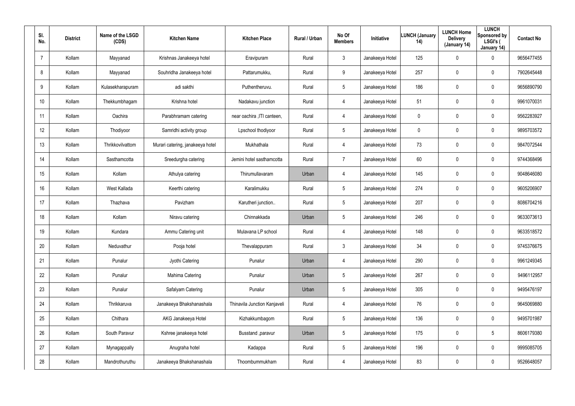| SI.<br>No. | <b>District</b> | Name of the LSGD<br>(CDS) | <b>Kitchen Name</b>              | <b>Kitchen Place</b>         | <b>Rural / Urban</b> | No Of<br><b>Members</b> | Initiative      | <b>LUNCH (January</b><br>14) | <b>LUNCH Home</b><br><b>Delivery</b><br>(January 14) | <b>LUNCH</b><br>Sponsored by<br>LSGI's (<br>January 14) | <b>Contact No</b> |
|------------|-----------------|---------------------------|----------------------------------|------------------------------|----------------------|-------------------------|-----------------|------------------------------|------------------------------------------------------|---------------------------------------------------------|-------------------|
| 7          | Kollam          | Mayyanad                  | Krishnas Janakeeya hotel         | Eravipuram                   | Rural                | 3                       | Janakeeya Hotel | 125                          | $\mathbf 0$                                          | 0                                                       | 9656477455        |
| 8          | Kollam          | Mayyanad                  | Souhridha Janakeeya hotel        | Pattarumukku,                | Rural                | 9                       | Janakeeya Hotel | 257                          | 0                                                    | $\mathbf 0$                                             | 7902645448        |
| 9          | Kollam          | Kulasekharapuram          | adi sakthi                       | Puthentheruvu.               | Rural                | $5\phantom{.0}$         | Janakeeya Hotel | 186                          | 0                                                    | $\mathbf 0$                                             | 9656890790        |
| 10         | Kollam          | Thekkumbhagam             | Krishna hotel                    | Nadakavu junction            | Rural                | 4                       | Janakeeya Hotel | 51                           | 0                                                    | $\mathbf 0$                                             | 9961070031        |
| 11         | Kollam          | Oachira                   | Parabhramam catering             | near oachira , ITI canteen,  | Rural                | $\overline{4}$          | Janakeeya Hotel | $\mathbf 0$                  | 0                                                    | $\mathbf 0$                                             | 9562283927        |
| 12         | Kollam          | Thodiyoor                 | Samridhi activity group          | Lpschool thodiyoor           | Rural                | $5\overline{)}$         | Janakeeya Hotel | 0                            | 0                                                    | $\mathbf 0$                                             | 9895703572        |
| 13         | Kollam          | Thrikkovilvattom          | Murari catering, janakeeya hotel | Mukhathala                   | Rural                | $\overline{4}$          | Janakeeya Hotel | 73                           | $\boldsymbol{0}$                                     | 0                                                       | 9847072544        |
| 14         | Kollam          | Sasthamcotta              | Sreedurgha catering              | Jemini hotel sasthamcotta    | Rural                | $\overline{7}$          | Janakeeya Hotel | 60                           | $\boldsymbol{0}$                                     | $\mathbf 0$                                             | 9744368496        |
| 15         | Kollam          | Kollam                    | Athulya catering                 | Thirumullavaram              | Urban                | 4                       | Janakeeya Hotel | 145                          | $\boldsymbol{0}$                                     | 0                                                       | 9048646080        |
| 16         | Kollam          | West Kallada              | Keerthi catering                 | Karalimukku                  | Rural                | 5                       | Janakeeya Hotel | 274                          | $\boldsymbol{0}$                                     | $\mathbf 0$                                             | 9605206907        |
| 17         | Kollam          | Thazhava                  | Pavizham                         | Karutheri junction           | Rural                | 5                       | Janakeeya Hotel | 207                          | $\boldsymbol{0}$                                     | 0                                                       | 8086704216        |
| 18         | Kollam          | Kollam                    | Niravu catering                  | Chinnakkada                  | Urban                | 5                       | Janakeeya Hotel | 246                          | $\boldsymbol{0}$                                     | $\mathbf 0$                                             | 9633073613        |
| 19         | Kollam          | Kundara                   | Ammu Catering unit               | Mulavana LP school           | Rural                | 4                       | Janakeeya Hotel | 148                          | $\boldsymbol{0}$                                     | 0                                                       | 9633518572        |
| 20         | Kollam          | Neduvathur                | Pooja hotel                      | Thevalappuram                | Rural                | $\mathbf{3}$            | Janakeeya Hotel | 34                           | $\pmb{0}$                                            | $\pmb{0}$                                               | 9745376675        |
| 21         | Kollam          | Punalur                   | Jyothi Catering                  | Punalur                      | Urban                | $\overline{4}$          | Janakeeya Hotel | 290                          | $\pmb{0}$                                            | $\pmb{0}$                                               | 9961249345        |
| 22         | Kollam          | Punalur                   | Mahima Catering                  | Punalur                      | Urban                | 5                       | Janakeeya Hotel | 267                          | $\pmb{0}$                                            | $\pmb{0}$                                               | 9496112957        |
| 23         | Kollam          | Punalur                   | Safalyam Catering                | Punalur                      | Urban                | $5\phantom{.0}$         | Janakeeya Hotel | 305                          | $\pmb{0}$                                            | $\pmb{0}$                                               | 9495476197        |
| 24         | Kollam          | Thrikkaruva               | Janakeeya Bhakshanashala         | Thinavila Junction Kanjaveli | Rural                | $\overline{4}$          | Janakeeya Hotel | 76                           | $\mathbf 0$                                          | $\pmb{0}$                                               | 9645069880        |
| 25         | Kollam          | Chithara                  | AKG Janakeeya Hotel              | Kizhakkumbagom               | Rural                | $5\phantom{.0}$         | Janakeeya Hotel | 136                          | $\pmb{0}$                                            | 0                                                       | 9495701987        |
| 26         | Kollam          | South Paravur             | Kshree janakeeya hotel           | Busstand , paravur           | Urban                | $5\phantom{.0}$         | Janakeeya Hotel | 175                          | $\mathbf 0$                                          | $5\phantom{.0}$                                         | 8606179380        |
| 27         | Kollam          | Mynagappally              | Anugraha hotel                   | Kadappa                      | Rural                | $5\phantom{.0}$         | Janakeeya Hotel | 196                          | $\pmb{0}$                                            | 0                                                       | 9995085705        |
| 28         | Kollam          | Mandrothuruthu            | Janakeeya Bhakshanashala         | Thoombummukham               | Rural                | $\overline{4}$          | Janakeeya Hotel | 83                           | $\boldsymbol{0}$                                     | 0                                                       | 9526648057        |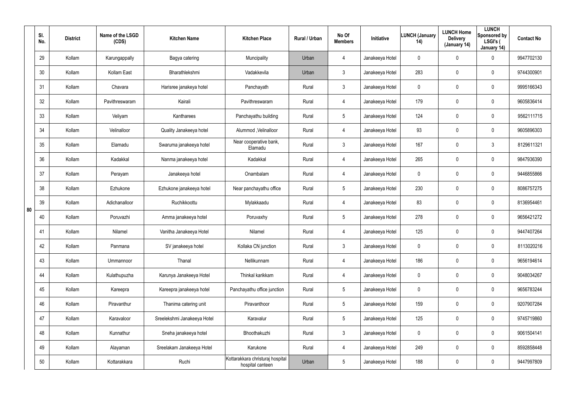|    | SI.<br>No. | <b>District</b> | Name of the LSGD<br>(CDS) | <b>Kitchen Name</b>         | <b>Kitchen Place</b>                                 | Rural / Urban | No Of<br><b>Members</b> | Initiative      | <b>LUNCH (January</b><br>14) | <b>LUNCH Home</b><br><b>Delivery</b><br>(January 14) | <b>LUNCH</b><br>Sponsored by<br>LSGI's (<br>January 14) | <b>Contact No</b> |
|----|------------|-----------------|---------------------------|-----------------------------|------------------------------------------------------|---------------|-------------------------|-----------------|------------------------------|------------------------------------------------------|---------------------------------------------------------|-------------------|
|    | 29         | Kollam          | Karungappally             | Bagya catering              | Muncipality                                          | Urban         | 4                       | Janakeeya Hotel | 0                            | $\mathbf 0$                                          | 0                                                       | 9947702130        |
|    | 30         | Kollam          | Kollam East               | Bharathlekshmi              | Vadakkevila                                          | Urban         | $\mathfrak{Z}$          | Janakeeya Hotel | 283                          | $\mathbf 0$                                          | 0                                                       | 9744300901        |
|    | 31         | Kollam          | Chavara                   | Harisree janakeya hotel     | Panchayath                                           | Rural         | $\mathfrak{Z}$          | Janakeeya Hotel | 0                            | $\mathbf 0$                                          | 0                                                       | 9995166343        |
|    | 32         | Kollam          | Pavithreswaram            | Kairali                     | Pavithreswaram                                       | Rural         | 4                       | Janakeeya Hotel | 179                          | $\mathbf 0$                                          | 0                                                       | 9605836414        |
|    | 33         | Kollam          | Veliyam                   | Kantharees                  | Panchayathu building                                 | Rural         | $5\phantom{.0}$         | Janakeeya Hotel | 124                          | $\mathbf 0$                                          | 0                                                       | 9562111715        |
|    | 34         | Kollam          | Velinalloor               | Quality Janakeeya hotel     | Alummod, Velinalloor                                 | Rural         | 4                       | Janakeeya Hotel | 93                           | $\mathbf 0$                                          | 0                                                       | 9605896303        |
|    | 35         | Kollam          | Elamadu                   | Swaruma janakeeya hotel     | Near cooperative bank,<br>Elamadu                    | Rural         | $\mathfrak{Z}$          | Janakeeya Hotel | 167                          | $\mathbf 0$                                          | 3                                                       | 8129611321        |
|    | 36         | Kollam          | Kadakkal                  | Nanma janakeeya hotel       | Kadakkal                                             | Rural         | 4                       | Janakeeya Hotel | 265                          | 0                                                    | 0                                                       | 9847936390        |
|    | 37         | Kollam          | Perayam                   | Janakeeya hotel             | Onambalam                                            | Rural         | 4                       | Janakeeya Hotel | $\mathbf 0$                  | 0                                                    | 0                                                       | 9446855866        |
|    | 38         | Kollam          | Ezhukone                  | Ezhukone janakeeya hotel    | Near panchayathu office                              | Rural         | $5\overline{)}$         | Janakeeya Hotel | 230                          | 0                                                    | 0                                                       | 8086757275        |
| 80 | 39         | Kollam          | Adichanalloor             | Ruchikkoottu                | Mylakkaadu                                           | Rural         | 4                       | Janakeeya Hotel | 83                           | $\mathbf 0$                                          | 0                                                       | 8136954461        |
|    | 40         | Kollam          | Poruvazhi                 | Amma janakeeya hotel        | Poruvaxhy                                            | Rural         | $5\overline{)}$         | Janakeeya Hotel | 278                          | $\mathbf 0$                                          | 0                                                       | 9656421272        |
|    | 41         | Kollam          | Nilamel                   | Vanitha Janakeeya Hotel     | Nilamel                                              | Rural         | 4                       | Janakeeya Hotel | 125                          | $\mathbf 0$                                          | 0                                                       | 9447407264        |
|    | 42         | Kollam          | Panmana                   | SV janakeeya hotel          | Kollaka CN junction                                  | Rural         | $\mathfrak{Z}$          | Janakeeya Hotel | 0                            | 0                                                    | 0                                                       | 8113020216        |
|    | 43         | Kollam          | Ummannoor                 | Thanal                      | Nellikunnam                                          | Rural         | 4                       | Janakeeya Hotel | 186                          | $\overline{0}$                                       | 0                                                       | 9656194614        |
|    | 44         | Kollam          | Kulathupuzha              | Karunya Janakeeya Hotel     | Thinkal karikkam                                     | Rural         | 4                       | Janakeeya Hotel | $\mathbf 0$                  | $\overline{0}$                                       | 0                                                       | 9048034267        |
|    | 45         | Kollam          | Kareepra                  | Kareepra janakeeya hotel    | Panchayathu office junction                          | Rural         | $5\phantom{.0}$         | Janakeeya Hotel | 0                            | $\overline{0}$                                       | 0                                                       | 9656783244        |
|    | 46         | Kollam          | Piravanthur               | Thanima catering unit       | Piravanthoor                                         | Rural         | $5\phantom{.0}$         | Janakeeya Hotel | 159                          | $\boldsymbol{0}$                                     | 0                                                       | 9207907284        |
|    | 47         | Kollam          | Karavaloor                | Sreelekshmi Janakeeya Hotel | Karavalur                                            | Rural         | $5\phantom{.0}$         | Janakeeya Hotel | 125                          | $\boldsymbol{0}$                                     | 0                                                       | 9745719860        |
|    | 48         | Kollam          | Kunnathur                 | Sneha janakeeya hotel       | Bhoothakuzhi                                         | Rural         | $\mathfrak{Z}$          | Janakeeya Hotel | $\mathbf 0$                  | $\mathbf 0$                                          | 0                                                       | 9061504141        |
|    | 49         | Kollam          | Alayaman                  | Sreelakam Janakeeya Hotel   | Karukone                                             | Rural         | 4                       | Janakeeya Hotel | 249                          | $\boldsymbol{0}$                                     | 0                                                       | 8592858448        |
|    | 50         | Kollam          | Kottarakkara              | Ruchi                       | Kottarakkara christuraj hospital<br>hospital canteen | Urban         | $5\phantom{.0}$         | Janakeeya Hotel | 188                          | $\mathbf 0$                                          | 0                                                       | 9447997809        |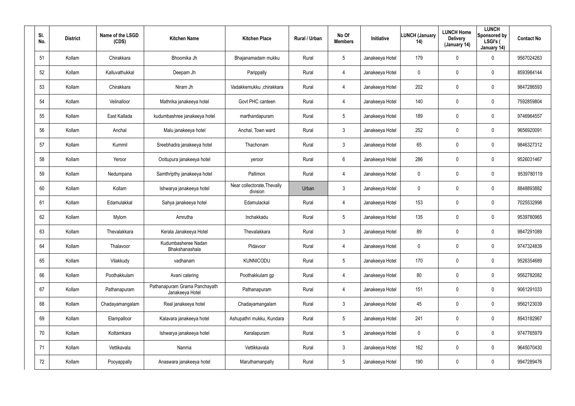| SI.<br>No. | <b>District</b> | Name of the LSGD<br>(CDS) | <b>Kitchen Name</b>                              | <b>Kitchen Place</b>                    | <b>Rural / Urban</b> | No Of<br><b>Members</b> | <b>Initiative</b> | <b>LUNCH (January</b><br>14) | <b>LUNCH Home</b><br><b>Delivery</b><br>(January 14) | <b>LUNCH</b><br>Sponsored by<br>LSGI's (<br>January 14) | <b>Contact No</b> |
|------------|-----------------|---------------------------|--------------------------------------------------|-----------------------------------------|----------------------|-------------------------|-------------------|------------------------------|------------------------------------------------------|---------------------------------------------------------|-------------------|
| 51         | Kollam          | Chirakkara                | Bhoomika Jh                                      | Bhajanamadam mukku                      | Rural                | $5\overline{)}$         | Janakeeya Hotel   | 179                          | $\mathbf 0$                                          | 0                                                       | 9567024263        |
| 52         | Kollam          | Kalluvathukkal            | Deepam Jh                                        | Parippally                              | Rural                | $\overline{4}$          | Janakeeya Hotel   | 0                            | 0                                                    | 0                                                       | 8593984144        |
| 53         | Kollam          | Chirakkara                | Niram Jh                                         | Vadakkemukku ,chirakkara                | Rural                | 4                       | Janakeeya Hotel   | 202                          | $\mathbf 0$                                          | 0                                                       | 9847286593        |
| 54         | Kollam          | Velinalloor               | Mathrika janakeeya hotel                         | Govt PHC canteen                        | Rural                | $\overline{4}$          | Janakeeya Hotel   | 140                          | 0                                                    | 0                                                       | 7592859804        |
| 55         | Kollam          | East Kallada              | kudumbashree janakeeya hotel                     | marthandapuram                          | Rural                | $5\phantom{.0}$         | Janakeeya Hotel   | 189                          | $\mathbf 0$                                          | 0                                                       | 9746964557        |
| 56         | Kollam          | Anchal                    | Malu janakeeya hotel                             | Anchal, Town ward                       | Rural                | $\mathbf{3}$            | Janakeeya Hotel   | 252                          | 0                                                    | 0                                                       | 9656920091        |
| 57         | Kollam          | Kummil                    | Sreebhadra janakeeya hotel                       | Thachonam                               | Rural                | $\mathbf{3}$            | Janakeeya Hotel   | 65                           | $\pmb{0}$                                            | 0                                                       | 9846327312        |
| 58         | Kollam          | Yeroor                    | Oottupura janakeeya hotel                        | yeroor                                  | Rural                | 6                       | Janakeeya Hotel   | 286                          | $\boldsymbol{0}$                                     | 0                                                       | 9526031467        |
| 59         | Kollam          | Nedumpana                 | Samthripthy janakeeya hotel                      | Pallimon                                | Rural                | 4                       | Janakeeya Hotel   | 0                            | $\pmb{0}$                                            | 0                                                       | 9539780119        |
| 60         | Kollam          | Kollam                    | Ishwarya janakeeya hotel                         | Near collectorate, Thevally<br>division | Urban                | $\mathbf{3}$            | Janakeeya Hotel   | 0                            | $\boldsymbol{0}$                                     | 0                                                       | 8848893882        |
| 61         | Kollam          | Edamulakkal               | Sahya janakeeya hotel                            | Edamulackal                             | Rural                | 4                       | Janakeeya Hotel   | 153                          | $\pmb{0}$                                            | 0                                                       | 7025532998        |
| 62         | Kollam          | Mylom                     | Amrutha                                          | Inchakkadu                              | Rural                | $5\phantom{.0}$         | Janakeeya Hotel   | 135                          | $\boldsymbol{0}$                                     | 0                                                       | 9539780965        |
| 63         | Kollam          | Thevalakkara              | Kerala Janakeeya Hotel                           | Thevalakkara                            | Rural                | $\mathbf{3}$            | Janakeeya Hotel   | 89                           | $\boldsymbol{0}$                                     | 0                                                       | 9847291089        |
| 64         | Kollam          | Thalavoor                 | Kudumbasheree Nadan<br>Bhakshanashala            | Pidavoor                                | Rural                | 4                       | Janakeeya Hotel   | 0                            | $\pmb{0}$                                            | 0                                                       | 9747324839        |
| 65         | Kollam          | Vilakkudy                 | vadhanam                                         | KUNNICODU                               | Rural                | $5\phantom{.0}$         | Janakeeya Hotel   | 170                          | $\mathbf 0$                                          | 0                                                       | 9526354689        |
| 66         | Kollam          | Poothakkulam              | Avani catering                                   | Poothakkulam gp                         | Rural                | $\overline{4}$          | Janakeeya Hotel   | 80                           | $\boldsymbol{0}$                                     | 0                                                       | 9562782082        |
| 67         | Kollam          | Pathanapuram              | Pathanapuram Grama Panchayath<br>Janakeeya Hotel | Pathanapuram                            | Rural                | $\overline{4}$          | Janakeeya Hotel   | 151                          | $\mathbf 0$                                          | 0                                                       | 9061291033        |
| 68         | Kollam          | Chadayamangalam           | Real janakeeya hotel                             | Chadayamangalam                         | Rural                | $\mathbf{3}$            | Janakeeya Hotel   | 45                           | $\mathbf 0$                                          | 0                                                       | 9562123039        |
| 69         | Kollam          | Elampalloor               | Kalavara janakeeya hotel                         | Ashupathri mukku, Kundara               | Rural                | $5\phantom{.0}$         | Janakeeya Hotel   | 241                          | $\mathbf 0$                                          | 0                                                       | 8943182967        |
| 70         | Kollam          | Kottamkara                | Ishwarya janakeeya hotel                         | Keralapuram                             | Rural                | $5\phantom{.0}$         | Janakeeya Hotel   | 0                            | $\mathbf 0$                                          | 0                                                       | 9747765979        |
| 71         | Kollam          | Vettikavala               | Nanma                                            | Vettikkavala                            | Rural                | $\mathbf{3}$            | Janakeeya Hotel   | 162                          | $\overline{0}$                                       | 0                                                       | 9645070430        |
| 72         | Kollam          | Pooyappally               | Anaswara janakeeya hotel                         | Maruthamanpally                         | Rural                | $5\phantom{.0}$         | Janakeeya Hotel   | 190                          | $\mathbf 0$                                          | 0                                                       | 9947289476        |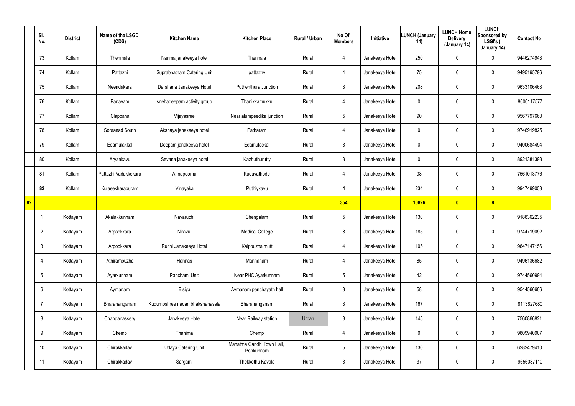|    | SI.<br>No.      | <b>District</b> | Name of the LSGD<br>(CDS) | <b>Kitchen Name</b>             | <b>Kitchen Place</b>                   | Rural / Urban | No Of<br><b>Members</b> | Initiative      | <b>LUNCH (January</b><br>14) | <b>LUNCH Home</b><br><b>Delivery</b><br>(January 14) | <b>LUNCH</b><br>Sponsored by<br>LSGI's (<br>January 14) | <b>Contact No</b> |
|----|-----------------|-----------------|---------------------------|---------------------------------|----------------------------------------|---------------|-------------------------|-----------------|------------------------------|------------------------------------------------------|---------------------------------------------------------|-------------------|
|    | 73              | Kollam          | Thenmala                  | Nanma janakeeya hotel           | Thennala                               | Rural         | 4                       | Janakeeya Hotel | 250                          | 0                                                    | $\mathbf 0$                                             | 9446274943        |
|    | 74              | Kollam          | Pattazhi                  | Suprabhatham Catering Unit      | pattazhy                               | Rural         | 4                       | Janakeeya Hotel | 75                           | 0                                                    | $\boldsymbol{0}$                                        | 9495195796        |
|    | 75              | Kollam          | Neendakara                | Darshana Janakeeya Hotel        | Puthenthura Junction                   | Rural         | $\mathbf{3}$            | Janakeeya Hotel | 208                          | 0                                                    | $\boldsymbol{0}$                                        | 9633106463        |
|    | 76              | Kollam          | Panayam                   | snehadeepam activity group      | Thanikkamukku                          | Rural         | 4                       | Janakeeya Hotel | 0                            | 0                                                    | $\boldsymbol{0}$                                        | 8606117577        |
|    | 77              | Kollam          | Clappana                  | Vijayasree                      | Near alumpeedika junction              | Rural         | $5\overline{)}$         | Janakeeya Hotel | 90                           | 0                                                    | $\mathbf 0$                                             | 9567797660        |
|    | 78              | Kollam          | Sooranad South            | Akshaya janakeeya hotel         | Patharam                               | Rural         | 4                       | Janakeeya Hotel | 0                            | 0                                                    | $\mathbf 0$                                             | 9746919825        |
|    | 79              | Kollam          | Edamulakkal               | Deepam janakeeya hotel          | Edamulackal                            | Rural         | $\mathfrak{Z}$          | Janakeeya Hotel | 0                            | 0                                                    | $\boldsymbol{0}$                                        | 9400684494        |
|    | 80              | Kollam          | Aryankavu                 | Sevana janakeeya hotel          | Kazhuthurutty                          | Rural         | 3                       | Janakeeya Hotel | 0                            | 0                                                    | $\mathbf 0$                                             | 8921381398        |
|    | 81              | Kollam          | Pattazhi Vadakkekara      | Annapoorna                      | Kaduvathode                            | Rural         | 4                       | Janakeeya Hotel | 98                           | 0                                                    | $\mathbf 0$                                             | 7561013776        |
|    | 82              | Kollam          | Kulasekharapuram          | Vinayaka                        | Puthiykavu                             | Rural         | 4                       | Janakeeya Hotel | 234                          | 0                                                    | $\mathbf 0$                                             | 9947499053        |
| 82 |                 |                 |                           |                                 |                                        |               | 354                     |                 | 10826                        | $\overline{\mathbf{0}}$                              | 8                                                       |                   |
|    |                 | Kottayam        | Akalakkunnam              | Navaruchi                       | Chengalam                              | Rural         | $5\phantom{.0}$         | Janakeeya Hotel | 130                          | 0                                                    | $\mathbf 0$                                             | 9188362235        |
|    | $\overline{2}$  | Kottayam        | Arpookkara                | Niravu                          | <b>Medical College</b>                 | Rural         | 8                       | Janakeeya Hotel | 185                          | 0                                                    | $\mathbf 0$                                             | 9744719092        |
|    | 3               | Kottayam        | Arpookkara                | Ruchi Janakeeya Hotel           | Kaippuzha mutt                         | Rural         | 4                       | Janakeeya Hotel | 105                          | 0                                                    | $\mathbf 0$                                             | 9847147156        |
|    | 4               | Kottayam        | Athirampuzha              | Hannas                          | Mannanam                               | Rural         | 4                       | Janakeeya Hotel | 85                           | 0                                                    | $\pmb{0}$                                               | 9496136682        |
|    | $5\phantom{.0}$ | Kottayam        | Ayarkunnam                | Panchami Unit                   | Near PHC Ayarkunnam                    | Rural         | $5\phantom{.0}$         | Janakeeya Hotel | 42                           | 0                                                    | $\pmb{0}$                                               | 9744560994        |
|    | 6               | Kottayam        | Aymanam                   | Bisiya                          | Aymanam panchayath hall                | Rural         | $\mathfrak{Z}$          | Janakeeya Hotel | 58                           | 0                                                    | $\pmb{0}$                                               | 9544560606        |
|    | -7              | Kottayam        | Bharananganam             | Kudumbshree nadan bhakshanasala | Bharananganam                          | Rural         | $\mathbf{3}$            | Janakeeya Hotel | 167                          | 0                                                    | $\pmb{0}$                                               | 8113827680        |
|    | 8               | Kottayam        | Changanassery             | Janakeeya Hotel                 | Near Railway station                   | Urban         | $\mathfrak{Z}$          | Janakeeya Hotel | 145                          | 0                                                    | $\pmb{0}$                                               | 7560866821        |
|    | 9               | Kottayam        | Chemp                     | Thanima                         | Chemp                                  | Rural         | 4                       | Janakeeya Hotel | $\boldsymbol{0}$             | 0                                                    | $\pmb{0}$                                               | 9809940907        |
|    | 10 <sup>°</sup> | Kottayam        | Chirakkadav               | <b>Udaya Catering Unit</b>      | Mahatma Gandhi Town Hall,<br>Ponkunnam | Rural         | $5\phantom{.0}$         | Janakeeya Hotel | 130                          | 0                                                    | $\pmb{0}$                                               | 6282479410        |
|    | 11              | Kottayam        | Chirakkadav               | Sargam                          | Thekkethu Kavala                       | Rural         | $\mathfrak{Z}$          | Janakeeya Hotel | 37                           | 0                                                    | $\pmb{0}$                                               | 9656087110        |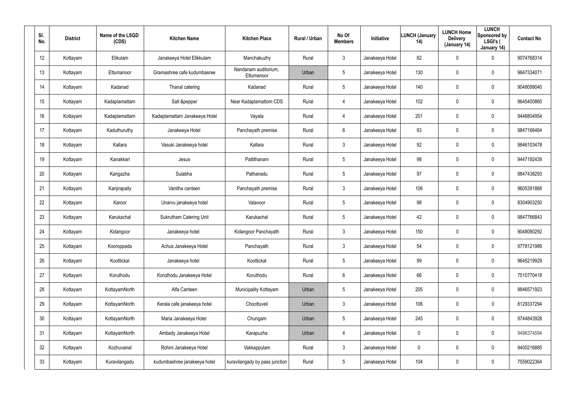| SI.<br>No. | <b>District</b> | Name of the LSGD<br>(CDS) | <b>Kitchen Name</b>            | <b>Kitchen Place</b>               | Rural / Urban | No Of<br><b>Members</b> | Initiative      | <b>LUNCH (January</b><br>14) | <b>LUNCH Home</b><br><b>Delivery</b><br>(January 14) | <b>LUNCH</b><br>Sponsored by<br>LSGI's (<br>January 14) | <b>Contact No</b> |
|------------|-----------------|---------------------------|--------------------------------|------------------------------------|---------------|-------------------------|-----------------|------------------------------|------------------------------------------------------|---------------------------------------------------------|-------------------|
| 12         | Kottayam        | Elikulam                  | Janakeeya Hotel Elikkulam      | Manchakuzhy                        | Rural         | 3                       | Janakeeya Hotel | 82                           | $\mathbf 0$                                          | 0                                                       | 9074768314        |
| 13         | Kottayam        | Ettumanoor                | Gramashree cafe kudumbasree    | Nandanam auditorium,<br>Ettumanoor | Urban         | 5                       | Janakeeya Hotel | 130                          | $\mathbf 0$                                          | 0                                                       | 9847334071        |
| 14         | Kottayam        | Kadanad                   | Thanal catering                | Kadanad                            | Rural         | $5\phantom{.0}$         | Janakeeya Hotel | 140                          | $\boldsymbol{0}$                                     | $\pmb{0}$                                               | 9048099040        |
| 15         | Kottayam        | Kadaplamattam             | Salt &pepper                   | Near Kadaplamattom CDS             | Rural         | 4                       | Janakeeya Hotel | 102                          | $\mathbf 0$                                          | 0                                                       | 9645400860        |
| 16         | Kottayam        | Kadaplamattam             | Kadaplamattam Janakeeya Hotel  | Vayala                             | Rural         | $\overline{4}$          | Janakeeya Hotel | 201                          | $\boldsymbol{0}$                                     | $\pmb{0}$                                               | 9446804954        |
| 17         | Kottayam        | Kaduthuruthy              | Janakeeya Hotel                | Panchayath premise                 | Rural         | 6                       | Janakeeya Hotel | 93                           | $\mathbf 0$                                          | 0                                                       | 9847166464        |
| 18         | Kottayam        | Kallara                   | Vasuki Janakeeya hotel         | Kallara                            | Rural         | $\mathbf{3}$            | Janakeeya Hotel | 92                           | 0                                                    | $\mathbf 0$                                             | 9846103478        |
| 19         | Kottayam        | Kanakkari                 | Jesus                          | Pattithanam                        | Rural         | 5                       | Janakeeya Hotel | 98                           | 0                                                    | $\mathbf 0$                                             | 9447192439        |
| 20         | Kottayam        | Kangazha                  | Sulabha                        | Pathanadu                          | Rural         | 5                       | Janakeeya Hotel | 97                           | 0                                                    | $\mathbf 0$                                             | 9847438293        |
| 21         | Kottayam        | Kanjirapally              | Vanitha canteen                | Panchayath premise                 | Rural         | 3                       | Janakeeya Hotel | 106                          | 0                                                    | $\mathbf 0$                                             | 9605391868        |
| 22         | Kottayam        | Karoor                    | Unarvu janakeeya hotel         | Valavoor                           | Rural         | 5                       | Janakeeya Hotel | 98                           | 0                                                    | $\mathbf 0$                                             | 8304903250        |
| 23         | Kottayam        | Karukachal                | <b>Sukrutham Catering Unit</b> | Karukachal                         | Rural         | 5                       | Janakeeya Hotel | 42                           | 0                                                    | $\mathbf 0$                                             | 9847766843        |
| 24         | Kottayam        | Kidangoor                 | Janakeeya hotel                | Kidangoor Panchayath               | Rural         | 3                       | Janakeeya Hotel | 150                          | 0                                                    | $\mathbf 0$                                             | 9048080292        |
| 25         | Kottayam        | Kooroppada                | Achus Janakeeya Hotel          | Panchayath                         | Rural         | 3                       | Janakeeya Hotel | 54                           | $\pmb{0}$                                            | 0                                                       | 9778121989        |
| 26         | Kottayam        | Koottickal                | Janakeeya hotel                | Koottickal                         | Rural         | $5\phantom{.0}$         | Janakeeya Hotel | 99                           | $\pmb{0}$                                            | 0                                                       | 9645219929        |
| 27         | Kottayam        | Koruthodu                 | Koruthodu Janakeeya Hotel      | Koruthodu                          | Rural         | $6\phantom{.}6$         | Janakeeya Hotel | 66                           | $\pmb{0}$                                            | 0                                                       | 7510770418        |
| 28         | Kottayam        | KottayamNorth             | Alfa Canteen                   | Municipality Kottayam              | Urban         | $5\phantom{.0}$         | Janakeeya Hotel | 205                          | $\pmb{0}$                                            | 0                                                       | 9846571923        |
| 29         | Kottayam        | KottayamNorth             | Kerala cafe janakeeya hotel    | Choottuveli                        | Urban         | $\mathfrak{Z}$          | Janakeeya Hotel | 106                          | $\pmb{0}$                                            | $\pmb{0}$                                               | 8129337294        |
| 30         | Kottayam        | KottayamNorth             | Maria Janakeeya Hotel          | Chungam                            | Urban         | 5                       | Janakeeya Hotel | 245                          | $\pmb{0}$                                            | $\pmb{0}$                                               | 9744843928        |
| 31         | Kottayam        | KottayamNorth             | Ambady Janakeeya Hotel         | Karapuzha                          | Urban         | $\overline{4}$          | Janakeeya Hotel | 0                            | $\pmb{0}$                                            | $\pmb{0}$                                               | 9496374594        |
| 32         | Kottayam        | Kozhuvanal                | Rohini Janakeeya Hotel         | Vakkappulam                        | Rural         | $\mathfrak{Z}$          | Janakeeya Hotel | 0                            | $\pmb{0}$                                            | $\pmb{0}$                                               | 9400216885        |
| 33         | Kottayam        | Kuravilangadu             | kudumbashree janakeeya hotel   | kuravilangady by pass junction     | Rural         | 5                       | Janakeeya Hotel | 104                          | $\pmb{0}$                                            | $\pmb{0}$                                               | 7559022364        |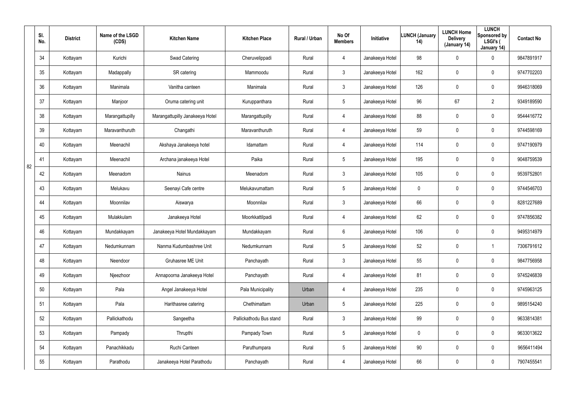|    | SI.<br>No. | <b>District</b> | Name of the LSGD<br>(CDS) | <b>Kitchen Name</b>             | <b>Kitchen Place</b>    | Rural / Urban | No Of<br><b>Members</b> | <b>Initiative</b> | <b>LUNCH (January</b><br>14) | <b>LUNCH Home</b><br><b>Delivery</b><br>(January 14) | <b>LUNCH</b><br>Sponsored by<br>LSGI's (<br>January 14) | <b>Contact No</b> |
|----|------------|-----------------|---------------------------|---------------------------------|-------------------------|---------------|-------------------------|-------------------|------------------------------|------------------------------------------------------|---------------------------------------------------------|-------------------|
|    | 34         | Kottayam        | Kurichi                   | Swad Catering                   | Cheruvelippadi          | Rural         | 4                       | Janakeeya Hotel   | 98                           | $\mathbf 0$                                          | 0                                                       | 9847891917        |
|    | 35         | Kottayam        | Madappally                | SR catering                     | Mammoodu                | Rural         | $\mathbf{3}$            | Janakeeya Hotel   | 162                          | $\mathbf 0$                                          | 0                                                       | 9747702203        |
|    | 36         | Kottayam        | Manimala                  | Vanitha canteen                 | Manimala                | Rural         | $\mathfrak{Z}$          | Janakeeya Hotel   | 126                          | $\mathbf 0$                                          | 0                                                       | 9946318069        |
|    | 37         | Kottayam        | Manjoor                   | Oruma catering unit             | Kuruppanthara           | Rural         | $5\overline{)}$         | Janakeeya Hotel   | 96                           | 67                                                   | $\overline{2}$                                          | 9349189590        |
|    | 38         | Kottayam        | Marangattupilly           | Marangattupilly Janakeeya Hotel | Marangattupilly         | Rural         | 4                       | Janakeeya Hotel   | 88                           | $\mathbf 0$                                          | 0                                                       | 9544416772        |
|    | 39         | Kottayam        | Maravanthuruth            | Changathi                       | Maravanthuruth          | Rural         | 4                       | Janakeeya Hotel   | 59                           | 0                                                    | 0                                                       | 9744598169        |
|    | 40         | Kottayam        | Meenachil                 | Akshaya Janakeeya hotel         | Idamattam               | Rural         | 4                       | Janakeeya Hotel   | 114                          | $\mathbf 0$                                          | 0                                                       | 9747190979        |
| 82 | 41         | Kottayam        | Meenachil                 | Archana janakeeya Hotel         | Paika                   | Rural         | $5\overline{)}$         | Janakeeya Hotel   | 195                          | $\mathbf 0$                                          | 0                                                       | 9048759539        |
|    | 42         | Kottayam        | Meenadom                  | Nainus                          | Meenadom                | Rural         | $\mathbf{3}$            | Janakeeya Hotel   | 105                          | $\mathbf 0$                                          | 0                                                       | 9539752801        |
|    | 43         | Kottayam        | Melukavu                  | Seenayi Cafe centre             | Melukavumattam          | Rural         | $5\overline{)}$         | Janakeeya Hotel   | 0                            | $\boldsymbol{0}$                                     | 0                                                       | 9744546703        |
|    | 44         | Kottayam        | Moonnilav                 | Aiswarya                        | Moonnilav               | Rural         | $\mathbf{3}$            | Janakeeya Hotel   | 66                           | $\mathbf 0$                                          | 0                                                       | 8281227689        |
|    | 45         | Kottayam        | Mulakkulam                | Janakeeya Hotel                 | Moorkkattilpadi         | Rural         | 4                       | Janakeeya Hotel   | 62                           | 0                                                    | 0                                                       | 9747856382        |
|    | 46         | Kottayam        | Mundakkayam               | Janakeeya Hotel Mundakkayam     | Mundakkayam             | Rural         | $6\phantom{.}6$         | Janakeeya Hotel   | 106                          | $\mathbf 0$                                          | 0                                                       | 9495314979        |
|    | 47         | Kottayam        | Nedumkunnam               | Nanma Kudumbashree Unit         | Nedumkunnam             | Rural         | $5\phantom{.0}$         | Janakeeya Hotel   | 52                           | $\mathbf 0$                                          |                                                         | 7306791612        |
|    | 48         | Kottayam        | Neendoor                  | Gruhasree ME Unit               | Panchayath              | Rural         | $\mathbf{3}$            | Janakeeya Hotel   | 55                           | $\boldsymbol{0}$                                     | 0                                                       | 9847756958        |
|    | 49         | Kottayam        | Njeezhoor                 | Annapoorna Janakeeya Hotel      | Panchayath              | Rural         | 4                       | Janakeeya Hotel   | 81                           | $\mathbf 0$                                          | 0                                                       | 9745246839        |
|    | 50         | Kottayam        | Pala                      | Angel Janakeeya Hotel           | Pala Municipality       | Urban         | 4                       | Janakeeya Hotel   | 235                          | $\boldsymbol{0}$                                     | 0                                                       | 9745963125        |
|    | 51         | Kottayam        | Pala                      | Harithasree catering            | Chethimattam            | Urban         | $5\phantom{.0}$         | Janakeeya Hotel   | 225                          | $\mathbf 0$                                          | 0                                                       | 9895154240        |
|    | 52         | Kottayam        | Pallickathodu             | Sangeetha                       | Pallickathodu Bus stand | Rural         | $\mathbf{3}$            | Janakeeya Hotel   | 99                           | $\mathbf 0$                                          | 0                                                       | 9633814381        |
|    | 53         | Kottayam        | Pampady                   | Thrupthi                        | Pampady Town            | Rural         | $5\phantom{.0}$         | Janakeeya Hotel   | $\mathbf 0$                  | $\mathbf 0$                                          | 0                                                       | 9633013622        |
|    | 54         | Kottayam        | Panachikkadu              | Ruchi Canteen                   | Paruthumpara            | Rural         | $5\phantom{.0}$         | Janakeeya Hotel   | 90                           | $\mathbf 0$                                          | 0                                                       | 9656411494        |
|    | 55         | Kottayam        | Parathodu                 | Janakeeya Hotel Parathodu       | Panchayath              | Rural         | 4                       | Janakeeya Hotel   | 66                           | $\mathbf 0$                                          | 0                                                       | 7907455541        |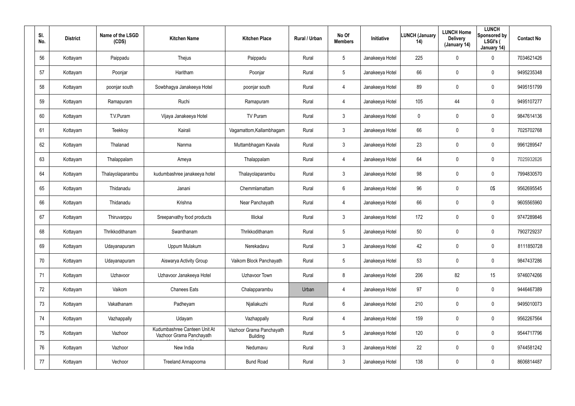| SI.<br>No. | <b>District</b> | Name of the LSGD<br>(CDS) | <b>Kitchen Name</b>                                      | <b>Kitchen Place</b>                        | Rural / Urban | No Of<br><b>Members</b> | Initiative      | <b>LUNCH (January</b><br>14) | <b>LUNCH Home</b><br><b>Delivery</b><br>(January 14) | <b>LUNCH</b><br>Sponsored by<br>LSGI's (<br>January 14) | <b>Contact No</b> |
|------------|-----------------|---------------------------|----------------------------------------------------------|---------------------------------------------|---------------|-------------------------|-----------------|------------------------------|------------------------------------------------------|---------------------------------------------------------|-------------------|
| 56         | Kottayam        | Paippadu                  | Thejus                                                   | Paippadu                                    | Rural         | 5                       | Janakeeya Hotel | 225                          | $\pmb{0}$                                            | 0                                                       | 7034621426        |
| 57         | Kottayam        | Poonjar                   | Haritham                                                 | Poonjar                                     | Rural         | 5                       | Janakeeya Hotel | 66                           | $\boldsymbol{0}$                                     | 0                                                       | 9495235348        |
| 58         | Kottayam        | poonjar south             | Sowbhagya Janakeeya Hotel                                | poonjar south                               | Rural         | $\overline{4}$          | Janakeeya Hotel | 89                           | $\pmb{0}$                                            | 0                                                       | 9495151799        |
| 59         | Kottayam        | Ramapuram                 | Ruchi                                                    | Ramapuram                                   | Rural         | $\overline{4}$          | Janakeeya Hotel | 105                          | 44                                                   | 0                                                       | 9495107277        |
| 60         | Kottayam        | T.V.Puram                 | Vijaya Janakeeya Hotel                                   | TV Puram                                    | Rural         | $\mathbf{3}$            | Janakeeya Hotel | 0                            | $\pmb{0}$                                            | 0                                                       | 9847614136        |
| 61         | Kottayam        | Teekkoy                   | Kairali                                                  | Vagamattom, Kallambhagam                    | Rural         | $\mathbf{3}$            | Janakeeya Hotel | 66                           | $\boldsymbol{0}$                                     | 0                                                       | 7025702768        |
| 62         | Kottayam        | Thalanad                  | Nanma                                                    | Muttambhagam Kavala                         | Rural         | $\mathbf{3}$            | Janakeeya Hotel | 23                           | $\pmb{0}$                                            | 0                                                       | 9961289547        |
| 63         | Kottayam        | Thalappalam               | Ameya                                                    | Thalappalam                                 | Rural         | 4                       | Janakeeya Hotel | 64                           | $\pmb{0}$                                            | $\mathbf 0$                                             | 7025932626        |
| 64         | Kottayam        | Thalayolaparambu          | kudumbashree janakeeya hotel                             | Thalayolaparambu                            | Rural         | $\mathbf{3}$            | Janakeeya Hotel | 98                           | $\pmb{0}$                                            | 0                                                       | 7994830570        |
| 65         | Kottayam        | Thidanadu                 | Janani                                                   | Chemmlamattam                               | Rural         | 6                       | Janakeeya Hotel | 96                           | $\pmb{0}$                                            | 0\$                                                     | 9562695545        |
| 66         | Kottayam        | Thidanadu                 | Krishna                                                  | Near Panchayath                             | Rural         | $\overline{4}$          | Janakeeya Hotel | 66                           | $\overline{0}$                                       | 0                                                       | 9605565960        |
| 67         | Kottayam        | Thiruvarppu               | Sreeparvathy food products                               | Illickal                                    | Rural         | $\mathbf{3}$            | Janakeeya Hotel | 172                          | $\boldsymbol{0}$                                     | $\mathbf 0$                                             | 9747289846        |
| 68         | Kottayam        | Thrikkodithanam           | Swanthanam                                               | Thrikkodithanam                             | Rural         | $5\phantom{.0}$         | Janakeeya Hotel | 50                           | $\overline{0}$                                       | 0                                                       | 7902729237        |
| 69         | Kottayam        | Udayanapuram              | Uppum Mulakum                                            | Nerekadavu                                  | Rural         | $\mathbf{3}$            | Janakeeya Hotel | 42                           | $\mathbf 0$                                          | 0                                                       | 8111850728        |
| 70         | Kottayam        | Udayanapuram              | Aiswarya Activity Group                                  | Vaikom Block Panchayath                     | Rural         | $5\phantom{.0}$         | Janakeeya Hotel | 53                           | $\pmb{0}$                                            | $\pmb{0}$                                               | 9847437286        |
| 71         | Kottayam        | Uzhavoor                  | Uzhavoor Janakeeya Hotel                                 | Uzhavoor Town                               | Rural         | 8                       | Janakeeya Hotel | 206                          | 82                                                   | 15                                                      | 9746074266        |
| 72         | Kottayam        | Vaikom                    | <b>Chanees Eats</b>                                      | Chalapparambu                               | Urban         | $\overline{4}$          | Janakeeya Hotel | 97                           | $\mathbf 0$                                          | $\pmb{0}$                                               | 9446467389        |
| 73         | Kottayam        | Vakathanam                | Padheyam                                                 | Njaliakuzhi                                 | Rural         | $6\phantom{.}6$         | Janakeeya Hotel | 210                          | $\mathbf 0$                                          | 0                                                       | 9495010073        |
| 74         | Kottayam        | Vazhappally               | Udayam                                                   | Vazhappally                                 | Rural         | $\overline{4}$          | Janakeeya Hotel | 159                          | $\pmb{0}$                                            | 0                                                       | 9562267564        |
| 75         | Kottayam        | Vazhoor                   | Kudumbashree Canteen Unit At<br>Vazhoor Grama Panchayath | Vazhoor Grama Panchayath<br><b>Building</b> | Rural         | 5                       | Janakeeya Hotel | 120                          | $\mathbf 0$                                          | 0                                                       | 9544717796        |
| 76         | Kottayam        | Vazhoor                   | New India                                                | Nedumavu                                    | Rural         | 3 <sup>1</sup>          | Janakeeya Hotel | 22                           | $\pmb{0}$                                            | 0                                                       | 9744581242        |
| 77         | Kottayam        | Vechoor                   | Treeland Annapoorna                                      | <b>Bund Road</b>                            | Rural         | 3 <sup>1</sup>          | Janakeeya Hotel | 138                          | $\boldsymbol{0}$                                     | 0                                                       | 8606814487        |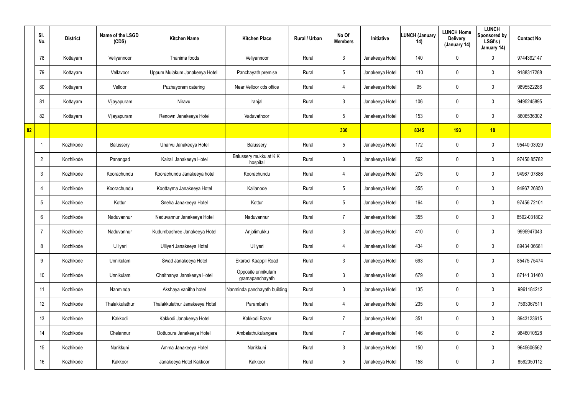|    | SI.<br>No.      | <b>District</b> | Name of the LSGD<br>(CDS) | <b>Kitchen Name</b>            | <b>Kitchen Place</b>                  | Rural / Urban | No Of<br><b>Members</b> | Initiative      | <b>LUNCH (January</b><br>14) | <b>LUNCH Home</b><br><b>Delivery</b><br>(January 14) | <b>LUNCH</b><br>Sponsored by<br>LSGI's (<br>January 14) | <b>Contact No</b> |
|----|-----------------|-----------------|---------------------------|--------------------------------|---------------------------------------|---------------|-------------------------|-----------------|------------------------------|------------------------------------------------------|---------------------------------------------------------|-------------------|
|    | 78              | Kottayam        | Veliyannoor               | Thanima foods                  | Veliyannoor                           | Rural         | $\mathfrak{Z}$          | Janakeeya Hotel | 140                          | 0                                                    | $\mathbf 0$                                             | 9744392147        |
|    | 79              | Kottayam        | Vellavoor                 | Uppum Mulakum Janakeeya Hotel  | Panchayath premise                    | Rural         | $5\phantom{.0}$         | Janakeeya Hotel | 110                          | 0                                                    | $\boldsymbol{0}$                                        | 9188317288        |
|    | 80              | Kottayam        | Velloor                   | Puzhayoram catering            | Near Velloor cds office               | Rural         | 4                       | Janakeeya Hotel | 95                           | 0                                                    | $\mathbf 0$                                             | 9895522286        |
|    | 81              | Kottayam        | Vijayapuram               | Niravu                         | Iranjal                               | Rural         | $\mathbf{3}$            | Janakeeya Hotel | 106                          | 0                                                    | $\boldsymbol{0}$                                        | 9495245895        |
|    | 82              | Kottayam        | Vijayapuram               | Renown Janakeeya Hotel         | Vadavathoor                           | Rural         | $5\phantom{.0}$         | Janakeeya Hotel | 153                          | $\mathbf 0$                                          | $\mathbf 0$                                             | 8606536302        |
| 82 |                 |                 |                           |                                |                                       |               | 336                     |                 | 8345                         | 193                                                  | 18                                                      |                   |
|    |                 | Kozhikode       | Balussery                 | Unarvu Janakeeya Hotel         | Balussery                             | Rural         | $5\phantom{.0}$         | Janakeeya Hotel | 172                          | 0                                                    | $\boldsymbol{0}$                                        | 95440 03929       |
|    | $\overline{2}$  | Kozhikode       | Panangad                  | Kairali Janakeeya Hotel        | Balussery mukku at KK<br>hospital     | Rural         | $\mathbf{3}$            | Janakeeya Hotel | 562                          | 0                                                    | $\boldsymbol{0}$                                        | 97450 85782       |
|    | 3               | Kozhikode       | Koorachundu               | Koorachundu Janakeeya hotel    | Koorachundu                           | Rural         | 4                       | Janakeeya Hotel | 275                          | 0                                                    | $\mathbf 0$                                             | 94967 07886       |
|    | 4               | Kozhikode       | Koorachundu               | Koottayma Janakeeya Hotel      | Kallanode                             | Rural         | $5\phantom{.0}$         | Janakeeya Hotel | 355                          | 0                                                    | $\mathbf 0$                                             | 94967 26850       |
|    | 5               | Kozhikode       | Kottur                    | Sneha Janakeeya Hotel          | Kottur                                | Rural         | $5\phantom{.0}$         | Janakeeya Hotel | 164                          | 0                                                    | $\mathbf 0$                                             | 97456 72101       |
|    | 6               | Kozhikode       | Naduvannur                | Naduvannur Janakeeya Hotel     | Naduvannur                            | Rural         | $\overline{7}$          | Janakeeya Hotel | 355                          | 0                                                    | $\mathbf 0$                                             | 8592-031802       |
|    | -7              | Kozhikode       | Naduvannur                | Kudumbashree Janakeeya Hotel   | Anjolimukku                           | Rural         | 3                       | Janakeeya Hotel | 410                          | 0                                                    | $\mathbf 0$                                             | 9995947043        |
|    | 8               | Kozhikode       | Ulliyeri                  | Ulliyeri Janakeeya Hotel       | Ulliyeri                              | Rural         | 4                       | Janakeeya Hotel | 434                          | $\mathbf 0$                                          | $\boldsymbol{0}$                                        | 89434 06681       |
|    | 9               | Kozhikode       | Unnikulam                 | Swad Janakeeya Hotel           | Ekarool Kaappil Road                  | Rural         | $\mathfrak{Z}$          | Janakeeya Hotel | 693                          | $\mathbf 0$                                          | $\boldsymbol{0}$                                        | 85475 75474       |
|    | 10 <sup>°</sup> | Kozhikode       | Unnikulam                 | Chaithanya Janakeeya Hotel     | Opposite unnikulam<br>gramapanchayath | Rural         | $\mathfrak{Z}$          | Janakeeya Hotel | 679                          | 0                                                    | $\pmb{0}$                                               | 87141 31460       |
|    | 11              | Kozhikode       | Nanminda                  | Akshaya vanitha hotel          | Nanminda panchayath building          | Rural         | $\mathfrak{Z}$          | Janakeeya Hotel | 135                          | $\pmb{0}$                                            | $\pmb{0}$                                               | 9961184212        |
|    | 12              | Kozhikode       | Thalakkulathur            | Thalakkulathur Janakeeya Hotel | Parambath                             | Rural         | 4                       | Janakeeya Hotel | 235                          | 0                                                    | $\pmb{0}$                                               | 7593067511        |
|    | 13              | Kozhikode       | Kakkodi                   | Kakkodi Janakeeya Hotel        | Kakkodi Bazar                         | Rural         | $\overline{7}$          | Janakeeya Hotel | 351                          | $\mathbf 0$                                          | $\boldsymbol{0}$                                        | 8943123615        |
|    | 14              | Kozhikode       | Chelannur                 | Oottupura Janakeeya Hotel      | Ambalathukulangara                    | Rural         | $\overline{7}$          | Janakeeya Hotel | 146                          | 0                                                    | $\overline{2}$                                          | 9846010528        |
|    | 15              | Kozhikode       | Narikkuni                 | Amma Janakeeya Hotel           | Narikkuni                             | Rural         | $\mathfrak{Z}$          | Janakeeya Hotel | 150                          | 0                                                    | $\mathbf 0$                                             | 9645606562        |
|    | 16              | Kozhikode       | Kakkoor                   | Janakeeya Hotel Kakkoor        | Kakkoor                               | Rural         | $5\phantom{.0}$         | Janakeeya Hotel | 158                          | 0                                                    | $\pmb{0}$                                               | 8592050112        |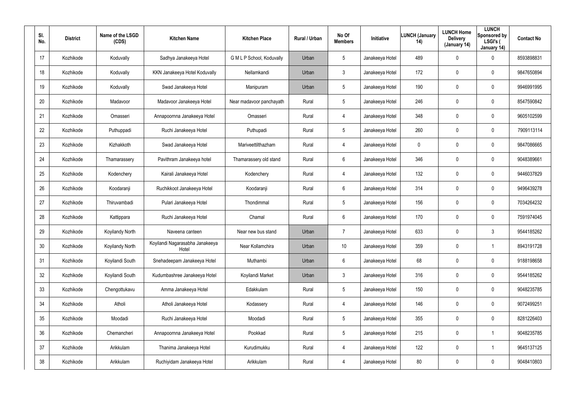| SI.<br>No.      | <b>District</b> | Name of the LSGD<br>(CDS) | <b>Kitchen Name</b>                      | <b>Kitchen Place</b>      | Rural / Urban | No Of<br><b>Members</b> | Initiative      | <b>LUNCH (January</b><br>14) | <b>LUNCH Home</b><br><b>Delivery</b><br>(January 14) | <b>LUNCH</b><br>Sponsored by<br>LSGI's (<br>January 14) | <b>Contact No</b> |
|-----------------|-----------------|---------------------------|------------------------------------------|---------------------------|---------------|-------------------------|-----------------|------------------------------|------------------------------------------------------|---------------------------------------------------------|-------------------|
| 17              | Kozhikode       | Koduvally                 | Sadhya Janakeeya Hotel                   | G M L P School, Koduvally | Urban         | 5                       | Janakeeya Hotel | 489                          | $\mathbf 0$                                          | 0                                                       | 8593898831        |
| 18              | Kozhikode       | Koduvally                 | KKN Janakeeya Hotel Koduvally            | Nellamkandi               | Urban         | 3                       | Janakeeya Hotel | 172                          | $\mathbf 0$                                          | 0                                                       | 9847650894        |
| 19              | Kozhikode       | Koduvally                 | Swad Janakeeya Hotel                     | Manipuram                 | Urban         | 5                       | Janakeeya Hotel | 190                          | $\mathbf 0$                                          | $\pmb{0}$                                               | 9946991995        |
| 20              | Kozhikode       | Madavoor                  | Madavoor Janakeeya Hotel                 | Near madavoor panchayath  | Rural         | 5                       | Janakeeya Hotel | 246                          | $\mathbf 0$                                          | 0                                                       | 8547590842        |
| 21              | Kozhikode       | Omasseri                  | Annapoornna Janakeeya Hotel              | Omasseri                  | Rural         | $\overline{4}$          | Janakeeya Hotel | 348                          | $\boldsymbol{0}$                                     | 0                                                       | 9605102599        |
| 22              | Kozhikode       | Puthuppadi                | Ruchi Janakeeya Hotel                    | Puthupadi                 | Rural         | 5                       | Janakeeya Hotel | 260                          | $\mathbf 0$                                          | 0                                                       | 7909113114        |
| 23              | Kozhikode       | Kizhakkoth                | Swad Janakeeya Hotel                     | Mariveettilthazham        | Rural         | $\overline{4}$          | Janakeeya Hotel | 0                            | 0                                                    | $\mathbf 0$                                             | 9847086665        |
| 24              | Kozhikode       | Thamarassery              | Pavithram Janakeeya hotel                | Thamarassery old stand    | Rural         | 6                       | Janakeeya Hotel | 346                          | 0                                                    | $\mathbf 0$                                             | 9048389661        |
| 25              | Kozhikode       | Kodenchery                | Kairali Janakeeya Hotel                  | Kodenchery                | Rural         | 4                       | Janakeeya Hotel | 132                          | 0                                                    | $\mathbf 0$                                             | 9446037829        |
| 26              | Kozhikode       | Koodaranji                | Ruchikkoot Janakeeya Hotel               | Koodaranji                | Rural         | 6                       | Janakeeya Hotel | 314                          | 0                                                    | $\mathbf 0$                                             | 9496439278        |
| 27              | Kozhikode       | Thiruvambadi              | Pulari Janakeeya Hotel                   | Thondimmal                | Rural         | 5                       | Janakeeya Hotel | 156                          | 0                                                    | $\mathbf 0$                                             | 7034264232        |
| 28              | Kozhikode       | Kattippara                | Ruchi Janakeeya Hotel                    | Chamal                    | Rural         | 6                       | Janakeeya Hotel | 170                          | 0                                                    | $\mathbf 0$                                             | 7591974045        |
| 29              | Kozhikode       | Koyilandy North           | Naveena canteen                          | Near new bus stand        | Urban         | $\overline{7}$          | Janakeeya Hotel | 633                          | 0                                                    | 3                                                       | 9544185262        |
| 30 <sup>°</sup> | Kozhikode       | Koyilandy North           | Koyilandi Nagarasabha Janakeeya<br>Hotel | Near Kollamchira          | Urban         | 10 <sup>°</sup>         | Janakeeya Hotel | 359                          | $\overline{0}$                                       |                                                         | 8943191728        |
| 31              | Kozhikode       | Koyilandi South           | Snehadeepam Janakeeya Hotel              | Muthambi                  | Urban         | 6                       | Janakeeya Hotel | 68                           | $\pmb{0}$                                            | 0                                                       | 9188198658        |
| 32              | Kozhikode       | Koyilandi South           | Kudumbashree Janakeeya Hotel             | Koyilandi Market          | Urban         | 3                       | Janakeeya Hotel | 316                          | $\pmb{0}$                                            | 0                                                       | 9544185262        |
| 33              | Kozhikode       | Chengottukavu             | Amma Janakeeya Hotel                     | Edakkulam                 | Rural         | 5                       | Janakeeya Hotel | 150                          | $\pmb{0}$                                            | 0                                                       | 9048235785        |
| 34              | Kozhikode       | Atholi                    | Atholi Janakeeya Hotel                   | Kodassery                 | Rural         | $\overline{4}$          | Janakeeya Hotel | 146                          | $\pmb{0}$                                            | $\pmb{0}$                                               | 9072499251        |
| 35              | Kozhikode       | Moodadi                   | Ruchi Janakeeya Hotel                    | Moodadi                   | Rural         | 5                       | Janakeeya Hotel | 355                          | $\pmb{0}$                                            | $\pmb{0}$                                               | 8281226403        |
| 36              | Kozhikode       | Chemancheri               | Annapoornna Janakeeya Hotel              | Pookkad                   | Rural         | 5                       | Janakeeya Hotel | 215                          | $\boldsymbol{0}$                                     |                                                         | 9048235785        |
| 37              | Kozhikode       | Arikkulam                 | Thanima Janakeeya Hotel                  | Kurudimukku               | Rural         | $\overline{4}$          | Janakeeya Hotel | 122                          | $\pmb{0}$                                            |                                                         | 9645137125        |
| 38              | Kozhikode       | Arikkulam                 | Ruchiyidam Janakeeya Hotel               | Arikkulam                 | Rural         | 4                       | Janakeeya Hotel | 80                           | $\boldsymbol{0}$                                     | 0                                                       | 9048410803        |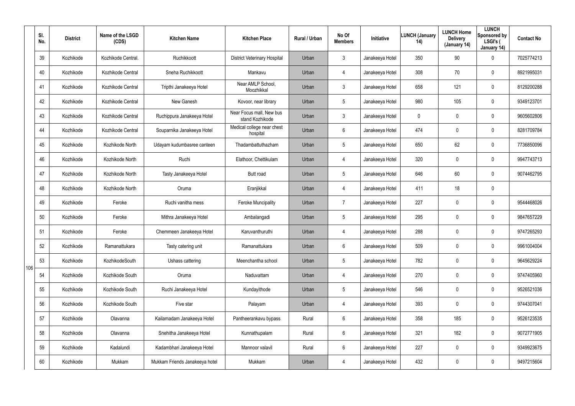|     | SI.<br>No. | <b>District</b> | Name of the LSGD<br>(CDS) | <b>Kitchen Name</b>            | <b>Kitchen Place</b>                        | Rural / Urban | No Of<br><b>Members</b> | <b>Initiative</b> | <b>LUNCH (January</b><br>14) | <b>LUNCH Home</b><br><b>Delivery</b><br>(January 14) | <b>LUNCH</b><br>Sponsored by<br>LSGI's (<br>January 14) | <b>Contact No</b> |
|-----|------------|-----------------|---------------------------|--------------------------------|---------------------------------------------|---------------|-------------------------|-------------------|------------------------------|------------------------------------------------------|---------------------------------------------------------|-------------------|
|     | 39         | Kozhikode       | Kozhikode Central.        | Ruchikkoott                    | <b>District Veterinary Hospital</b>         | Urban         | 3                       | Janakeeya Hotel   | 350                          | 90                                                   | 0                                                       | 7025774213        |
|     | 40         | Kozhikode       | Kozhikode Central         | Sneha Ruchikkoott              | Mankavu                                     | Urban         | 4                       | Janakeeya Hotel   | 308                          | 70                                                   | 0                                                       | 8921995031        |
|     | 41         | Kozhikode       | Kozhikode Central         | Tripthi Janakeeya Hotel        | Near AMLP School,<br>Moozhikkal             | Urban         | 3                       | Janakeeya Hotel   | 658                          | 121                                                  | 0                                                       | 8129200288        |
|     | 42         | Kozhikode       | Kozhikode Central         | New Ganesh                     | Kovoor, near library                        | Urban         | 5                       | Janakeeya Hotel   | 980                          | 105                                                  | 0                                                       | 9349123701        |
|     | 43         | Kozhikode       | Kozhikode Central         | Ruchippura Janakeeya Hotel     | Near Focus mall, New bus<br>stand Kozhikode | Urban         | 3                       | Janakeeya Hotel   | 0                            | 0                                                    | 0                                                       | 9605602806        |
|     | 44         | Kozhikode       | Kozhikode Central         | Souparnika Janakeeya Hotel     | Medical college near chest<br>hospital      | Urban         | 6                       | Janakeeya Hotel   | 474                          | 0                                                    | 0                                                       | 8281709784        |
|     | 45         | Kozhikode       | Kozhikode North           | Udayam kudumbasree canteen     | Thadambattuthazham                          | Urban         | 5                       | Janakeeya Hotel   | 650                          | 62                                                   | 0                                                       | 7736850096        |
|     | 46         | Kozhikode       | Kozhikode North           | Ruchi                          | Elathoor, Chettikulam                       | Urban         | 4                       | Janakeeya Hotel   | 320                          | 0                                                    | 0                                                       | 9947743713        |
|     | 47         | Kozhikode       | Kozhikode North           | Tasty Janakeeya Hotel          | Butt road                                   | Urban         | 5                       | Janakeeya Hotel   | 646                          | 60                                                   | 0                                                       | 9074462795        |
|     | 48         | Kozhikode       | Kozhikode North           | Oruma                          | Eranjikkal                                  | Urban         | 4                       | Janakeeya Hotel   | 411                          | 18                                                   | 0                                                       |                   |
|     | 49         | Kozhikode       | Feroke                    | Ruchi vanitha mess             | Feroke Muncipality                          | Urban         | $\overline{7}$          | Janakeeya Hotel   | 227                          | 0                                                    | 0                                                       | 9544468026        |
|     | 50         | Kozhikode       | Feroke                    | Mithra Janakeeya Hotel         | Ambalangadi                                 | Urban         | 5                       | Janakeeya Hotel   | 295                          | 0                                                    | 0                                                       | 9847657229        |
|     | 51         | Kozhikode       | Feroke                    | Chemmeen Janakeeya Hotel       | Karuvanthuruthi                             | Urban         | 4                       | Janakeeya Hotel   | 288                          | 0                                                    | 0                                                       | 9747265293        |
|     | 52         | Kozhikode       | Ramanattukara             | Tasty catering unit            | Ramanattukara                               | Urban         | 6                       | Janakeeya Hotel   | 509                          | 0                                                    | 0                                                       | 9961004004        |
| 106 | 53         | Kozhikode       | KozhikodeSouth            | Ushass cattering               | Meenchantha school                          | Urban         | 5                       | Janakeeya Hotel   | 782                          | $\mathbf 0$                                          | 0                                                       | 9645629224        |
|     | 54         | Kozhikode       | Kozhikode South           | Oruma                          | Naduvattam                                  | Urban         | 4                       | Janakeeya Hotel   | 270                          | $\mathbf 0$                                          | 0                                                       | 9747405960        |
|     | 55         | Kozhikode       | Kozhikode South           | Ruchi Janakeeya Hotel          | Kundayithode                                | Urban         | 5                       | Janakeeya Hotel   | 546                          | $\mathbf 0$                                          | 0                                                       | 9526521036        |
|     | 56         | Kozhikode       | Kozhikode South           | Five star                      | Palayam                                     | Urban         | 4                       | Janakeeya Hotel   | 393                          | $\mathbf 0$                                          | 0                                                       | 9744307041        |
|     | 57         | Kozhikode       | Olavanna                  | Kailamadam Janakeeya Hotel     | Pantheerankavu bypass                       | Rural         | 6                       | Janakeeya Hotel   | 358                          | 185                                                  | 0                                                       | 9526123535        |
|     | 58         | Kozhikode       | Olavanna                  | Snehitha Janakeeya Hotel       | Kunnathupalam                               | Rural         | 6                       | Janakeeya Hotel   | 321                          | 182                                                  | 0                                                       | 9072771905        |
|     | 59         | Kozhikode       | Kadalundi                 | Kadambhari Janakeeya Hotel     | Mannoor valavil                             | Rural         | 6                       | Janakeeya Hotel   | 227                          | $\mathbf 0$                                          | 0                                                       | 9349923675        |
|     | 60         | Kozhikode       | Mukkam                    | Mukkam Friends Janakeeya hotel | Mukkam                                      | Urban         | 4                       | Janakeeya Hotel   | 432                          | $\mathbf 0$                                          | 0                                                       | 9497215604        |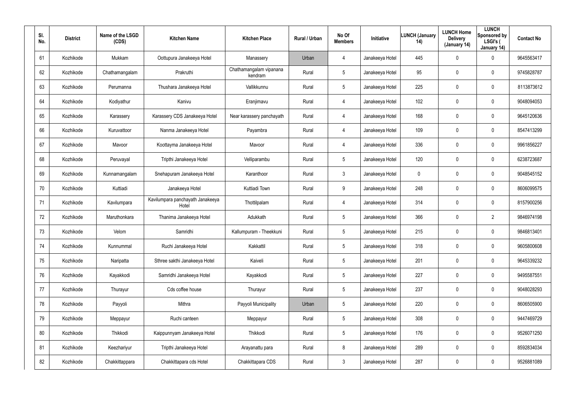| SI.<br>No. | <b>District</b> | Name of the LSGD<br>(CDS) | <b>Kitchen Name</b>                       | <b>Kitchen Place</b>               | Rural / Urban | No Of<br><b>Members</b> | Initiative      | <b>LUNCH (January</b><br>14) | <b>LUNCH Home</b><br><b>Delivery</b><br>(January 14) | <b>LUNCH</b><br>Sponsored by<br>LSGI's (<br>January 14) | <b>Contact No</b> |
|------------|-----------------|---------------------------|-------------------------------------------|------------------------------------|---------------|-------------------------|-----------------|------------------------------|------------------------------------------------------|---------------------------------------------------------|-------------------|
| 61         | Kozhikode       | Mukkam                    | Oottupura Janakeeya Hotel                 | Manassery                          | Urban         | $\overline{4}$          | Janakeeya Hotel | 445                          | $\mathbf 0$                                          | 0                                                       | 9645563417        |
| 62         | Kozhikode       | Chathamangalam            | Prakruthi                                 | Chathamangalam vipanana<br>kendram | Rural         | 5                       | Janakeeya Hotel | 95                           | 0                                                    | $\mathbf 0$                                             | 9745828787        |
| 63         | Kozhikode       | Perumanna                 | Thushara Janakeeya Hotel                  | Vallikkunnu                        | Rural         | 5                       | Janakeeya Hotel | 225                          | 0                                                    | $\mathbf 0$                                             | 8113873612        |
| 64         | Kozhikode       | Kodiyathur                | Kanivu                                    | Eranjimavu                         | Rural         | $\overline{4}$          | Janakeeya Hotel | 102                          | 0                                                    | $\mathbf 0$                                             | 9048094053        |
| 65         | Kozhikode       | Karassery                 | Karassery CDS Janakeeya Hotel             | Near karassery panchayath          | Rural         | 4                       | Janakeeya Hotel | 168                          | 0                                                    | $\mathbf 0$                                             | 9645120636        |
| 66         | Kozhikode       | Kuruvattoor               | Nanma Janakeeya Hotel                     | Payambra                           | Rural         | $\overline{4}$          | Janakeeya Hotel | 109                          | 0                                                    | $\mathbf 0$                                             | 8547413299        |
| 67         | Kozhikode       | Mavoor                    | Koottayma Janakeeya Hotel                 | Mavoor                             | Rural         | $\overline{4}$          | Janakeeya Hotel | 336                          | $\boldsymbol{0}$                                     | 0                                                       | 9961856227        |
| 68         | Kozhikode       | Peruvayal                 | Tripthi Janakeeya Hotel                   | Velliparambu                       | Rural         | 5                       | Janakeeya Hotel | 120                          | 0                                                    | $\mathbf 0$                                             | 6238723687        |
| 69         | Kozhikode       | Kunnamangalam             | Snehapuram Janakeeya Hotel                | Karanthoor                         | Rural         | $\mathbf{3}$            | Janakeeya Hotel | 0                            | $\mathbf 0$                                          | 0                                                       | 9048545152        |
| 70         | Kozhikode       | Kuttiadi                  | Janakeeya Hotel                           | Kuttiadi Town                      | Rural         | 9                       | Janakeeya Hotel | 248                          | $\boldsymbol{0}$                                     | $\mathbf 0$                                             | 8606099575        |
| 71         | Kozhikode       | Kavilumpara               | Kavilumpara panchayath Janakeeya<br>Hotel | Thottilpalam                       | Rural         | 4                       | Janakeeya Hotel | 314                          | $\boldsymbol{0}$                                     | 0                                                       | 8157900256        |
| 72         | Kozhikode       | Maruthonkara              | Thanima Janakeeya Hotel                   | Adukkath                           | Rural         | 5                       | Janakeeya Hotel | 366                          | $\boldsymbol{0}$                                     | $\overline{2}$                                          | 9846974198        |
| 73         | Kozhikode       | Velom                     | Samridhi                                  | Kallumpuram - Theekkuni            | Rural         | 5                       | Janakeeya Hotel | 215                          | $\boldsymbol{0}$                                     | $\mathbf 0$                                             | 9846813401        |
| 74         | Kozhikode       | Kunnummal                 | Ruchi Janakeeya Hotel                     | Kakkattil                          | Rural         | 5                       | Janakeeya Hotel | 318                          | $\pmb{0}$                                            | $\pmb{0}$                                               | 9605800608        |
| 75         | Kozhikode       | Naripatta                 | Sthree sakthi Janakeeya Hotel             | Kaiveli                            | Rural         | 5                       | Janakeeya Hotel | 201                          | $\pmb{0}$                                            | 0                                                       | 9645339232        |
| 76         | Kozhikode       | Kayakkodi                 | Samridhi Janakeeya Hotel                  | Kayakkodi                          | Rural         | 5                       | Janakeeya Hotel | 227                          | $\pmb{0}$                                            | $\pmb{0}$                                               | 9495587551        |
| 77         | Kozhikode       | Thurayur                  | Cds coffee house                          | Thurayur                           | Rural         | 5                       | Janakeeya Hotel | 237                          | $\pmb{0}$                                            | $\pmb{0}$                                               | 9048028293        |
| 78         | Kozhikode       | Payyoli                   | Mithra                                    | Payyoli Municipality               | Urban         | $5\phantom{.0}$         | Janakeeya Hotel | 220                          | $\overline{0}$                                       | $\pmb{0}$                                               | 8606505900        |
| 79         | Kozhikode       | Meppayur                  | Ruchi canteen                             | Meppayur                           | Rural         | $5\phantom{.0}$         | Janakeeya Hotel | 308                          | $\pmb{0}$                                            | 0                                                       | 9447469729        |
| 80         | Kozhikode       | Thikkodi                  | Kaippunnyam Janakeeya Hotel               | Thikkodi                           | Rural         | $5\phantom{.0}$         | Janakeeya Hotel | 176                          | $\mathbf 0$                                          | $\pmb{0}$                                               | 9526071250        |
| 81         | Kozhikode       | Keezhariyur               | Tripthi Janakeeya Hotel                   | Arayanattu para                    | Rural         | 8                       | Janakeeya Hotel | 289                          | $\pmb{0}$                                            | 0                                                       | 8592834034        |
| 82         | Kozhikode       | Chakkittappara            | Chakkittapara cds Hotel                   | Chakkittapara CDS                  | Rural         | $\mathfrak{Z}$          | Janakeeya Hotel | 287                          | $\boldsymbol{0}$                                     | 0                                                       | 9526881089        |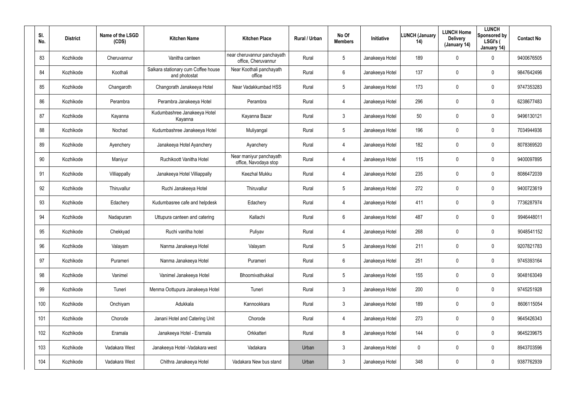| SI.<br>No. | <b>District</b> | Name of the LSGD<br>(CDS) | <b>Kitchen Name</b>                                  | <b>Kitchen Place</b>                               | Rural / Urban | No Of<br><b>Members</b> | Initiative      | <b>LUNCH (January</b><br>14) | <b>LUNCH Home</b><br><b>Delivery</b><br>(January 14) | <b>LUNCH</b><br>Sponsored by<br>LSGI's (<br>January 14) | <b>Contact No</b> |
|------------|-----------------|---------------------------|------------------------------------------------------|----------------------------------------------------|---------------|-------------------------|-----------------|------------------------------|------------------------------------------------------|---------------------------------------------------------|-------------------|
| 83         | Kozhikode       | Cheruvannur               | Vanitha canteen                                      | near cheruvannur panchayath<br>office, Cheruvannur | Rural         | 5                       | Janakeeya Hotel | 189                          | $\mathbf 0$                                          | 0                                                       | 9400676505        |
| 84         | Kozhikode       | Koothali                  | Salkara stationary cum Coffee house<br>and photostat | Near Koothali panchayath<br>office                 | Rural         | 6                       | Janakeeya Hotel | 137                          | $\mathbf 0$                                          | $\mathbf 0$                                             | 9847642496        |
| 85         | Kozhikode       | Changaroth                | Changorath Janakeeya Hotel                           | Near Vadakkumbad HSS                               | Rural         | 5                       | Janakeeya Hotel | 173                          | $\mathbf 0$                                          | $\mathbf 0$                                             | 9747353283        |
| 86         | Kozhikode       | Perambra                  | Perambra Janakeeya Hotel                             | Perambra                                           | Rural         | $\overline{4}$          | Janakeeya Hotel | 296                          | $\mathbf 0$                                          | $\mathbf 0$                                             | 6238677483        |
| 87         | Kozhikode       | Kayanna                   | Kudumbashree Janakeeya Hotel<br>Kayanna              | Kayanna Bazar                                      | Rural         | $\mathbf{3}$            | Janakeeya Hotel | 50                           | $\mathbf 0$                                          | $\mathbf 0$                                             | 9496130121        |
| 88         | Kozhikode       | Nochad                    | Kudumbashree Janakeeya Hotel                         | Muliyangal                                         | Rural         | 5                       | Janakeeya Hotel | 196                          | 0                                                    | $\mathbf 0$                                             | 7034944936        |
| 89         | Kozhikode       | Ayenchery                 | Janakeeya Hotel Ayanchery                            | Ayanchery                                          | Rural         | $\overline{4}$          | Janakeeya Hotel | 182                          | $\mathbf 0$                                          | $\mathbf 0$                                             | 8078369520        |
| 90         | Kozhikode       | Maniyur                   | Ruchikoott Vanitha Hotel                             | Near maniyur panchayath<br>office, Navodaya stop   | Rural         | 4                       | Janakeeya Hotel | 115                          | 0                                                    | 0                                                       | 9400097895        |
| 91         | Kozhikode       | Villiappally              | Janakeeya Hotel Villiappally                         | Keezhal Mukku                                      | Rural         | 4                       | Janakeeya Hotel | 235                          | $\mathbf 0$                                          | $\mathbf 0$                                             | 8086472039        |
| 92         | Kozhikode       | Thiruvallur               | Ruchi Janakeeya Hotel                                | Thiruvallur                                        | Rural         | $5\overline{)}$         | Janakeeya Hotel | 272                          | 0                                                    | 0                                                       | 9400723619        |
| 93         | Kozhikode       | Edachery                  | Kudumbasree cafe and helpdesk                        | Edachery                                           | Rural         | 4                       | Janakeeya Hotel | 411                          | $\mathbf 0$                                          | $\mathbf 0$                                             | 7736287974        |
| 94         | Kozhikode       | Nadapuram                 | Uttupura canteen and catering                        | Kallachi                                           | Rural         | 6                       | Janakeeya Hotel | 487                          | 0                                                    | 0                                                       | 9946448011        |
| 95         | Kozhikode       | Chekkyad                  | Ruchi vanitha hotel                                  | Puliyav                                            | Rural         | 4                       | Janakeeya Hotel | 268                          | $\mathbf 0$                                          | 0                                                       | 9048541152        |
| 96         | Kozhikode       | Valayam                   | Nanma Janakeeya Hotel                                | Valayam                                            | Rural         | 5                       | Janakeeya Hotel | 211                          | $\overline{0}$                                       | 0                                                       | 9207821783        |
| 97         | Kozhikode       | Purameri                  | Nanma Janakeeya Hotel                                | Purameri                                           | Rural         | $6\phantom{.}6$         | Janakeeya Hotel | 251                          | $\pmb{0}$                                            | $\pmb{0}$                                               | 9745393164        |
| 98         | Kozhikode       | Vanimel                   | Vanimel Janakeeya Hotel                              | Bhoomivathukkal                                    | Rural         | 5                       | Janakeeya Hotel | 155                          | $\overline{0}$                                       | $\pmb{0}$                                               | 9048163049        |
| 99         | Kozhikode       | Tuneri                    | Menma Oottupura Janakeeya Hotel                      | Tuneri                                             | Rural         | $\mathbf{3}$            | Janakeeya Hotel | 200                          | $\overline{0}$                                       | 0                                                       | 9745251928        |
| 100        | Kozhikode       | Onchiyam                  | Adukkala                                             | Kannookkara                                        | Rural         | 3 <sup>1</sup>          | Janakeeya Hotel | 189                          | $\overline{0}$                                       | 0                                                       | 8606115054        |
| 101        | Kozhikode       | Chorode                   | Janani Hotel and Catering Unit                       | Chorode                                            | Rural         | $\overline{4}$          | Janakeeya Hotel | 273                          | $\pmb{0}$                                            | 0                                                       | 9645426343        |
| 102        | Kozhikode       | Eramala                   | Janakeeya Hotel - Eramala                            | Orkkatteri                                         | Rural         | 8                       | Janakeeya Hotel | 144                          | $\mathbf 0$                                          | 0                                                       | 9645239675        |
| 103        | Kozhikode       | Vadakara West             | Janakeeya Hotel - Vadakara west                      | Vadakara                                           | Urban         | $\mathbf{3}$            | Janakeeya Hotel | 0                            | $\pmb{0}$                                            | 0                                                       | 8943703596        |
| 104        | Kozhikode       | Vadakara West             | Chithra Janakeeya Hotel                              | Vadakara New bus stand                             | Urban         | $\mathfrak{Z}$          | Janakeeya Hotel | 348                          | $\boldsymbol{0}$                                     | 0                                                       | 9387762939        |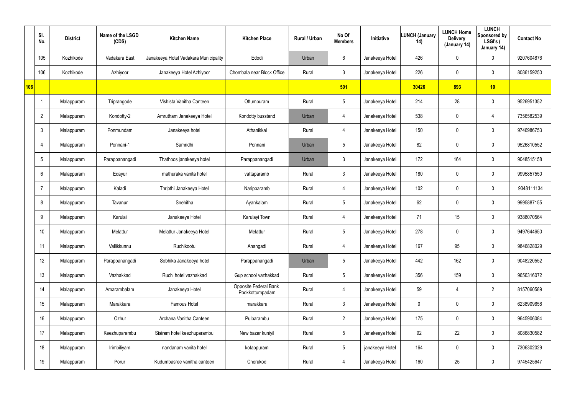|     | SI.<br>No.      | <b>District</b> | Name of the LSGD<br>(CDS) | <b>Kitchen Name</b>                   | <b>Kitchen Place</b>                     | Rural / Urban | No Of<br><b>Members</b> | Initiative      | <b>LUNCH (January</b><br>14) | <b>LUNCH Home</b><br><b>Delivery</b><br>(January 14) | <b>LUNCH</b><br>Sponsored by<br>LSGI's (<br>January 14) | <b>Contact No</b> |
|-----|-----------------|-----------------|---------------------------|---------------------------------------|------------------------------------------|---------------|-------------------------|-----------------|------------------------------|------------------------------------------------------|---------------------------------------------------------|-------------------|
|     | 105             | Kozhikode       | Vadakara East             | Janakeeya Hotel Vadakara Municipality | Edodi                                    | Urban         | 6                       | Janakeeya Hotel | 426                          | 0                                                    | $\mathbf 0$                                             | 9207604876        |
|     | 106             | Kozhikode       | Azhiyoor                  | Janakeeya Hotel Azhiyoor              | Chombala near Block Office               | Rural         | $\mathbf{3}$            | Janakeeya Hotel | 226                          | 0                                                    | $\mathbf 0$                                             | 8086159250        |
| 106 |                 |                 |                           |                                       |                                          |               | 501                     |                 | 30426                        | 893                                                  | 10                                                      |                   |
|     |                 | Malappuram      | Triprangode               | Vishista Vanitha Canteen              | Ottumpuram                               | Rural         | $5\overline{)}$         | Janakeeya Hotel | 214                          | 28                                                   | $\mathbf 0$                                             | 9526951352        |
|     | $\overline{2}$  | Malappuram      | Kondotty-2                | Amrutham Janakeeya Hotel              | Kondotty busstand                        | Urban         | 4                       | Janakeeya Hotel | 538                          | 0                                                    | 4                                                       | 7356582539        |
|     | $\mathbf{3}$    | Malappuram      | Ponmundam                 | Janakeeya hotel                       | Athanikkal                               | Rural         | 4                       | Janakeeya Hotel | 150                          | 0                                                    | $\mathbf 0$                                             | 9746986753        |
|     | 4               | Malappuram      | Ponnani-1                 | Samridhi                              | Ponnani                                  | Urban         | $5\phantom{.0}$         | Janakeeya Hotel | 82                           | 0                                                    | $\mathbf 0$                                             | 9526810552        |
|     | $5\overline{)}$ | Malappuram      | Parappanangadi            | Thathoos janakeeya hotel              | Parappanangadi                           | Urban         | $\mathbf{3}$            | Janakeeya Hotel | 172                          | 164                                                  | $\mathbf 0$                                             | 9048515158        |
|     | 6               | Malappuram      | Edayur                    | mathuraka vanita hotel                | vattaparamb                              | Rural         | $\mathbf{3}$            | Janakeeya Hotel | 180                          | 0                                                    | $\mathbf 0$                                             | 9995857550        |
|     | 7               | Malappuram      | Kaladi                    | Thripthi Janakeeya Hotel              | Naripparamb                              | Rural         | 4                       | Janakeeya Hotel | 102                          | 0                                                    | $\mathbf 0$                                             | 9048111134        |
|     | 8               | Malappuram      | Tavanur                   | Snehitha                              | Ayankalam                                | Rural         | $5\phantom{.0}$         | Janakeeya Hotel | 62                           | 0                                                    | $\mathbf 0$                                             | 9995887155        |
|     | 9               | Malappuram      | Karulai                   | Janakeeya Hotel                       | Karulayi Town                            | Rural         | 4                       | Janakeeya Hotel | 71                           | 15                                                   | $\mathbf 0$                                             | 9388070564        |
|     | 10              | Malappuram      | Melattur                  | Melattur Janakeeya Hotel              | Melattur                                 | Rural         | $5\phantom{.0}$         | Janakeeya Hotel | 278                          | 0                                                    | $\mathbf 0$                                             | 9497644650        |
|     | 11              | Malappuram      | Vallikkunnu               | Ruchikootu                            | Anangadi                                 | Rural         | 4                       | Janakeeya Hotel | 167                          | 95                                                   | $\pmb{0}$                                               | 9846828029        |
|     | 12              | Malappuram      | Parappanangadi            | Sobhika Janakeeya hotel               | Parappanangadi                           | Urban         | $5\phantom{.0}$         | Janakeeya Hotel | 442                          | 162                                                  | $\mathbf 0$                                             | 9048220552        |
|     | 13              | Malappuram      | Vazhakkad                 | Ruchi hotel vazhakkad                 | Gup school vazhakkad                     | Rural         | $5\overline{)}$         | Janakeeya Hotel | 356                          | 159                                                  | $\mathbf 0$                                             | 9656316072        |
|     | 14              | Malappuram      | Amarambalam               | Janakeeya Hotel                       | Opposite Federal Bank<br>Pookkottumpadam | Rural         | $\overline{4}$          | Janakeeya Hotel | 59                           | $\overline{4}$                                       | $\overline{2}$                                          | 8157060589        |
|     | 15              | Malappuram      | Marakkara                 | Famous Hotel                          | marakkara                                | Rural         | 3 <sup>1</sup>          | Janakeeya Hotel | 0                            | 0                                                    | $\mathbf 0$                                             | 6238909658        |
|     | 16              | Malappuram      | Ozhur                     | Archana Vanitha Canteen               | Pulparambu                               | Rural         | $2\overline{ }$         | Janakeeya Hotel | 175                          | 0                                                    | $\mathbf 0$                                             | 9645906084        |
|     | 17              | Malappuram      | Keezhuparambu             | Sisiram hotel keezhuparambu           | New bazar kuniyil                        | Rural         | $5\overline{)}$         | Janakeeya Hotel | 92                           | 22                                                   | $\pmb{0}$                                               | 8086830582        |
|     | 18              | Malappuram      | Irimbiliyam               | nandanam vanita hotel                 | kotappuram                               | Rural         | $5\phantom{.0}$         | janakeeya Hotel | 164                          | 0                                                    | $\mathbf 0$                                             | 7306302029        |
|     | 19              | Malappuram      | Porur                     | Kudumbasree vanitha canteen           | Cherukod                                 | Rural         | 4                       | Janakeeya Hotel | 160                          | 25                                                   | $\pmb{0}$                                               | 9745425647        |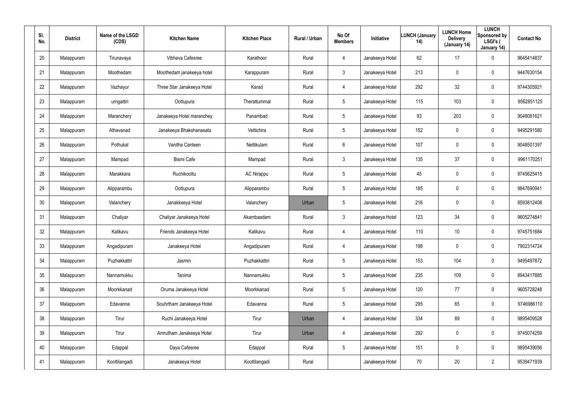| SI.<br>No. | <b>District</b> | Name of the LSGD<br>(CDS) | <b>Kitchen Name</b>        | <b>Kitchen Place</b> | <b>Rural / Urban</b> | No Of<br><b>Members</b> | Initiative      | <b>LUNCH (January</b><br>14) | <b>LUNCH Home</b><br><b>Delivery</b><br>(January 14) | <b>LUNCH</b><br>Sponsored by<br>LSGI's (<br>January 14) | <b>Contact No</b> |
|------------|-----------------|---------------------------|----------------------------|----------------------|----------------------|-------------------------|-----------------|------------------------------|------------------------------------------------------|---------------------------------------------------------|-------------------|
| 20         | Malappuram      | Tirunavaya                | Vibhava Cafesree           | Karathoor            | Rural                | 4                       | Janakeeya Hotel | 62                           | 17                                                   | 0                                                       | 9645414837        |
| 21         | Malappuram      | Moothedam                 | Moothedam janakeeya hotel  | Karappuram           | Rural                | $\mathfrak{Z}$          | Janakeeya Hotel | 213                          | 0                                                    | 0                                                       | 9447630154        |
| 22         | Malappuram      | Vazhayur                  | Three Star Janakeeya Hotel | Karad                | Rural                | $\overline{4}$          | Janakeeya Hotel | 292                          | 32                                                   | $\mathbf 0$                                             | 9744305921        |
| 23         | Malappuram      | urngattiri                | Oottupura                  | Therattummal         | Rural                | $5\phantom{.0}$         | Janakeeya Hotel | 115                          | 103                                                  | 0                                                       | 9562851125        |
| 24         | Malappuram      | Maranchery                | Janakeeya Hotel maranchey  | Panambad             | Rural                | $5\overline{)}$         | Janakeeya Hotel | 93                           | 203                                                  | $\mathbf 0$                                             | 9048081621        |
| 25         | Malappuram      | Athavanad                 | Janakeeya Bhakshanasala    | Vettichira           | Rural                | $5\phantom{.0}$         | Janakeeya Hotel | 152                          | 0                                                    | $\mathbf 0$                                             | 9495291580        |
| 26         | Malappuram      | Pothukal                  | Vanitha Canteen            | Nettikulam           | Rural                | 6                       | Janakeeya Hotel | 107                          | $\boldsymbol{0}$                                     | 0                                                       | 9048501397        |
| 27         | Malappuram      | Mampad                    | <b>Bismi Cafe</b>          | Mampad               | Rural                | $\mathfrak{Z}$          | Janakeeya Hotel | 135                          | 37                                                   | 0                                                       | 9961170251        |
| 28         | Malappuram      | Marakkara                 | Ruchikoottu                | <b>AC Nirappu</b>    | Rural                | $5\phantom{.0}$         | Janakeeya Hotel | 45                           | $\boldsymbol{0}$                                     | 0                                                       | 9745625415        |
| 29         | Malappuram      | Alipparambu               | Oottupura                  | Alipparambu          | Rural                | $5\overline{)}$         | Janakeeya Hotel | 185                          | 0                                                    | $\mathbf 0$                                             | 9847690941        |
| 30         | Malappuram      | Valanchery                | Janakkeeya Hotel           | Valanchery           | Urban                | $5\overline{)}$         | Janakeeya Hotel | 216                          | $\boldsymbol{0}$                                     | 0                                                       | 8593812408        |
| 31         | Malappuram      | Chaliyar                  | Chaliyar Janakeeya Hotel   | Akambaadam           | Rural                | $\mathfrak{Z}$          | Janakeeya Hotel | 123                          | 34                                                   | $\mathbf 0$                                             | 9605274841        |
| 32         | Malappuram      | Kalikavu                  | Friends Janakeeya Hotel    | Kalikavu             | Rural                | 4                       | Janakeeya Hotel | 110                          | 10 <sup>°</sup>                                      | 0                                                       | 9745751684        |
| 33         | Malappuram      | Angadipuram               | Janakeeya Hotel            | Angadipuram          | Rural                | 4                       | Janakeeya Hotel | 198                          | $\pmb{0}$                                            | $\pmb{0}$                                               | 7902314724        |
| 34         | Malappuram      | Puzhakkattri              | Jasmin                     | Puzhakkattiri        | Rural                | $5\phantom{.0}$         | Janakeeya Hotel | 153                          | 104                                                  | $\pmb{0}$                                               | 9495497872        |
| 35         | Malappuram      | Nannamukku                | Tanima                     | Nannamukku           | Rural                | $5\phantom{.0}$         | Janakeeya Hotel | 235                          | 109                                                  | $\pmb{0}$                                               | 8943417885        |
| 36         | Malappuram      | Moorkkanad                | Oruma Janakeeya Hotel      | Moorkkanad           | Rural                | $5\phantom{.0}$         | Janakeeya Hotel | 120                          | 77                                                   | $\pmb{0}$                                               | 9605728248        |
| 37         | Malappuram      | Edavanna                  | Souhrtham Janakeeya Hotel  | Edavanna             | Rural                | $5\phantom{.0}$         | Janakeeya Hotel | 295                          | 65                                                   | $\pmb{0}$                                               | 9746986110        |
| 38         | Malappuram      | Tirur                     | Ruchi Janakeeya Hotel      | Tirur                | Urban                | 4                       | Janakeeya Hotel | 334                          | 89                                                   | $\pmb{0}$                                               | 9895409528        |
| 39         | Malappuram      | Tirur                     | Amrutham Janakeeya Hotel   | Tirur                | Urban                | $\overline{4}$          | Janakeeya Hotel | 292                          | $\bm{0}$                                             | $\pmb{0}$                                               | 9745074259        |
| 40         | Malappuram      | Edappal                   | Daya Cafesree              | Edappal              | Rural                | $5\phantom{.0}$         | Janakeeya Hotel | 151                          | $\boldsymbol{0}$                                     | $\pmb{0}$                                               | 9895439056        |
| 41         | Malappuram      | Koottilangadi             | Janakeeya Hotel            | Koottilangadi        | Rural                |                         | Janakeeya Hotel | 70                           | 20                                                   | $\overline{2}$                                          | 9539471939        |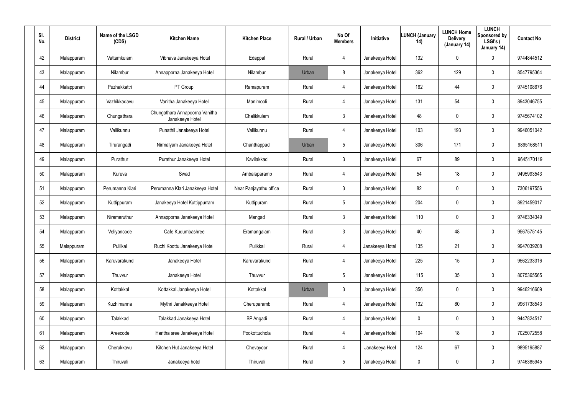| SI.<br>No. | <b>District</b> | Name of the LSGD<br>(CDS) | <b>Kitchen Name</b>                               | <b>Kitchen Place</b>   | Rural / Urban | No Of<br><b>Members</b> | Initiative      | <b>LUNCH (January</b><br>14) | <b>LUNCH Home</b><br><b>Delivery</b><br>(January 14) | <b>LUNCH</b><br>Sponsored by<br>LSGI's (<br>January 14) | <b>Contact No</b> |
|------------|-----------------|---------------------------|---------------------------------------------------|------------------------|---------------|-------------------------|-----------------|------------------------------|------------------------------------------------------|---------------------------------------------------------|-------------------|
| 42         | Malappuram      | Vattamkulam               | Vibhava Janakeeya Hotel                           | Edappal                | Rural         | $\overline{4}$          | Janakeeya Hotel | 132                          | $\mathbf 0$                                          | 0                                                       | 9744844512        |
| 43         | Malappuram      | Nilambur                  | Annapporna Janakeeya Hotel                        | Nilambur               | Urban         | 8                       | Janakeeya Hotel | 362                          | 129                                                  | $\mathbf 0$                                             | 8547795364        |
| 44         | Malappuram      | Puzhakkattri              | PT Group                                          | Ramapuram              | Rural         | $\overline{4}$          | Janakeeya Hotel | 162                          | 44                                                   | $\mathbf 0$                                             | 9745108676        |
| 45         | Malappuram      | Vazhikkadavu              | Vanitha Janakeeya Hotel                           | Manimooli              | Rural         | 4                       | Janakeeya Hotel | 131                          | 54                                                   | $\mathbf 0$                                             | 8943046755        |
| 46         | Malappuram      | Chungathara               | Chungathara Annapoorna Vanitha<br>Janakeeya Hotel | Chalikkulam            | Rural         | 3                       | Janakeeya Hotel | 48                           | $\mathbf 0$                                          | $\mathbf 0$                                             | 9745674102        |
| 47         | Malappuram      | Vallikunnu                | Punathil Janakeeya Hotel                          | Vallikunnu             | Rural         | 4                       | Janakeeya Hotel | 103                          | 193                                                  | $\mathbf 0$                                             | 9946051042        |
| 48         | Malappuram      | Tirurangadi               | Nirmalyam Janakeeya Hotel                         | Chanthappadi           | Urban         | 5                       | Janakeeya Hotel | 306                          | 171                                                  | 0                                                       | 9895168511        |
| 49         | Malappuram      | Purathur                  | Purathur Janakeeya Hotel                          | Kavilakkad             | Rural         | $\mathbf{3}$            | Janakeeya Hotel | 67                           | 89                                                   | $\mathbf 0$                                             | 9645170119        |
| 50         | Malappuram      | Kuruva                    | Swad                                              | Ambalaparamb           | Rural         | $\overline{4}$          | Janakeeya Hotel | 54                           | 18                                                   | 0                                                       | 9495993543        |
| 51         | Malappuram      | Perumanna Klari           | Perumanna Klari Janakeeya Hotel                   | Near Panjayathu office | Rural         | $\mathbf{3}$            | Janakeeya Hotel | 82                           | $\boldsymbol{0}$                                     | $\mathbf 0$                                             | 7306197556        |
| 52         | Malappuram      | Kuttippuram               | Janakeeya Hotel Kuttippurram                      | Kuttipuram             | Rural         | 5                       | Janakeeya Hotel | 204                          | $\boldsymbol{0}$                                     | 0                                                       | 8921459017        |
| 53         | Malappuram      | Niramaruthur              | Annapporna Janakeeya Hotel                        | Mangad                 | Rural         | $\mathbf{3}$            | Janakeeya Hotel | 110                          | $\boldsymbol{0}$                                     | $\mathbf 0$                                             | 9746334349        |
| 54         | Malappuram      | Veliyancode               | Cafe Kudumbashree                                 | Eramangalam            | Rural         | $\mathbf{3}$            | Janakeeya Hotel | 40                           | 48                                                   | $\mathbf 0$                                             | 9567575145        |
| 55         | Malappuram      | Pulilkal                  | Ruchi Koottu Janakeeya Hotel                      | Pulikkal               | Rural         | 4                       | Janakeeya Hotel | 135                          | 21                                                   | $\pmb{0}$                                               | 9947039208        |
| 56         | Malappuram      | Karuvarakund              | Janakeeya Hotel                                   | Karuvarakund           | Rural         | $\overline{4}$          | Janakeeya Hotel | 225                          | 15                                                   | $\pmb{0}$                                               | 9562233316        |
| 57         | Malappuram      | Thuvvur                   | Janakeeya Hotel                                   | Thuvvur                | Rural         | 5                       | Janakeeya Hotel | 115                          | 35                                                   | $\pmb{0}$                                               | 8075365565        |
| 58         | Malappuram      | Kottakkal                 | Kottakkal Janakeeya Hotel                         | Kottakkal              | Urban         | $\mathbf{3}$            | Janakeeya Hotel | 356                          | $\pmb{0}$                                            | $\pmb{0}$                                               | 9946216609        |
| 59         | Malappuram      | Kuzhimanna                | Mythri Janakkeeya Hotel                           | Cheruparamb            | Rural         | $\overline{4}$          | Janakeeya Hotel | 132                          | 80                                                   | $\pmb{0}$                                               | 9961738543        |
| 60         | Malappuram      | Talakkad                  | Talakkad Janakeeya Hotel                          | <b>BP</b> Angadi       | Rural         | 4                       | Janakeeya Hotel | 0                            | $\mathbf 0$                                          | $\pmb{0}$                                               | 9447824517        |
| 61         | Malappuram      | Areecode                  | Haritha sree Janakeeya Hotel                      | Pookottuchola          | Rural         | $\overline{4}$          | Janakeeya Hotel | 104                          | 18                                                   | $\pmb{0}$                                               | 7025072558        |
| 62         | Malappuram      | Cherukkavu                | Kitchen Hut Janakeeya Hotel                       | Chevayoor              | Rural         | 4                       | Janakeeya Hoel  | 124                          | 67                                                   | $\pmb{0}$                                               | 9895195887        |
| 63         | Malappuram      | Thiruvali                 | Janakeeya hotel                                   | Thiruvali              | Rural         | $5\phantom{.0}$         | Janakeeya Hotal | 0                            | $\boldsymbol{0}$                                     | 0                                                       | 9746385945        |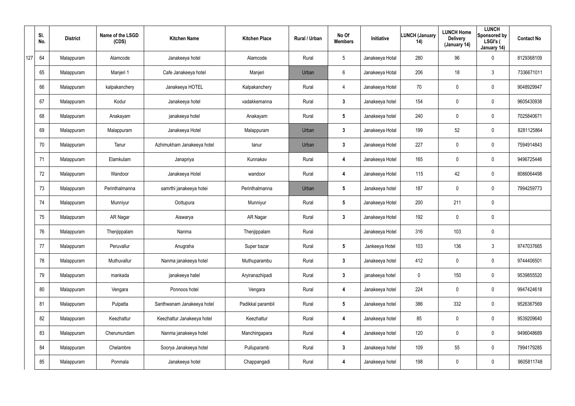|     | SI.<br>No. | <b>District</b> | Name of the LSGD<br>(CDS) | <b>Kitchen Name</b>        | <b>Kitchen Place</b> | Rural / Urban | No Of<br><b>Members</b> | Initiative      | <b>LUNCH (January</b><br>14) | <b>LUNCH Home</b><br><b>Delivery</b><br>(January 14) | <b>LUNCH</b><br>Sponsored by<br>LSGI's (<br>January 14) | <b>Contact No</b> |
|-----|------------|-----------------|---------------------------|----------------------------|----------------------|---------------|-------------------------|-----------------|------------------------------|------------------------------------------------------|---------------------------------------------------------|-------------------|
| 127 | 64         | Malappuram      | Alamcode                  | Janakeeya hotel            | Alamcode             | Rural         | $5\overline{)}$         | Janakeeya Hotal | 280                          | 96                                                   | $\mathbf 0$                                             | 8129368109        |
|     | 65         | Malappuram      | Manjeri 1                 | Cafe Janakeeya hotel       | Manjeri              | Urban         | 6                       | Janakeeya Hotal | 206                          | 18                                                   | $\mathbf{3}$                                            | 7336671011        |
|     | 66         | Malappuram      | kalpakanchery             | Janakeeya HOTEL            | Kalpakanchery        | Rural         | $\overline{4}$          | Janakeeya Hotel | 70                           | 0                                                    | $\mathbf 0$                                             | 9048929947        |
|     | 67         | Malappuram      | Kodur                     | Janakeeya hotel            | vadakkemanna         | Rural         | $\mathbf{3}$            | Janakeeya hotel | 154                          | 0                                                    | $\mathbf 0$                                             | 9605430938        |
|     | 68         | Malappuram      | Anakayam                  | janakeeya hotel            | Anakayam             | Rural         | $5\phantom{.0}$         | Janakeeya hotel | 240                          | 0                                                    | $\mathbf 0$                                             | 7025840671        |
|     | 69         | Malappuram      | Malappuram                | Janakeeya Hotel            | Malappuram           | Urban         | $\mathbf{3}$            | Janakeeya Hotal | 199                          | 52                                                   | $\mathbf 0$                                             | 8281125864        |
|     | 70         | Malappuram      | Tanur                     | Azhimukham Janakeeya hotel | tanur                | Urban         | $\mathbf{3}$            | Janakeeya Hotel | 227                          | 0                                                    | $\mathbf 0$                                             | 7594914843        |
|     | 71         | Malappuram      | Elamkulam                 | Janapriya                  | Kunnakav             | Rural         | 4                       | Janakeeya Hotel | 165                          | 0                                                    | $\mathbf 0$                                             | 9496725446        |
|     | 72         | Malappuram      | Wandoor                   | Janakeeya Hotel            | wandoor              | Rural         | 4                       | Janakeeya Hotel | 115                          | 42                                                   | $\mathbf 0$                                             | 8086064498        |
|     | 73         | Malappuram      | Perinthalmanna            | samrthi janakeeya hotei    | Perinthalmanna       | Urban         | $5\phantom{.0}$         | Janakeeya hotel | 187                          | 0                                                    | $\mathbf 0$                                             | 7994259773        |
|     | 74         | Malappuram      | Munniyur                  | Oottupura                  | Munniyur             | Rural         | $5\phantom{.0}$         | Janakeeya Hotel | 200                          | 211                                                  | $\mathbf 0$                                             |                   |
|     | 75         | Malappuram      | AR Nagar                  | Aiswarya                   | AR Nagar             | Rural         | $\mathbf{3}$            | Janakeeya Hotel | 192                          | 0                                                    | $\mathbf 0$                                             |                   |
|     | 76         | Malappuram      | Thenjippalam              | Nanma                      | Thenjippalam         | Rural         |                         | Janakeeya Hotel | 316                          | 103                                                  | $\mathbf 0$                                             |                   |
|     | 77         | Malappuram      | Peruvallur                | Anugraha                   | Super bazar          | Rural         | $5\phantom{.0}$         | Jankeeya Hotel  | 103                          | 136                                                  | $\mathfrak{Z}$                                          | 9747037665        |
|     | 78         | Malappuram      | Muthuvallur               | Nanma janakeeya hotel      | Muthuparambu         | Rural         | $3\phantom{a}$          | Janakeeya hotel | 412                          | 0                                                    | $\pmb{0}$                                               | 9744406501        |
|     | 79         | Malappuram      | mankada                   | janakeeya hatel            | Aryiranazhipadi      | Rural         | $3\phantom{a}$          | janakeeya hotel | $\mathbf 0$                  | 150                                                  | $\pmb{0}$                                               | 9539855520        |
|     | 80         | Malappuram      | Vengara                   | Ponnoos hotel              | Vengara              | Rural         | 4                       | Janakeeya hotel | 224                          | 0                                                    | $\pmb{0}$                                               | 9947424618        |
|     | 81         | Malappuram      | Pulpatta                  | Santhwanam Janakeeya hotel | Padikkal parambil    | Rural         | $5\overline{)}$         | Janakeeya hotel | 386                          | 332                                                  | $\pmb{0}$                                               | 9526367569        |
|     | 82         | Malappuram      | Keezhattur                | Keezhattur Janakeeya hotel | Keezhattur           | Rural         | 4                       | Janakeeya hotel | 85                           | 0                                                    | $\mathbf 0$                                             | 9539209640        |
|     | 83         | Malappuram      | Cherumundam               | Nanma janakeeya hotel      | Manchingapara        | Rural         | $\boldsymbol{4}$        | Janakeeya hotel | 120                          | 0                                                    | $\pmb{0}$                                               | 9496048689        |
|     | 84         | Malappuram      | Chelambre                 | Soorya Janakeeya hotel     | Pulluparamb          | Rural         | $3\phantom{a}$          | Janakeeya hotel | 109                          | 55                                                   | $\pmb{0}$                                               | 7994179285        |
|     | 85         | Malappuram      | Ponmala                   | Janakeeya hotel            | Chappangadi          | Rural         | 4                       | Janakeeya hotel | 198                          | 0                                                    | $\pmb{0}$                                               | 9605811748        |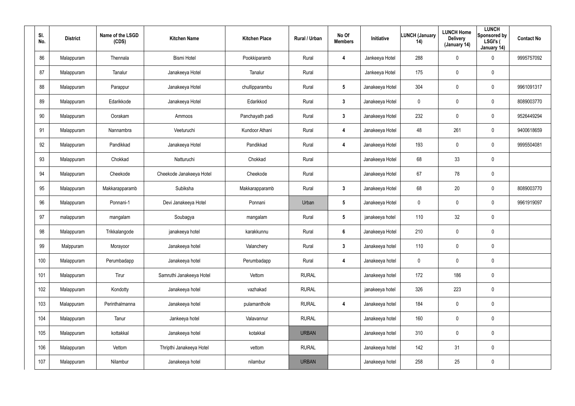| SI.<br>No. | <b>District</b> | Name of the LSGD<br>(CDS) | <b>Kitchen Name</b>      | <b>Kitchen Place</b> | Rural / Urban | No Of<br><b>Members</b> | Initiative      | <b>LUNCH (January</b><br>14) | <b>LUNCH Home</b><br><b>Delivery</b><br>(January 14) | <b>LUNCH</b><br>Sponsored by<br>LSGI's (<br>January 14) | <b>Contact No</b> |
|------------|-----------------|---------------------------|--------------------------|----------------------|---------------|-------------------------|-----------------|------------------------------|------------------------------------------------------|---------------------------------------------------------|-------------------|
| 86         | Malappuram      | Thennala                  | <b>Bismi Hotel</b>       | Pookkiparamb         | Rural         | 4                       | Jankeeya Hotel  | 288                          | $\pmb{0}$                                            | 0                                                       | 9995757092        |
| 87         | Malappuram      | Tanalur                   | Janakeeya Hotel          | Tanalur              | Rural         |                         | Jankeeya Hotel  | 175                          | $\boldsymbol{0}$                                     | $\pmb{0}$                                               |                   |
| 88         | Malappuram      | Parappur                  | Janakeeya Hotel          | chullipparambu       | Rural         | $5\phantom{.0}$         | Janakeeya Hotel | 304                          | $\boldsymbol{0}$                                     | 0                                                       | 9961091317        |
| 89         | Malappuram      | Edarikkode                | Janakeeya Hotel          | Edarikkod            | Rural         | $3\phantom{a}$          | Janakeeya Hotel | 0                            | $\boldsymbol{0}$                                     | 0                                                       | 8089003770        |
| 90         | Malappuram      | Oorakam                   | Ammoos                   | Panchayath padi      | Rural         | $3\phantom{a}$          | Janakeeya Hotel | 232                          | $\boldsymbol{0}$                                     | 0                                                       | 9526449294        |
| 91         | Malappuram      | Nannambra                 | Veeturuchi               | Kundoor Athani       | Rural         | 4                       | Janakeeya Hotel | 48                           | 261                                                  | 0                                                       | 9400618659        |
| 92         | Malappuram      | Pandikkad                 | Janakeeya Hotel          | Pandikkad            | Rural         | $\overline{\mathbf{4}}$ | Janakeeya Hotel | 193                          | $\overline{0}$                                       | 0                                                       | 9995504081        |
| 93         | Malappuram      | Chokkad                   | Natturuchi               | Chokkad              | Rural         |                         | Janakeeya Hotel | 68                           | 33                                                   | $\mathbf 0$                                             |                   |
| 94         | Malappuram      | Cheekode                  | Cheekode Janakeeya Hotel | Cheekode             | Rural         |                         | Janakeeya Hotel | 67                           | 78                                                   | 0                                                       |                   |
| 95         | Malappuram      | Makkarapparamb            | Subiksha                 | Makkarapparamb       | Rural         | $3\phantom{a}$          | Janakeeya Hotel | 68                           | 20                                                   | 0                                                       | 8089003770        |
| 96         | Malappuram      | Ponnani-1                 | Devi Janakeeya Hotel     | Ponnani              | Urban         | $5\phantom{.0}$         | Janakeeya Hotel | 0                            | $\overline{0}$                                       | 0                                                       | 9961919097        |
| 97         | malappuram      | mangalam                  | Soubagya                 | mangalam             | Rural         | $5\overline{)}$         | janakeeya hotel | 110                          | 32                                                   | 0                                                       |                   |
| 98         | Malappuram      | Trikkalangode             | janakeeya hotel          | karakkunnu           | Rural         | $6\phantom{1}$          | Janakeeya Hotel | 210                          | $\overline{0}$                                       | 0                                                       |                   |
| 99         | Malppuram       | Morayoor                  | Janakeeya hotel          | Valanchery           | Rural         | $3\phantom{a}$          | Janakeeya hotel | 110                          | $\mathbf 0$                                          | $\pmb{0}$                                               |                   |
| 100        | Malappuram      | Perumbadapp               | Janakeeya hotel          | Perumbadapp          | Rural         | $\overline{\mathbf{4}}$ | Janakeeya hotel | $\mathbf 0$                  | $\mathbf 0$                                          | $\pmb{0}$                                               |                   |
| 101        | Malappuram      | Tirur                     | Samruthi Janakeeya Hotel | Vettom               | <b>RURAL</b>  |                         | Janakeeya hotel | 172                          | 186                                                  | $\pmb{0}$                                               |                   |
| 102        | Malappuram      | Kondotty                  | Janakeeya hotel          | vazhakad             | <b>RURAL</b>  |                         | janakeeya hotel | 326                          | 223                                                  | $\pmb{0}$                                               |                   |
| 103        | Malappuram      | Perinthalmanna            | Janakeeya hotel          | pulamanthole         | <b>RURAL</b>  | $\overline{\mathbf{4}}$ | Janakeeya hotel | 184                          | $\mathbf 0$                                          | $\pmb{0}$                                               |                   |
| 104        | Malappuram      | Tanur                     | Jankeeya hotel           | Valavannur           | <b>RURAL</b>  |                         | Janakeeya hotel | 160                          | $\mathbf 0$                                          | $\pmb{0}$                                               |                   |
| 105        | Malappuram      | kottakkal                 | Janakeeya hotel          | kotakkal             | <b>URBAN</b>  |                         | Janakeeya hotel | 310                          | $\mathbf 0$                                          | $\pmb{0}$                                               |                   |
| 106        | Malappuram      | Vettom                    | Thripthi Janakeeya Hotel | vettom               | <b>RURAL</b>  |                         | Janakeeya hotel | 142                          | 31                                                   | $\pmb{0}$                                               |                   |
| 107        | Malappuram      | Nilambur                  | Janakeeya hotel          | nilambur             | <b>URBAN</b>  |                         | Janakeeya hotel | 258                          | 25                                                   | 0                                                       |                   |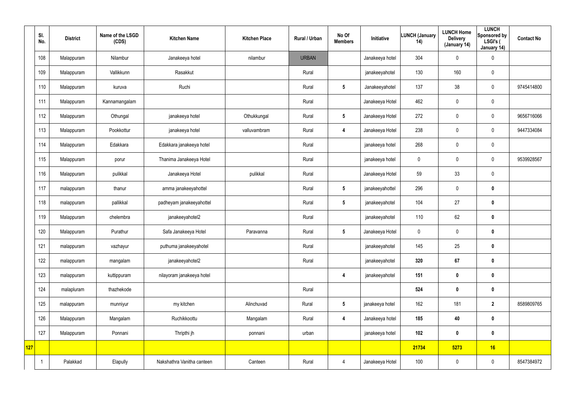|     | SI.<br>No.              | <b>District</b> | Name of the LSGD<br>(CDS) | <b>Kitchen Name</b>        | <b>Kitchen Place</b> | Rural / Urban | No Of<br><b>Members</b> | Initiative      | <b>LUNCH (January</b><br>14) | <b>LUNCH Home</b><br><b>Delivery</b><br>(January 14) | <b>LUNCH</b><br>Sponsored by<br>LSGI's (<br>January 14) | <b>Contact No</b> |
|-----|-------------------------|-----------------|---------------------------|----------------------------|----------------------|---------------|-------------------------|-----------------|------------------------------|------------------------------------------------------|---------------------------------------------------------|-------------------|
|     | 108                     | Malappuram      | Nilambur                  | Janakeeya hotel            | nilambur             | <b>URBAN</b>  |                         | Janakeeya hotel | 304                          | 0                                                    | $\boldsymbol{0}$                                        |                   |
|     | 109                     | Malappuram      | Vallikkunn                | Rasakkut                   |                      | Rural         |                         | janakeeyahotel  | 130                          | 160                                                  | $\pmb{0}$                                               |                   |
|     | 110                     | Malappuram      | kuruva                    | Ruchi                      |                      | Rural         | $5\overline{)}$         | Janakeeyahotel  | 137                          | 38                                                   | $\mathbf 0$                                             | 9745414800        |
|     | 111                     | Malappuram      | Kannamangalam             |                            |                      | Rural         |                         | Janakeeya Hotel | 462                          | 0                                                    | $\mathbf 0$                                             |                   |
|     | 112                     | Malappuram      | Othungal                  | janakeeya hotel            | Othukkungal          | Rural         | $5\phantom{.0}$         | Janakeeya Hotel | 272                          | 0                                                    | $\mathbf 0$                                             | 9656716066        |
|     | 113                     | Malappuram      | Pookkottur                | janakeeya hotel            | valluvambram         | Rural         | 4                       | Janakeeya Hotel | 238                          | 0                                                    | $\mathbf 0$                                             | 9447334084        |
|     | 114                     | Malappuram      | Edakkara                  | Edakkara janakeeya hotel   |                      | Rural         |                         | janakeeya hotel | 268                          | 0                                                    | $\pmb{0}$                                               |                   |
|     | 115                     | Malappuram      | porur                     | Thanima Janakeeya Hotel    |                      | Rural         |                         | janakeeya hotel | $\mathbf 0$                  | 0                                                    | $\mathbf 0$                                             | 9539928567        |
|     | 116                     | Malappuram      | pulikkal                  | Janakeeya Hotel            | pulikkal             | Rural         |                         | Janakeeya Hotel | 59                           | 33                                                   | $\pmb{0}$                                               |                   |
|     | 117                     | malappuram      | thanur                    | amma janakeeyahottel       |                      | Rural         | $5\overline{)}$         | janakeeyahottel | 296                          | 0                                                    | $\mathbf 0$                                             |                   |
|     | 118                     | malappuram      | pallikkal                 | padheyam janakeeyahottel   |                      | Rural         | $5\phantom{.0}$         | janakeeyahotel  | 104                          | 27                                                   | $\mathbf 0$                                             |                   |
|     | 119                     | Malappuram      | chelembra                 | janakeeyahotel2            |                      | Rural         |                         | janakeeyahotel  | 110                          | 62                                                   | $\mathbf 0$                                             |                   |
|     | 120                     | Malappuram      | Purathur                  | Safa Janakeeya Hotel       | Paravanna            | Rural         | $5\phantom{.0}$         | Janakeeya Hotel | $\mathbf 0$                  | 0                                                    | $\mathbf 0$                                             |                   |
|     | 121                     | malappuram      | vazhayur                  | puthuma janakeeyahotel     |                      | Rural         |                         | janakeeyahotel  | 145                          | 25                                                   | $\pmb{0}$                                               |                   |
|     | 122                     | malappuram      | mangalam                  | janakeeyahotel2            |                      | Rural         |                         | janakeeyahotel  | 320                          | 67                                                   | $\mathbf 0$                                             |                   |
|     | 123                     | malappuram      | kuttippuram               | nilayoram janakeeya hotel  |                      |               | $\overline{\mathbf{4}}$ | janakeeyahotel  | 151                          | $\pmb{0}$                                            | $\mathbf 0$                                             |                   |
|     | 124                     | malapluram      | thazhekode                |                            |                      | Rural         |                         |                 | 524                          | $\boldsymbol{0}$                                     | $\pmb{0}$                                               |                   |
|     | 125                     | malappuram      | munniyur                  | my kitchen                 | Alinchuvad           | Rural         | 5 <sub>5</sub>          | janakeeya hotel | 162                          | 181                                                  | $\overline{2}$                                          | 8589809765        |
|     | 126                     | Malappuram      | Mangalam                  | Ruchikkoottu               | Mangalam             | Rural         | $\overline{\mathbf{4}}$ | Janakeeya hotel | 185                          | 40                                                   | $\mathbf 0$                                             |                   |
|     | 127                     | Malappuram      | Ponnani                   | Thripthi jh                | ponnani              | urban         |                         | janakeeya hotel | 102                          | $\boldsymbol{0}$                                     | $\mathbf 0$                                             |                   |
| 127 |                         |                 |                           |                            |                      |               |                         |                 | 21734                        | 5273                                                 | 16                                                      |                   |
|     | $\overline{\mathbf{1}}$ | Palakkad        | Elapully                  | Nakshathra Vanitha canteen | Canteen              | Rural         | $\overline{4}$          | Janakeeya Hotel | 100                          | 0                                                    | $\pmb{0}$                                               | 8547384972        |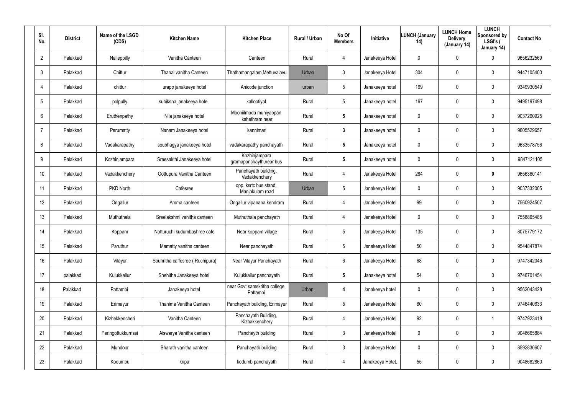| SI.<br>No.       | <b>District</b> | Name of the LSGD<br>(CDS) | <b>Kitchen Name</b>             | <b>Kitchen Place</b>                      | <b>Rural / Urban</b> | No Of<br><b>Members</b> | <b>Initiative</b> | <b>LUNCH (January</b><br>14) | <b>LUNCH Home</b><br><b>Delivery</b><br>(January 14) | <b>LUNCH</b><br>Sponsored by<br>LSGI's (<br>January 14) | <b>Contact No</b> |
|------------------|-----------------|---------------------------|---------------------------------|-------------------------------------------|----------------------|-------------------------|-------------------|------------------------------|------------------------------------------------------|---------------------------------------------------------|-------------------|
| $\overline{2}$   | Palakkad        | Nalleppilly               | Vanitha Canteen                 | Canteen                                   | Rural                | $\overline{4}$          | Janakeeya Hotel   | 0                            | $\mathbf 0$                                          | $\mathbf 0$                                             | 9656232569        |
| 3                | Palakkad        | Chittur                   | Thanal vanitha Canteen          | Thathamangalam, Mettuvalavu               | Urban                | 3                       | Janakeeya Hotel   | 304                          | $\mathbf 0$                                          | $\mathbf 0$                                             | 9447105400        |
| 4                | Palakkad        | chittur                   | urapp janakeeya hotel           | Anicode junction                          | urban                | 5                       | Janakeeya hotel   | 169                          | 0                                                    | $\mathbf 0$                                             | 9349930549        |
| 5                | Palakkad        | polpully                  | subiksha janakeeya hotel        | kallootiyal                               | Rural                | 5                       | Janakeeya hotel   | 167                          | $\mathbf 0$                                          | $\mathbf 0$                                             | 9495197498        |
| 6                | Palakkad        | Eruthenpathy              | Nila janakeeya hotel            | Mooniilmada muniyappan<br>kshethram near  | Rural                | $5\phantom{.0}$         | Janakeeya hotel   | 0                            | $\mathbf 0$                                          | $\mathbf 0$                                             | 9037290925        |
| $\overline{7}$   | Palakkad        | Perumatty                 | Nanam Janakeeya hotel           | kannimari                                 | Rural                | $\mathbf{3}$            | Janakeeya hotel   | 0                            | $\mathbf 0$                                          | 0                                                       | 9605529657        |
| 8                | Palakkad        | Vadakarapathy             | soubhagya janakeeya hotel       | vadakarapathy panchayath                  | Rural                | $5\phantom{.0}$         | Janakeeya hotel   | 0                            | 0                                                    | $\mathbf 0$                                             | 9633578756        |
| 9                | Palakkad        | Kozhinjampara             | Sreesakthi Janakeeya hotel      | Kozhinjampara<br>gramapanchayth, near bus | Rural                | $5\phantom{.0}$         | Janakeeya hotel   | 0                            | $\mathbf 0$                                          | $\mathbf 0$                                             | 9847121105        |
| 10               | Palakkad        | Vadakkenchery             | Oottupura Vanitha Canteen       | Panchayath building,<br>Vadakkenchery     | Rural                | $\overline{4}$          | Janakeeya Hotel   | 284                          | 0                                                    | 0                                                       | 9656360141        |
| 11               | Palakkad        | <b>PKD North</b>          | Cafesree                        | opp. ksrtc bus stand,<br>Manjakulam road  | Urban                | 5                       | Janakeeya Hotel   | 0                            | $\mathbf 0$                                          | $\mathbf 0$                                             | 9037332005        |
| 12               | Palakkad        | Ongallur                  | Amma canteen                    | Ongallur vipanana kendram                 | Rural                | $\overline{4}$          | Janakeeya Hotel   | 99                           | 0                                                    | $\mathbf 0$                                             | 7560924507        |
| 13               | Palakkad        | Muthuthala                | Sreelakshmi vanitha canteen     | Muthuthala panchayath                     | Rural                | $\overline{4}$          | Janakeeya Hotel   | 0                            | $\mathbf 0$                                          | $\mathbf 0$                                             | 7558865485        |
| 14               | Palakkad        | Koppam                    | Natturuchi kudumbashree cafe    | Near koppam village                       | Rural                | 5                       | Janakeeya Hotel   | 135                          | $\boldsymbol{0}$                                     | $\mathbf 0$                                             | 8075779172        |
| 15 <sub>15</sub> | Palakkad        | Paruthur                  | Mamatty vanitha canteen         | Near panchayath                           | Rural                | 5                       | Janakeeya Hotel   | 50                           | $\pmb{0}$                                            | $\pmb{0}$                                               | 9544847874        |
| 16               | Palakkad        | Vilayur                   | Souhritha caffesree (Ruchipura) | Near Vilayur Panchayath                   | Rural                | $6\phantom{.}6$         | Janakeeya Hotel   | 68                           | $\boldsymbol{0}$                                     | 0                                                       | 9747342046        |
| 17               | palakkad        | Kulukkallur               | Snehitha Janakeeya hotel        | Kulukkallur panchayath                    | Rural                | $5\phantom{.0}$         | Janakeeya hotel   | 54                           | $\pmb{0}$                                            | $\pmb{0}$                                               | 9746701454        |
| 18               | Palakkad        | Pattambi                  | Janakeeya hotel                 | near Govt samskritha college,<br>Pattambi | Urban                | 4                       | Janakeeya hotel   | 0                            | $\pmb{0}$                                            | 0                                                       | 9562043428        |
| 19               | Palakkad        | Erimayur                  | Thanima Vanitha Canteen         | Panchayath building, Erimayur             | Rural                | 5                       | Janakeeya Hotel   | 60                           | $\pmb{0}$                                            | $\pmb{0}$                                               | 9746440633        |
| 20               | Palakkad        | Kizhekkencheri            | Vanitha Canteen                 | Panchayath Building,<br>Kizhakkenchery    | Rural                | 4                       | Janakeeya Hotel   | 92                           | $\pmb{0}$                                            |                                                         | 9747923418        |
| 21               | Palakkad        | Peringottukkurrissi       | Aiswarya Vanitha canteen        | Panchayth building                        | Rural                | $\mathbf{3}$            | Janakeeya Hotel   | 0                            | $\pmb{0}$                                            | 0                                                       | 9048665884        |
| 22               | Palakkad        | Mundoor                   | Bharath vanitha canteen         | Panchayath building                       | Rural                | $\mathbf{3}$            | Janakeeya Hotel   | 0                            | $\pmb{0}$                                            | 0                                                       | 8592830607        |
| 23               | Palakkad        | Kodumbu                   | kripa                           | kodumb panchayath                         | Rural                | $\overline{4}$          | Janakeeya HoteL   | 55                           | $\boldsymbol{0}$                                     | 0                                                       | 9048682860        |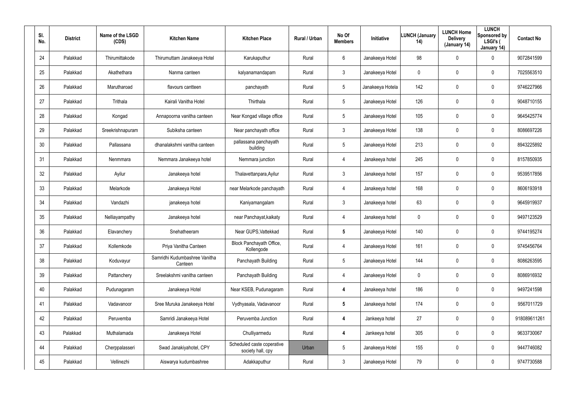| SI.<br>No. | <b>District</b> | Name of the LSGD<br>(CDS) | <b>Kitchen Name</b>                      | <b>Kitchen Place</b>                            | Rural / Urban | No Of<br><b>Members</b> | Initiative       | <b>LUNCH (January</b><br>14) | <b>LUNCH Home</b><br><b>Delivery</b><br>(January 14) | <b>LUNCH</b><br>Sponsored by<br>LSGI's (<br>January 14) | <b>Contact No</b> |
|------------|-----------------|---------------------------|------------------------------------------|-------------------------------------------------|---------------|-------------------------|------------------|------------------------------|------------------------------------------------------|---------------------------------------------------------|-------------------|
| 24         | Palakkad        | Thirumittakode            | Thirumuttam Janakeeya Hotel              | Karukaputhur                                    | Rural         | 6                       | Janakeeya Hotel  | 98                           | 0                                                    | 0                                                       | 9072841599        |
| 25         | Palakkad        | Akathethara               | Nanma canteen                            | kalyanamandapam                                 | Rural         | 3                       | Janakeeya Hotel  | 0                            | 0                                                    | $\mathbf 0$                                             | 7025563510        |
| 26         | Palakkad        | Marutharoad               | flavours cantteen                        | panchayath                                      | Rural         | 5                       | Janakeeya Hotela | 142                          | 0                                                    | $\mathbf 0$                                             | 9746227966        |
| 27         | Palakkad        | Trithala                  | Kairali Vanitha Hotel                    | Thirthala                                       | Rural         | 5                       | Janakeeya Hotel  | 126                          | 0                                                    | $\mathbf 0$                                             | 9048710155        |
| 28         | Palakkad        | Kongad                    | Annapoorna vanitha canteen               | Near Kongad village office                      | Rural         | 5                       | Janakeeya Hotel  | 105                          | 0                                                    | $\mathbf 0$                                             | 9645425774        |
| 29         | Palakkad        | Sreekrishnapuram          | Subiksha canteen                         | Near panchayath office                          | Rural         | $\mathbf{3}$            | Janakeeya Hotel  | 138                          | 0                                                    | $\mathbf 0$                                             | 8086697226        |
| 30         | Palakkad        | Pallassana                | dhanalakshmi vanitha canteen             | pallassana panchayath<br>building               | Rural         | 5                       | Janakeeya Hotel  | 213                          | $\boldsymbol{0}$                                     | 0                                                       | 8943225892        |
| 31         | Palakkad        | Nenmmara                  | Nemmara Janakeeya hotel                  | Nemmara junction                                | Rural         | $\overline{4}$          | Janakeeya hotel  | 245                          | $\boldsymbol{0}$                                     | $\mathbf 0$                                             | 8157850935        |
| 32         | Palakkad        | Ayilur                    | Janakeeya hotel                          | Thalavettanpara, Ayilur                         | Rural         | $\mathbf{3}$            | Janakeeya hotel  | 157                          | $\boldsymbol{0}$                                     | 0                                                       | 9539517856        |
| 33         | Palakkad        | Melarkode                 | Janakeeya Hotel                          | near Melarkode panchayath                       | Rural         | $\overline{4}$          | Janakeeya hotel  | 168                          | $\boldsymbol{0}$                                     | $\mathbf 0$                                             | 8606193918        |
| 34         | Palakkad        | Vandazhi                  | janakeeya hotel                          | Kaniyamangalam                                  | Rural         | $\mathbf{3}$            | Janakeeya hotel  | 63                           | $\boldsymbol{0}$                                     | 0                                                       | 9645919937        |
| 35         | Palakkad        | Nelliayampathy            | Janakeeya hotel                          | near Panchayat, kaikaty                         | Rural         | $\overline{4}$          | Janakeeya hotel  | 0                            | $\boldsymbol{0}$                                     | $\mathbf 0$                                             | 9497123529        |
| 36         | Palakkad        | Elavanchery               | Snehatheeram                             | Near GUPS, Vattekkad                            | Rural         | 5                       | Janakeeya Hotel  | 140                          | $\boldsymbol{0}$                                     | $\mathbf 0$                                             | 9744195274        |
| 37         | Palakkad        | Kollemkode                | Priya Vanitha Canteen                    | Block Panchayath Office,<br>Kollengode          | Rural         | 4                       | Janakeeya Hotel  | 161                          | $\boldsymbol{0}$                                     | $\pmb{0}$                                               | 9745456764        |
| 38         | Palakkad        | Koduvayur                 | Samridhi Kudumbashree Vanitha<br>Canteen | Panchayath Building                             | Rural         | 5                       | Janakeeya Hotel  | 144                          | $\pmb{0}$                                            | 0                                                       | 8086263595        |
| 39         | Palakkad        | Pattanchery               | Sreelakshmi vanitha canteen              | Panchayath Building                             | Rural         | $\overline{4}$          | Janakeeya Hotel  | 0                            | $\pmb{0}$                                            | $\pmb{0}$                                               | 8086916932        |
| 40         | Palakkad        | Pudunagaram               | Janakeeya Hotel                          | Near KSEB, Pudunagaram                          | Rural         | $\boldsymbol{4}$        | Janakeeya hotel  | 186                          | $\pmb{0}$                                            | $\pmb{0}$                                               | 9497241598        |
| 41         | Palakkad        | Vadavanoor                | Sree Muruka Janakeeya Hotel              | Vydhyasala, Vadavanoor                          | Rural         | $5\phantom{.0}$         | Janakeeya hotel  | 174                          | $\mathbf 0$                                          | $\pmb{0}$                                               | 9567011729        |
| 42         | Palakkad        | Peruvemba                 | Samridi Janakeeya Hotel                  | Peruvemba Junction                              | Rural         | $\overline{\mathbf{4}}$ | Jankeeya hotel   | 27                           | $\pmb{0}$                                            | $\pmb{0}$                                               | 918089611261      |
| 43         | Palakkad        | Muthalamada               | Janakeeya Hotel                          | Chulliyarmedu                                   | Rural         | $\overline{\mathbf{4}}$ | Jankeeya hotel   | 305                          | $\mathbf 0$                                          | $\pmb{0}$                                               | 9633730067        |
| 44         | Palakkad        | Cherppalasseri            | Swad Janakiyahotel, CPY                  | Scheduled caste coperative<br>society hall, cpy | Urban         | $5\phantom{.0}$         | Janakeeya Hotel  | 155                          | $\pmb{0}$                                            | 0                                                       | 9447746082        |
| 45         | Palakkad        | Vellinezhi                | Aiswarya kudumbashree                    | Adakkaputhur                                    | Rural         | $\mathfrak{Z}$          | Janakeeya Hotel  | 79                           | $\boldsymbol{0}$                                     | 0                                                       | 9747730588        |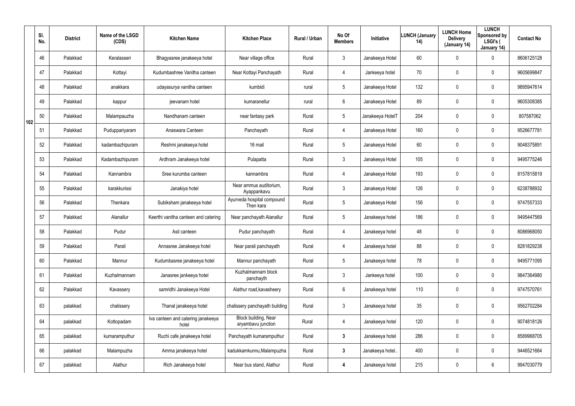|     | SI.<br>No. | <b>District</b> | Name of the LSGD<br>(CDS) | <b>Kitchen Name</b>                         | <b>Kitchen Place</b>                       | Rural / Urban | No Of<br><b>Members</b> | Initiative       | <b>LUNCH (January</b><br>14) | <b>LUNCH Home</b><br><b>Delivery</b><br>(January 14) | <b>LUNCH</b><br>Sponsored by<br>LSGI's (<br>January 14) | <b>Contact No</b> |
|-----|------------|-----------------|---------------------------|---------------------------------------------|--------------------------------------------|---------------|-------------------------|------------------|------------------------------|------------------------------------------------------|---------------------------------------------------------|-------------------|
|     | 46         | Palakkad        | Keralasseri               | Bhagyasree janakeeya hotel                  | Near village office                        | Rural         | $\mathbf{3}$            | Janakeeya Hotel  | 60                           | 0                                                    | $\mathbf 0$                                             | 8606125128        |
|     | 47         | Palakkad        | Kottayi                   | Kudumbashree Vanitha canteen                | Near Kottayi Panchayath                    | Rural         | $\overline{4}$          | Jankeeya hotel   | 70                           | 0                                                    | $\mathbf 0$                                             | 9605699847        |
|     | 48         | Palakkad        | anakkara                  | udayasurya vanitha canteen                  | kumbidi                                    | rural         | $5\overline{)}$         | Janakeeya Hotel  | 132                          | 0                                                    | $\mathbf 0$                                             | 9895947614        |
|     | 49         | Palakkad        | kappur                    | jeevanam hotel                              | kumaranellur                               | rural         | 6                       | Janakeeya Hotel  | 89                           | 0                                                    | $\mathbf 0$                                             | 9605308385        |
| 102 | 50         | Palakkad        | Malampauzha               | Nandhanam canteen                           | near fantasy park                          | Rural         | $5\overline{)}$         | Janakeeya HotelT | 204                          | 0                                                    | $\mathbf 0$                                             | 807587062         |
|     | 51         | Palakkad        | Puduppariyaram            | Anaswara Canteen                            | Panchayath                                 | Rural         | $\overline{4}$          | Janakeeya Hotel  | 160                          | 0                                                    | $\mathbf 0$                                             | 9526677781        |
|     | 52         | Palakkad        | kadambazhipuram           | Reshmi janakeeya hotel                      | 16 mail                                    | Rural         | $5\overline{)}$         | Janakeeya Hotel  | 60                           | 0                                                    | $\mathbf 0$                                             | 9048375891        |
|     | 53         | Palakkad        | Kadambazhipuram           | Ardhram Janakeeya hotel                     | Pulapatta                                  | Rural         | 3                       | Janakeeya Hotel  | 105                          | 0                                                    | $\mathbf 0$                                             | 9495775246        |
|     | 54         | Palakkad        | Kannambra                 | Sree kurumba canteen                        | kannambra                                  | Rural         | 4                       | Janakeeya Hotel  | 193                          | 0                                                    | $\mathbf 0$                                             | 8157815819        |
|     | 55         | Palakkad        | karakkurissi              | Janakiya hotel                              | Near ammus auditorium,<br>Ayappankavu      | Rural         | $\mathbf{3}$            | Janakeeya Hotel  | 126                          | 0                                                    | $\mathbf 0$                                             | 6238788932        |
|     | 56         | Palakkad        | Thenkara                  | Subiksham janakeeya hotel                   | Ayurveda hospital compound<br>Then kara    | Rural         | $\sqrt{5}$              | Janakeeya Hotel  | 156                          | 0                                                    | $\mathbf 0$                                             | 9747557333        |
|     | 57         | Palakkad        | Alanallur                 | Keerthi vanitha canteen and catering        | Near panchayath Alanallur                  | Rural         | $5\phantom{.0}$         | Janakeeya hotel  | 186                          | 0                                                    | $\mathbf 0$                                             | 9495447569        |
|     | 58         | Palakkad        | Pudur                     | Asil canteen                                | Pudur panchayath                           | Rural         | 4                       | Janakeeya hotel  | 48                           | 0                                                    | $\mathbf 0$                                             | 8086968050        |
|     | 59         | Palakkad        | Parali                    | Annasree Janakeeya hotel                    | Near parali panchayath                     | Rural         | $\overline{4}$          | Janakeeya hotel  | 88                           | 0                                                    | $\pmb{0}$                                               | 8281829238        |
|     | 60         | Palakkad        | Mannur                    | Kudumbasree janakeeya hotel                 | Mannur panchayath                          | Rural         | $5\phantom{.0}$         | Janakeeya hotel  | 78                           | 0                                                    | $\mathbf 0$                                             | 9495771095        |
|     | 61         | Palakkad        | Kuzhalmannam              | Janasree jankeeya hotel                     | Kuzhalmannam block<br>panchayth            | Rural         | $\mathbf{3}$            | Jankeeya hotel   | 100                          | 0                                                    | $\pmb{0}$                                               | 9847364980        |
|     | 62         | Palakkad        | Kavassery                 | samridhi Janakeeya Hotel                    | Alathur road, kavasheery                   | Rural         | 6                       | Janakeeya hotel  | 110                          | 0                                                    | $\mathbf 0$                                             | 9747570761        |
|     | 63         | palakkad        | chalissery                | Thanal janakeeya hotel                      | chalissery panchayath building             | Rural         | $\mathfrak{Z}$          | Janakeeya hotel  | 35                           | 0                                                    | $\pmb{0}$                                               | 9562702284        |
|     | 64         | palakkad        | Kottopadam                | Iva canteen and catering janakeeya<br>hotel | Block building, Near<br>aryambavu junction | Rural         | $\overline{4}$          | Janakeeya hotel  | 120                          | 0                                                    | $\pmb{0}$                                               | 9074818126        |
|     | 65         | palakkad        | kumaramputhur             | Ruchi cafe janakeeya hotel                  | Panchayath kumaramputhur                   | Rural         | $\mathbf{3}$            | Janakeeya hotel  | 286                          | 0                                                    | $\mathbf 0$                                             | 8589968705        |
|     | 66         | palakkad        | Malampuzha                | Amma janakeeya hotel                        | kadukkamkunnu, Malampuzha                  | Rural         | $3\phantom{a}$          | Janakeeya hotel  | 400                          | 0                                                    | $\pmb{0}$                                               | 9446521664        |
|     | 67         | palakkad        | Alathur                   | Rich Janakeeya hotel                        | Near bus stand, Alathur                    | Rural         | 4                       | Janakeeya hotel  | 215                          | 0                                                    | $6\phantom{.}$                                          | 9947030779        |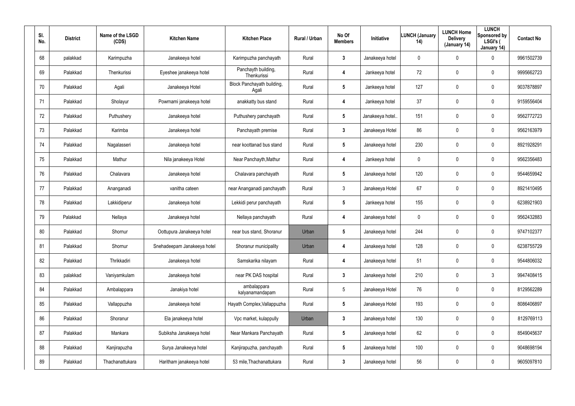| SI.<br>No. | <b>District</b> | Name of the LSGD<br>(CDS) | <b>Kitchen Name</b>         | <b>Kitchen Place</b>                | <b>Rural / Urban</b> | No Of<br><b>Members</b> | <b>Initiative</b> | <b>LUNCH (January</b><br>14) | <b>LUNCH Home</b><br><b>Delivery</b><br>(January 14) | <b>LUNCH</b><br>Sponsored by<br>LSGI's (<br>January 14) | <b>Contact No</b> |
|------------|-----------------|---------------------------|-----------------------------|-------------------------------------|----------------------|-------------------------|-------------------|------------------------------|------------------------------------------------------|---------------------------------------------------------|-------------------|
| 68         | palakkad        | Karimpuzha                | Janakeeya hotel             | Karimpuzha panchayath               | Rural                | 3                       | Janakeeya hotel   | 0                            | $\mathbf 0$                                          | 0                                                       | 9961502739        |
| 69         | Palakkad        | Thenkurissi               | Eyeshee janakeeya hotel     | Panchayth building,<br>Thenkurissi  | Rural                | 4                       | Jankeeya hotel    | 72                           | 0                                                    | 0                                                       | 9995662723        |
| 70         | Palakkad        | Agali                     | Janakeeya Hotel             | Block Panchayath building,<br>Agali | Rural                | $5\phantom{.0}$         | Jankeeya hotel    | 127                          | $\mathbf 0$                                          | 0                                                       | 9037878897        |
| 71         | Palakkad        | Sholayur                  | Powrnami janakeeya hotel    | anakkatty bus stand                 | Rural                | 4                       | Jankeeya hotel    | 37                           | 0                                                    | 0                                                       | 9159556404        |
| 72         | Palakkad        | Puthushery                | Janakeeya hotel             | Puthushery panchayath               | Rural                | $5\phantom{.0}$         | Janakeeya hotel.  | 151                          | $\mathbf 0$                                          | 0                                                       | 9562772723        |
| 73         | Palakkad        | Karimba                   | Janakeeya hotel             | Panchayath premise                  | Rural                | 3                       | Janakeeya Hotel   | 86                           | $\mathbf 0$                                          | 0                                                       | 9562163979        |
| 74         | Palakkad        | Nagalasseri               | Janakeeya hotel             | near koottanad bus stand            | Rural                | $5\phantom{.0}$         | Janakeeya hotel   | 230                          | $\pmb{0}$                                            | 0                                                       | 8921928291        |
| 75         | Palakkad        | Mathur                    | Nila janakeeya Hotel        | Near Panchayth, Mathur              | Rural                | 4                       | Jankeeya hotel    | 0                            | $\boldsymbol{0}$                                     | 0                                                       | 9562356483        |
| 76         | Palakkad        | Chalavara                 | Janakeeya hotel             | Chalavara panchayath                | Rural                | $5\phantom{.0}$         | Janakeeya hotel   | 120                          | $\pmb{0}$                                            | 0                                                       | 9544659942        |
| 77         | Palakkad        | Ananganadi                | vanitha cateen              | near Ananganadi panchayath          | Rural                | $\mathbf{3}$            | Janakeeya Hotel   | 67                           | $\boldsymbol{0}$                                     | 0                                                       | 8921410495        |
| 78         | Palakkad        | Lakkidiperur              | Janakeeya hotel             | Lekkidi perur panchayath            | Rural                | $5\phantom{.0}$         | Jankeeya hotel    | 155                          | $\pmb{0}$                                            | 0                                                       | 6238921903        |
| 79         | Palakkad        | Nellaya                   | Janakeeya hotel             | Nellaya panchayath                  | Rural                | 4                       | Janakeeya hotel   | 0                            | $\boldsymbol{0}$                                     | 0                                                       | 9562432883        |
| 80         | Palakkad        | Shornur                   | Oottupura Janakeeya hotel   | near bus stand, Shoranur            | Urban                | 5                       | Janakeeya hotel   | 244                          | $\boldsymbol{0}$                                     | 0                                                       | 9747102377        |
| 81         | Palakkad        | Shornur                   | Snehadeepam Janakeeya hotel | Shoranur municipality               | Urban                | 4                       | Janakeeya hotel   | 128                          | $\boldsymbol{0}$                                     | 0                                                       | 6238755729        |
| 82         | Palakkad        | Thrikkadiri               | Janakeeya hotel             | Samskarika nilayam                  | Rural                | 4                       | Janakeeya hotel   | 51                           | $\pmb{0}$                                            | 0                                                       | 9544806032        |
| 83         | palakkad        | Vaniyamkulam              | Janakeeya hotel             | near PK DAS hospital                | Rural                | $\mathbf{3}$            | Janakeeya hotel   | 210                          | $\boldsymbol{0}$                                     | $\mathfrak{Z}$                                          | 9947408415        |
| 84         | Palakkad        | Ambalappara               | Janakiya hotel              | ambalappara<br>kalyanamandapam      | Rural                | $5\phantom{.0}$         | Janakeeya Hotel   | 76                           | $\pmb{0}$                                            | 0                                                       | 8129562289        |
| 85         | Palakkad        | Vallappuzha               | Janakeeya hotel             | Hayath Complex, Vallappuzha         | Rural                | $5\phantom{.0}$         | Janakeeya Hotel   | 193                          | $\mathbf 0$                                          | 0                                                       | 8086406897        |
| 86         | Palakkad        | Shoranur                  | Ela janakeeya hotel         | Vpc market, kulappully              | Urban                | $\mathbf{3}$            | Janakeeya hotel   | 130                          | $\mathbf 0$                                          | 0                                                       | 8129769113        |
| 87         | Palakkad        | Mankara                   | Subiksha Janakeeya hotel    | Near Mankara Panchayath             | Rural                | $5\phantom{.0}$         | Janakeeya hotel   | 62                           | $\mathbf 0$                                          | 0                                                       | 8549045637        |
| 88         | Palakkad        | Kanjirapuzha              | Surya Janakeeya hotel       | Kanjirapuzha, panchayath            | Rural                | $5\phantom{.0}$         | Janakeeya hotel   | 100                          | $\mathbf 0$                                          | 0                                                       | 9048698194        |
| 89         | Palakkad        | Thachanattukara           | Haritham janakeeya hotel    | 53 mile, Thachanattukara            | Rural                | $3\phantom{a}$          | Janakeeya hotel   | 56                           | $\boldsymbol{0}$                                     | 0                                                       | 9605097810        |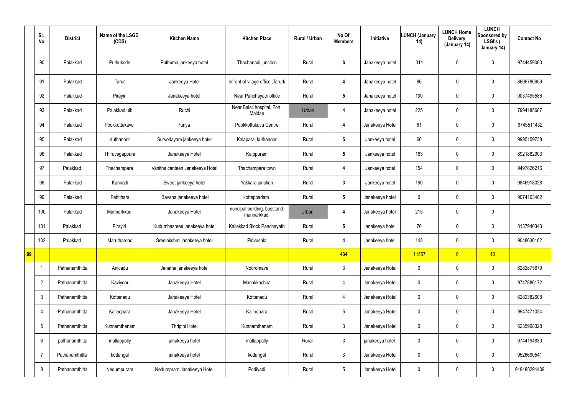|    | SI.<br>No.      | <b>District</b> | Name of the LSGD<br>(CDS) | <b>Kitchen Name</b>             | <b>Kitchen Place</b>                       | Rural / Urban | No Of<br><b>Members</b> | Initiative      | <b>LUNCH (January</b><br>14) | <b>LUNCH Home</b><br><b>Delivery</b><br>(January 14) | <b>LUNCH</b><br>Sponsored by<br>LSGI's (<br>January 14) | <b>Contact No</b> |
|----|-----------------|-----------------|---------------------------|---------------------------------|--------------------------------------------|---------------|-------------------------|-----------------|------------------------------|------------------------------------------------------|---------------------------------------------------------|-------------------|
|    | 90              | Palakkad        | Puthukode                 | Puthuma jankeeya hotel          | Thachanadi junction                        | Rural         | $\boldsymbol{6}$        | Janakeeya hotel | 311                          | 0                                                    | $\mathbf 0$                                             | 9744459080        |
|    | 91              | Palakkad        | Tarur                     | Jankeeya Hotel                  | Infront of vilage office, Tarurk           | Rural         | 4                       | Janakeeya hotel | 86                           | $\mathbf 0$                                          | $\mathbf 0$                                             | 8606780959        |
|    | 92              | Palakkad        | Pirayiri                  | Janakeeya hotel                 | Near Panchayath office                     | Rural         | $5\phantom{.0}$         | Janakeeya hotel | 100                          | 0                                                    | $\mathbf 0$                                             | 9037495586        |
|    | 93              | Palakkad        | Palakkad ulb              | Ruchi                           | Near Balaji hospital, Fort<br>Maidan       | Urban         | 4                       | Janakeeya hotel | 225                          | 0                                                    | $\mathbf 0$                                             | 7994185687        |
|    | 94              | Palakkad        | Pookkottukavu             | Punya                           | Pookkottukavu Centre                       | Rural         | 4                       | Janakeeya Hotel | 61                           | 0                                                    | $\mathbf 0$                                             | 9745511432        |
|    | 95              | Palakkad        | Kuthanoor                 | Suryodayam jankeeya hotel       | Kalapara, kuthanoor                        | Rural         | $5\phantom{.0}$         | Jankeeya hotel  | 60                           | 0                                                    | $\mathbf 0$                                             | 9995159738        |
|    | 96              | Palakkad        | Thiruvegappura            | Janakeeya Hotel                 | Kaippuram                                  | Rural         | $5\phantom{.0}$         | Jankeeya hotel  | 163                          | 0                                                    | $\mathbf 0$                                             | 8921882903        |
|    | 97              | Palakkad        | Thachampara               | Vanitha canteen Janakeeya Hotel | Thachampara town                           | Rural         | 4                       | Jankeeya hotel  | 154                          | 0                                                    | $\mathbf 0$                                             | 9497826216        |
|    | 98              | Palakkad        | Kannadi                   | Sweet jankeeya hotel            | Yakkara junction                           | Rural         | $\mathbf{3}$            | Jankeeya hotel  | 190                          | 0                                                    | $\mathbf 0$                                             | 9846918028        |
|    | 99              | Palakkad        | Pattithara                | Bavana janakeeya hotel          | kottappadam                                | Rural         | $5\phantom{.0}$         | Janakeeya hotel | 0                            | $\mathbf 0$                                          | $\mathbf 0$                                             | 9074163402        |
|    | 100             | Palakkad        | Mannarkkad                | Janakeeya Hotel                 | muncipal building, busstand,<br>mannarkkad | Urban         | 4                       | Janakeeya hotel | 215                          | 0                                                    | $\mathbf 0$                                             |                   |
|    | 101             | Palakkad        | Pirayiri                  | Kudumbashree janakeeya hotel    | Kallekkad Block Panchayath                 | Rural         | $5\phantom{.0}$         | janakeeya hotel | 70                           | 0                                                    | $\mathbf 0$                                             | 8137940343        |
|    | 102             | Palakkad        | Marutharoad               | Sreelakshmi janakeeya hotel     | Pirivusala                                 | Rural         | 4                       | janakeeya hotel | 143                          | 0                                                    | 0                                                       | 9048636162        |
| 99 |                 |                 |                           |                                 |                                            |               | 434                     |                 | 11557                        | $\overline{0}$                                       | 10                                                      |                   |
|    | -1              | Pathanamthitta  | Anicadu                   | Janatha janakeeya hotel         | Nooromave                                  | Rural         | $\mathfrak{Z}$          | Janakeeya Hotel | 0                            | 0                                                    | $\mathbf 0$                                             | 6282875679        |
|    | $\overline{2}$  | Pathanamthitta  | Kaviyoor                  | Janakeeya Hotel                 | Manakkachira                               | Rural         | 4                       | Janakeeya Hotel | 0                            | 0                                                    | $\mathsf{0}$                                            | 9747886172        |
|    | $\mathfrak{Z}$  | Pathanamthitta  | Kottanadu                 | Janakeeya Hotel                 | Kottanadu                                  | Rural         | 4                       | Janakeeya Hotel | 0                            | 0                                                    | $\mathsf{0}$                                            | 6282382608        |
|    | $\overline{4}$  | Pathanamthitta  | Kalloopara                | Janakeeya Hotel                 | Kalloopara                                 | Rural         | $5\phantom{.0}$         | Janakeeya Hotel | 0                            | $\mathbf 0$                                          | $\mathsf{0}$                                            | 9947471024        |
|    | $5\phantom{.0}$ | Pathanamthitta  | Kunnamthanam              | Thripthi Hotel                  | Kunnamthanam                               | Rural         | $\mathbf{3}$            | Janakeeya Hotel | 0                            | $\pmb{0}$                                            | $\mathsf{0}$                                            | 6235908328        |
|    | 6               | pathanamthitta  | mallappally               | janakeeya hotel                 | mallappally                                | Rural         | $\mathfrak{Z}$          | janakeeya hotel | 0                            | $\pmb{0}$                                            | $\mathsf{0}$                                            | 9744194830        |
|    | $\overline{7}$  | Pathanamthitta  | kottangal                 | janakeeya hotel                 | kottangal                                  | Rural         | $\mathbf{3}$            | Janakeeya Hotel | 0                            | $\pmb{0}$                                            | $\mathsf{0}$                                            | 9526690541        |
|    | 8               | Pathanamthitta  | Nedumpuram                | Nedumpram Janakeeya Hotel       | Podiyadi                                   | Rural         | $\sqrt{5}$              | Janakeeya Hotel | 0                            | 0                                                    | $\pmb{0}$                                               | 919188291409      |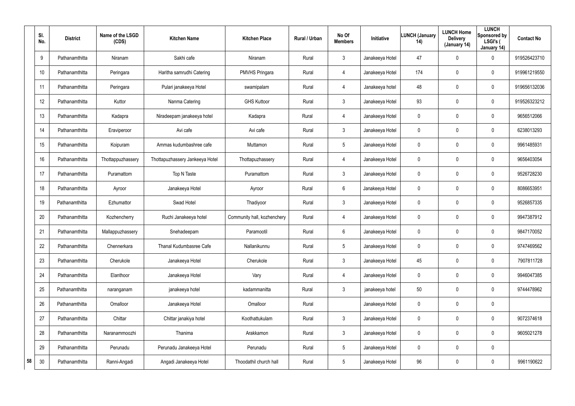|    | SI.<br>No.      | <b>District</b> | Name of the LSGD<br>(CDS) | <b>Kitchen Name</b>             | <b>Kitchen Place</b>        | <b>Rural / Urban</b> | No Of<br><b>Members</b> | <b>Initiative</b> | <b>LUNCH (January</b><br>14) | <b>LUNCH Home</b><br><b>Delivery</b><br>(January 14) | <b>LUNCH</b><br>Sponsored by<br>LSGI's (<br>January 14) | <b>Contact No</b> |
|----|-----------------|-----------------|---------------------------|---------------------------------|-----------------------------|----------------------|-------------------------|-------------------|------------------------------|------------------------------------------------------|---------------------------------------------------------|-------------------|
|    | 9               | Pathanamthitta  | Niranam                   | Sakhi cafe                      | Niranam                     | Rural                | $\mathbf{3}$            | Janakeeya Hotel   | 47                           | 0                                                    | 0                                                       | 919526423710      |
|    | 10 <sup>°</sup> | Pathanamthitta  | Peringara                 | Haritha samrudhi Catering       | <b>PMVHS Pringara</b>       | Rural                | 4                       | Janakeeya Hotel   | 174                          | 0                                                    | 0                                                       | 919961219550      |
|    | 11              | Pathanamthitta  | Peringara                 | Pulari janakeeya Hotel          | swamipalam                  | Rural                | 4                       | Janakeeya hotel   | 48                           | 0                                                    | 0                                                       | 919656132036      |
|    | 12              | Pathanamthitta  | Kuttor                    | Nanma Catering                  | <b>GHS Kuttoor</b>          | Rural                | $\mathbf{3}$            | Janakeeya Hotel   | 93                           | 0                                                    | 0                                                       | 919526323212      |
|    | 13              | Pathanamthitta  | Kadapra                   | Niradeepam janakeeya hotel      | Kadapra                     | Rural                | 4                       | Janakeeya Hotel   | 0                            | 0                                                    | 0                                                       | 9656512066        |
|    | 14              | Pathanamthitta  | Eraviperoor               | Avi cafe                        | Avi cafe                    | Rural                | $\mathbf{3}$            | Janakeeya Hotel   | 0                            | 0                                                    | $\pmb{0}$                                               | 6238013293        |
|    | 15              | Pathanamthitta  | Koipuram                  | Ammas kudumbashree cafe         | Muttamon                    | Rural                | $5\phantom{.0}$         | Janakeeya Hotel   | 0                            | 0                                                    | $\pmb{0}$                                               | 9961485931        |
|    | 16              | Pathanamthitta  | Thottappuzhassery         | Thottapuzhassery Jankeeya Hotel | Thottapuzhassery            | Rural                | 4                       | Janakeeya Hotel   | 0                            | 0                                                    | 0                                                       | 9656403054        |
|    | 17              | Pathanamthitta  | Puramattom                | Top N Taste                     | Puramattom                  | Rural                | $\mathbf{3}$            | Janakeeya Hotel   | 0                            | 0                                                    | 0                                                       | 9526728230        |
|    | 18              | Pathanamthitta  | Ayroor                    | Janakeeya Hotel                 | Ayroor                      | Rural                | 6                       | Janakeeya Hotel   | 0                            | 0                                                    | 0                                                       | 8086653951        |
|    | 19              | Pathanamthitta  | Ezhumattor                | Swad Hotel                      | Thadiyoor                   | Rural                | $\mathbf{3}$            | Janakeeya Hotel   | 0                            | 0                                                    | 0                                                       | 9526857335        |
|    | 20              | Pathanamthitta  | Kozhencherry              | Ruchi Janakeeya hotel           | Community hall, kozhenchery | Rural                | 4                       | Janakeeya Hotel   | 0                            | 0                                                    | 0                                                       | 9947387912        |
|    | 21              | Pathanamthitta  | Mallappuzhassery          | Snehadeepam                     | Paramootil                  | Rural                | 6                       | Janakeeya Hotel   | 0                            | 0                                                    | 0                                                       | 9847170052        |
|    | 22              | Pathanamthitta  | Chennerkara               | Thanal Kudumbasree Cafe         | Nallanikunnu                | Rural                | $5\phantom{.0}$         | Janakeeya Hotel   | 0                            | 0                                                    | $\pmb{0}$                                               | 9747469562        |
|    | 23              | Pathanamthitta  | Cherukole                 | Janakeeya Hotel                 | Cherukole                   | Rural                | $\mathbf{3}$            | Janakeeya Hotel   | 45                           | 0                                                    | $\mathsf{0}$                                            | 7907811728        |
|    | 24              | Pathanamthitta  | Elanthoor                 | Janakeeya Hotel                 | Vary                        | Rural                | 4                       | Janakeeya Hotel   | $\mathbf 0$                  | 0                                                    | $\mathsf{0}$                                            | 9946047385        |
|    | 25              | Pathanamthitta  | naranganam                | janakeeya hotel                 | kadammanitta                | Rural                | $\mathbf{3}$            | janakeeya hotel   | 50                           | 0                                                    | $\mathbf 0$                                             | 9744478962        |
|    | 26              | Pathanamthitta  | Omalloor                  | Janakeeya Hotel                 | Omalloor                    | Rural                |                         | Janakeeya Hotel   | $\mathbf 0$                  | 0                                                    | $\pmb{0}$                                               |                   |
|    | 27              | Pathanamthitta  | Chittar                   | Chittar janakiya hotel          | Koothattukulam              | Rural                | $\mathbf{3}$            | Janakeeya Hotel   | $\mathbf 0$                  | 0                                                    | $\mathsf{0}$                                            | 9072374618        |
|    | 28              | Pathanamthitta  | Naranammoozhi             | Thanima                         | Arakkamon                   | Rural                | $\mathbf{3}$            | Janakeeya Hotel   | $\mathbf 0$                  | 0                                                    | $\mathsf{0}$                                            | 9605021278        |
|    | 29              | Pathanamthitta  | Perunadu                  | Perunadu Janakeeya Hotel        | Perunadu                    | Rural                | $5\phantom{.0}$         | Janakeeya Hotel   | $\mathbf 0$                  | 0                                                    | $\pmb{0}$                                               |                   |
| 58 | 30              | Pathanamthitta  | Ranni-Angadi              | Angadi Janakeeya Hotel          | Thoodathil church hall      | Rural                | $5\phantom{.0}$         | Janakeeya Hotel   | 96                           | 0                                                    | $\mathsf{0}$                                            | 9961190622        |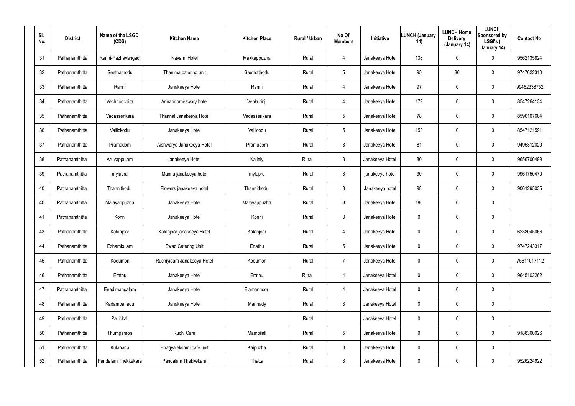| SI.<br>No. | <b>District</b> | Name of the LSGD<br>(CDS) | <b>Kitchen Name</b>        | <b>Kitchen Place</b> | <b>Rural / Urban</b> | No Of<br><b>Members</b> | Initiative      | <b>LUNCH (January</b><br>14) | <b>LUNCH Home</b><br><b>Delivery</b><br>(January 14) | <b>LUNCH</b><br>Sponsored by<br>LSGI's (<br>January 14) | <b>Contact No</b> |
|------------|-----------------|---------------------------|----------------------------|----------------------|----------------------|-------------------------|-----------------|------------------------------|------------------------------------------------------|---------------------------------------------------------|-------------------|
| 31         | Pathanamthitta  | Ranni-Pazhavangadi        | Navami Hotel               | Makkappuzha          | Rural                | 4                       | Janakeeya Hotel | 138                          | $\mathbf 0$                                          | $\mathbf 0$                                             | 9562135824        |
| 32         | Pathanamthitta  | Seethathodu               | Thanima catering unit      | Seethathodu          | Rural                | $5\overline{)}$         | Janakeeya Hotel | 95                           | 86                                                   | $\mathbf 0$                                             | 9747622310        |
| 33         | Pathanamthitta  | Ranni                     | Janakeeya Hotel            | Ranni                | Rural                | 4                       | Janakeeya Hotel | 97                           | $\mathbf 0$                                          | $\mathbf 0$                                             | 99462338752       |
| 34         | Pathanamthitta  | Vechhoochira              | Annapoorneswary hotel      | Venkurinji           | Rural                | 4                       | Janakeeya Hotel | 172                          | 0                                                    | $\mathbf 0$                                             | 8547264134        |
| 35         | Pathanamthitta  | Vadasserikara             | Thannal Janakeeya Hotel    | Vadasserikara        | Rural                | $5\overline{)}$         | Janakeeya Hotel | 78                           | $\mathbf 0$                                          | $\mathbf 0$                                             | 8590107684        |
| 36         | Pathanamthitta  | Vallickodu                | Janakeeya Hotel            | Vallicodu            | Rural                | $5\overline{)}$         | Janakeeya Hotel | 153                          | 0                                                    | $\mathbf 0$                                             | 8547121591        |
| 37         | Pathanamthitta  | Pramadom                  | Aishwarya Janakeeya Hotel  | Pramadom             | Rural                | $\mathbf{3}$            | Janakeeya Hotel | 81                           | 0                                                    | $\mathbf 0$                                             | 9495312020        |
| 38         | Pathanamthitta  | Aruvappulam               | Janakeeya Hotel            | Kallely              | Rural                | $\mathbf{3}$            | Janakeeya Hotel | 80                           | 0                                                    | $\mathbf 0$                                             | 9656700499        |
| 39         | Pathanamthitta  | mylapra                   | Manna janakeeya hotel      | mylapra              | Rural                | $\mathbf{3}$            | janakeeya hotel | 30                           | 0                                                    | $\mathbf 0$                                             | 9961750470        |
| 40         | Pathanamthitta  | Thannithodu               | Flowers janakeeya hotel    | Thannithodu          | Rural                | $\mathbf{3}$            | Janakeeya hotel | 98                           | 0                                                    | $\mathbf 0$                                             | 9061295035        |
| 40         | Pathanamthitta  | Malayappuzha              | Janakeeya Hotel            | Malayappuzha         | Rural                | $\mathbf{3}$            | Janakeeya Hotel | 186                          | 0                                                    | $\mathbf 0$                                             |                   |
| 41         | Pathanamthitta  | Konni                     | Janakeeya Hotel            | Konni                | Rural                | $\mathbf{3}$            | Janakeeya Hotel | 0                            | 0                                                    | $\mathbf 0$                                             |                   |
| 43         | Pathanamthitta  | Kalanjoor                 | Kalanjoor janakeeya Hotel  | Kalanjoor            | Rural                | 4                       | Janakeeya Hotel | 0                            | 0                                                    | $\mathbf 0$                                             | 6238045066        |
| 44         | Pathanamthitta  | Ezhamkulam                | Swad Catering Unit         | Enathu               | Rural                | 5                       | Janakeeya Hotel | 0                            | 0                                                    | $\pmb{0}$                                               | 9747243317        |
| 45         | Pathanamthitta  | Kodumon                   | Ruchiyidam Janakeeya Hotel | Kodumon              | Rural                | $\overline{7}$          | Janakeeya Hotel | $\pmb{0}$                    | 0                                                    | $\mathsf{0}$                                            | 75611017112       |
| 46         | Pathanamthitta  | Erathu                    | Janakeeya Hotel            | Erathu               | Rural                | $\overline{4}$          | Janakeeya Hotel | 0                            | 0                                                    | $\mathbf 0$                                             | 9645102262        |
| 47         | Pathanamthitta  | Enadimangalam             | Janakeeya Hotel            | Elamannoor           | Rural                | $\overline{4}$          | Janakeeya Hotel | $\pmb{0}$                    | 0                                                    | $\pmb{0}$                                               |                   |
| 48         | Pathanamthitta  | Kadampanadu               | Janakeeya Hotel            | Mannady              | Rural                | 3 <sup>1</sup>          | Janakeeya Hotel | 0                            | $\mathbf 0$                                          | $\pmb{0}$                                               |                   |
| 49         | Pathanamthitta  | Pallickal                 |                            |                      | Rural                |                         | Janakeeya Hotel | 0                            | $\mathbf 0$                                          | $\pmb{0}$                                               |                   |
| 50         | Pathanamthitta  | Thumpamon                 | Ruchi Cafe                 | Mampilali            | Rural                | $5\phantom{.0}$         | Janakeeya Hotel | 0                            | $\mathbf 0$                                          | $\pmb{0}$                                               | 9188300026        |
| 51         | Pathanamthitta  | Kulanada                  | Bhagyalekshmi cafe unit    | Kaipuzha             | Rural                | $\mathbf{3}$            | Janakeeya Hotel | 0                            | $\mathbf 0$                                          | $\pmb{0}$                                               |                   |
| 52         | Pathanamthitta  | Pandalam Thekkekara       | Pandalam Thekkekara        | Thatta               | Rural                | $\mathfrak{Z}$          | Janakeeya Hotel | 0                            | $\mathbf 0$                                          | $\mathbf 0$                                             | 9526224922        |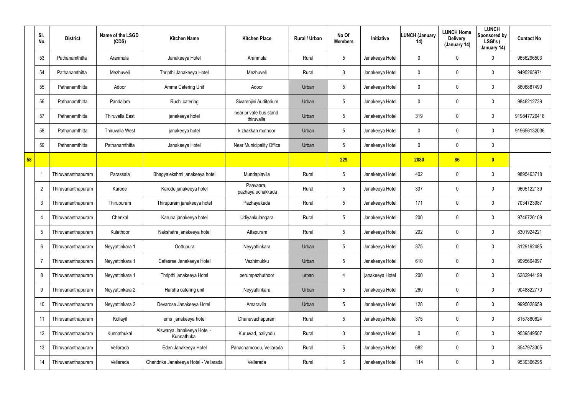|    | SI.<br>No.     | <b>District</b>           | Name of the LSGD<br>(CDS) | <b>Kitchen Name</b>                       | <b>Kitchen Place</b>                 | Rural / Urban | No Of<br><b>Members</b> | Initiative      | <b>LUNCH (January</b><br>14) | <b>LUNCH Home</b><br><b>Delivery</b><br>(January 14) | <b>LUNCH</b><br>Sponsored by<br>LSGI's (<br>January 14) | <b>Contact No</b> |
|----|----------------|---------------------------|---------------------------|-------------------------------------------|--------------------------------------|---------------|-------------------------|-----------------|------------------------------|------------------------------------------------------|---------------------------------------------------------|-------------------|
|    | 53             | Pathanamthitta            | Aranmula                  | Janakeeya Hotel                           | Aranmula                             | Rural         | $5\phantom{.0}$         | Janakeeya Hotel | 0                            | 0                                                    | $\mathbf 0$                                             | 9656296503        |
|    | 54             | Pathanamthitta            | Mezhuveli                 | Thripthi Janakeeya Hotel                  | Mezhuveli                            | Rural         | 3                       | Janakeeya Hotel | 0                            | 0                                                    | $\mathbf 0$                                             | 9495265971        |
|    | 55             | Pathanamthitta            | Adoor                     | Amma Catering Unit                        | Adoor                                | Urban         | $5\phantom{.0}$         | Janakeeya Hotel | 0                            | 0                                                    | $\mathbf 0$                                             | 8606887490        |
|    | 56             | Pathanamthitta            | Pandalam                  | Ruchi catering                            | Sivarenjini Auditorium               | Urban         | $5\phantom{.0}$         | Janakeeya Hotel | 0                            | 0                                                    | $\mathbf 0$                                             | 9846212739        |
|    | 57             | Pathanamthitta            | <b>Thiruvalla East</b>    | janakeeya hotel                           | near private bus stand<br>thiruvalla | Urban         | $5\phantom{.0}$         | Janakeeya Hotel | 319                          | 0                                                    | $\mathbf 0$                                             | 919847729416      |
|    | 58             | Pathanamthitta            | Thiruvalla West           | janakeeya hotel                           | kizhakkan muthoor                    | Urban         | $5\phantom{.0}$         | Janakeeya Hotel | 0                            | 0                                                    | $\mathbf 0$                                             | 919656132036      |
|    | 59             | Pathanamthitta            | Pathanamthitta            | Janakeeya Hotel                           | Near Municipality Office             | Urban         | $5\phantom{.0}$         | Janakeeya Hotel | 0                            | 0                                                    | $\mathbf 0$                                             |                   |
| 58 |                |                           |                           |                                           |                                      |               | 229                     |                 | 2080                         | 86                                                   | $\bullet$                                               |                   |
|    |                | Thiruvananthapuram        | Parassala                 | Bhagyalekshmi janakeeya hotel             | Mundaplavila                         | Rural         | $5\phantom{.0}$         | Janakeeya Hotel | 402                          | 0                                                    | $\mathbf 0$                                             | 9895463718        |
|    | $\overline{2}$ | <b>Thiruvananthapuram</b> | Karode                    | Karode janakeeya hotel                    | Paavaara,<br>pazhaya uchakkada       | Rural         | $5\overline{)}$         | Janakeeya Hotel | 337                          | 0                                                    | $\mathbf 0$                                             | 9605122139        |
|    | $\mathbf{3}$   | Thiruvananthapuram        | Thirupuram                | Thirupuram janakeeya hotel                | Pazhayakada                          | Rural         | $5\phantom{.0}$         | Janakeeya Hotel | 171                          | 0                                                    | $\mathbf 0$                                             | 7034723987        |
|    | -4             | Thiruvananthapuram        | Chenkal                   | Karuna janakeeya hotel                    | Udiyankulangara                      | Rural         | $5\phantom{.0}$         | Janakeeya Hotel | 200                          | 0                                                    | $\mathbf 0$                                             | 9746726109        |
|    | 5              | iruvananthapuram          | Kulathoor                 | Nakshatra janakeeya hotel                 | Attapuram                            | Rural         | $5\phantom{.0}$         | Janakeeya Hotel | 292                          | 0                                                    | $\mathbf 0$                                             | 8301924221        |
|    | 6              | Thiruvananthapuram        | Neyyattinkara 1           | Oottupura                                 | Neyyattinkara                        | Urban         | $5\phantom{.0}$         | Janakeeya Hotel | 375                          | 0                                                    | $\mathbf 0$                                             | 8129192485        |
|    | $\overline{7}$ | Thiruvananthapuram        | Neyyattinkara 1           | Cafesree Janakeeya Hotel                  | Vazhimukku                           | Urban         | $5\phantom{.0}$         | Janakeeya Hotel | 610                          | 0                                                    | $\mathbf 0$                                             | 9995604997        |
|    | 8              | Thiruvananthapuram        | Neyyattinkara 1           | Thripthi janakeeya Hotel                  | perumpazhuthoor                      | urban         | 4                       | janakeeya Hotel | 200                          | 0                                                    | $\mathbf 0$                                             | 6282944199        |
|    | 9              | Thiruvananthapuram        | Neyyattinkara 2           | Harsha catering unit                      | Neyyattinkara                        | Urban         | $5\phantom{.0}$         | Janakeeya Hotel | 260                          | 0                                                    | $\mathbf 0$                                             | 9048822770        |
|    | 10             | Thiruvananthapuram        | Neyyattinkara 2           | Devarose Janakeeya Hotel                  | Amaravila                            | Urban         | $5\phantom{.0}$         | Janakeeya Hotel | 128                          | 0                                                    | $\pmb{0}$                                               | 9995028659        |
|    | 11             | Thiruvananthapuram        | Kollayil                  | ems janakeeya hotel                       | Dhanuvachapuram                      | Rural         | $5\phantom{.0}$         | Janakeeya Hotel | 375                          | 0                                                    | $\mathbf 0$                                             | 8157880624        |
|    | 12             | Thiruvananthapuram        | Kunnathukal               | Aiswarya Janakeeya Hotel -<br>Kunnathukal | Kuruwad, paliyodu                    | Rural         | $\mathfrak{Z}$          | Janakeeya Hotel | 0                            | 0                                                    | $\mathbf 0$                                             | 9539549507        |
|    | 13             | Thiruvananthapuram        | Vellarada                 | Eden Janakeeya Hotel                      | Panachamoodu, Vellarada              | Rural         | $5\phantom{.0}$         | Janakeeya Hotel | 682                          | 0                                                    | $\mathbf 0$                                             | 8547973305        |
|    | 14             | Thiruvananthapuram        | Vellarada                 | Chandrika Janakeeya Hotel - Vellarada     | Vellarada                            | Rural         | 6                       | Janakeeya Hotel | 114                          | 0                                                    | $\pmb{0}$                                               | 9539366295        |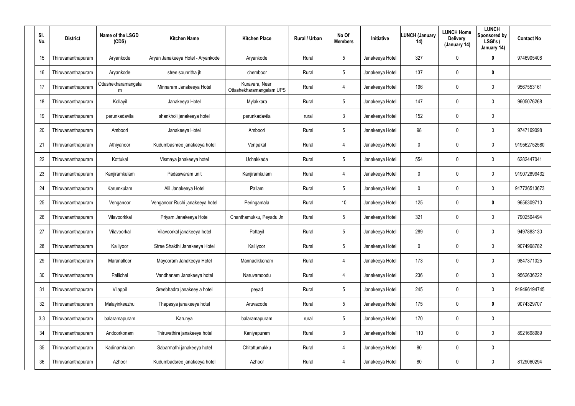| SI.<br>No. | <b>District</b>    | Name of the LSGD<br>(CDS) | <b>Kitchen Name</b>               | <b>Kitchen Place</b>                       | <b>Rural / Urban</b> | No Of<br><b>Members</b> | Initiative      | <b>LUNCH (January</b><br>14) | <b>LUNCH Home</b><br><b>Delivery</b><br>(January 14) | <b>LUNCH</b><br>Sponsored by<br>LSGI's (<br>January 14) | <b>Contact No</b> |
|------------|--------------------|---------------------------|-----------------------------------|--------------------------------------------|----------------------|-------------------------|-----------------|------------------------------|------------------------------------------------------|---------------------------------------------------------|-------------------|
| 15         | Thiruvananthapuram | Aryankode                 | Aryan Janakeeya Hotel - Aryankode | Aryankode                                  | Rural                | 5                       | Janakeeya Hotel | 327                          | 0                                                    | 0                                                       | 9746905408        |
| 16         | Thiruvananthapuram | Aryankode                 | stree souhritha jh                | chemboor                                   | Rural                | 5                       | Janakeeya Hotel | 137                          | 0                                                    | $\mathbf 0$                                             |                   |
| 17         | Thiruvananthapuram | Ottashekharamangala<br>m  | Minnaram Janakeeya Hotel          | Kuravara, Near<br>Ottashekharamangalam UPS | Rural                | 4                       | Janakeeya Hotel | 196                          | $\mathbf 0$                                          | $\mathbf 0$                                             | 9567553161        |
| 18         | Thiruvananthapuram | Kollayil                  | Janakeeya Hotel                   | Mylakkara                                  | Rural                | 5                       | Janakeeya Hotel | 147                          | 0                                                    | $\mathbf 0$                                             | 9605076268        |
| 19         | Thiruvananthapuram | perunkadavila             | shankholi janakeeya hotel         | perunkadavila                              | rural                | $\mathbf{3}$            | Janakeeya Hotel | 152                          | $\mathbf 0$                                          | $\mathbf 0$                                             |                   |
| 20         | Thiruvananthapuram | Amboori                   | Janakeeya Hotel                   | Amboori                                    | Rural                | 5                       | Janakeeya Hotel | 98                           | 0                                                    | $\mathbf 0$                                             | 9747169098        |
| 21         | Thiruvananthapuram | Athiyanoor                | Kudumbashree janakeeya hotel      | Venpakal                                   | Rural                | 4                       | Janakeeya Hotel | 0                            | $\mathbf 0$                                          | $\mathbf 0$                                             | 919562752580      |
| 22         | Thiruvananthapuram | Kottukal                  | Vismaya janakeeya hotel           | Uchakkada                                  | Rural                | $5\overline{)}$         | Janakeeya Hotel | 554                          | 0                                                    | $\mathbf 0$                                             | 6282447041        |
| 23         | Thiruvananthapuram | Kanjiramkulam             | Padaswaram unit                   | Kanjiramkulam                              | Rural                | 4                       | Janakeeya Hotel | 0                            | $\mathbf 0$                                          | $\mathbf 0$                                             | 919072899432      |
| 24         | Thiruvananthapuram | Karumkulam                | Alil Janakeeya Hotel              | Pallam                                     | Rural                | $5\overline{)}$         | Janakeeya Hotel | 0                            | 0                                                    | $\mathbf 0$                                             | 917736513673      |
| 25         | Thiruvananthapuram | Venganoor                 | Venganoor Ruchi janakeeya hotel   | Peringamala                                | Rural                | 10                      | Janakeeya Hotel | 125                          | $\mathbf 0$                                          | $\mathbf 0$                                             | 9656309710        |
| 26         | Thiruvananthapuram | Vilavoorkkal              | Priyam Janakeeya Hotel            | Chanthamukku, Peyadu Jn                    | Rural                | $5\overline{)}$         | Janakeeya Hotel | 321                          | $\mathbf 0$                                          | $\mathbf 0$                                             | 7902504494        |
| 27         | Thiruvananthapuram | Vilavoorkal               | Vilavoorkal janakeeya hotel       | Pottayil                                   | Rural                | 5                       | Janakeeya Hotel | 289                          | $\mathbf 0$                                          | $\mathbf 0$                                             | 9497883130        |
| 28         | Thiruvananthapuram | Kalliyoor                 | Stree Shakthi Janakeeya Hotel     | Kalliyoor                                  | Rural                | 5                       | Janakeeya Hotel | 0                            | $\mathbf 0$                                          | $\boldsymbol{0}$                                        | 9074998782        |
| 29         | Thiruvananthapuram | Maranalloor               | Mayooram Janakeeya Hotel          | Mannadikkonam                              | Rural                | 4                       | Janakeeya Hotel | 173                          | 0                                                    | $\mathbf 0$                                             | 9847371025        |
| 30         | Thiruvananthapuram | Pallichal                 | Vandhanam Janakeeya hotel         | Naruvamoodu                                | Rural                | 4                       | Janakeeya Hotel | 236                          | $\mathbf 0$                                          | $\pmb{0}$                                               | 9562636222        |
| 31         | Thiruvananthapuram | Vilappil                  | Sreebhadra janakeey a hotel       | peyad                                      | Rural                | $5\overline{)}$         | Janakeeya Hotel | 245                          | 0                                                    | $\pmb{0}$                                               | 919496194745      |
| 32         | Thiruvananthapuram | Malayinkeezhu             | Thapasya janakeeya hotel          | Aruvacode                                  | Rural                | 5                       | Janakeeya Hotel | 175                          | $\mathbf 0$                                          | $\boldsymbol{0}$                                        | 9074329707        |
| 3,3        | Thiruvananthapuram | balaramapuram             | Karunya                           | balaramapuram                              | rural                | 5                       | Janakeeya Hotel | 170                          | 0                                                    | $\mathbf 0$                                             |                   |
| 34         | Thiruvananthapuram | Andoorkonam               | Thiruvathira janakeeya hotel      | Kaniyapuram                                | Rural                | $\mathbf{3}$            | Janakeeya Hotel | 110                          | $\mathbf 0$                                          | $\mathbf 0$                                             | 8921698989        |
| 35         | Thiruvananthapuram | Kadinamkulam              | Sabarmathi janakeeya hotel        | Chitattumukku                              | Rural                | $\overline{4}$          | Janakeeya Hotel | 80                           | 0                                                    | $\mathbf 0$                                             |                   |
| 36         | Thiruvananthapuram | Azhoor                    | Kudumbadsree janakeeya hotel      | Azhoor                                     | Rural                | 4                       | Janakeeya Hotel | 80                           | $\mathbf 0$                                          | $\pmb{0}$                                               | 8129060294        |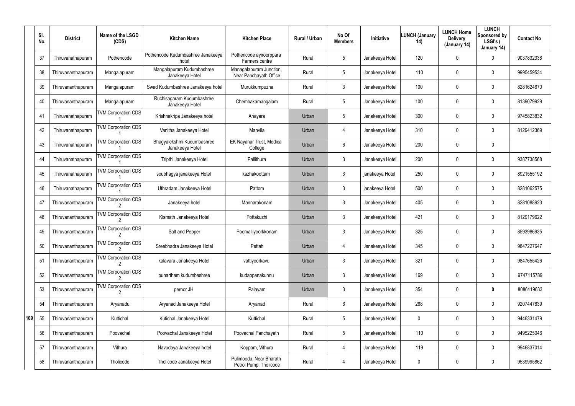|     | SI.<br>No. | <b>District</b>    | Name of the LSGD<br>(CDS)  | <b>Kitchen Name</b>                           | <b>Kitchen Place</b>                              | <b>Rural / Urban</b> | No Of<br><b>Members</b> | Initiative      | <b>LUNCH (January</b><br>14) | <b>LUNCH Home</b><br><b>Delivery</b><br>(January 14) | <b>LUNCH</b><br>Sponsored by<br>LSGI's (<br>January 14) | <b>Contact No</b> |
|-----|------------|--------------------|----------------------------|-----------------------------------------------|---------------------------------------------------|----------------------|-------------------------|-----------------|------------------------------|------------------------------------------------------|---------------------------------------------------------|-------------------|
|     | 37         | Thiruvanathapuram  | Pothencode                 | Pothencode Kudumbashree Janakeeya<br>hotel    | Pothencode ayiroorppara<br>Farmers centre         | Rural                | $5\phantom{.0}$         | Janakeeya Hotel | 120                          | 0                                                    | $\mathbf 0$                                             | 9037832338        |
|     | 38         | Thiruvananthapuram | Mangalapuram               | Mangalapuram Kudumbashree<br>Janakeeya Hotel  | Managalapuram Junction,<br>Near Panchayath Office | Rural                | $5\phantom{.0}$         | Janakeeya Hotel | 110                          | 0                                                    | $\mathbf 0$                                             | 9995459534        |
|     | 39         | Thiruvananthapuram | Mangalapuram               | Swad Kudumbashree Janakeeya hotel             | Murukkumpuzha                                     | Rural                | $\mathbf{3}$            | Janakeeya Hotel | 100                          | 0                                                    | $\mathbf 0$                                             | 8281624670        |
|     | 40         | Thiruvananthapuram | Mangalapuram               | Ruchisagaram Kudumbashree<br>Janakeeya Hotel  | Chembakamangalam                                  | Rural                | $5\phantom{.0}$         | Janakeeya Hotel | 100                          | 0                                                    | $\mathbf 0$                                             | 8139079929        |
|     | 41         | Thiruvanathapuram  | <b>TVM Corporation CDS</b> | Krishnakripa Janakeeya hotel                  | Anayara                                           | Urban                | $5\phantom{.0}$         | Janakeeya Hotel | 300                          | 0                                                    | $\mathbf 0$                                             | 9745823832        |
|     | 42         | Thiruvanathapuram  | <b>TVM Corporation CDS</b> | Vanitha Janakeeya Hotel                       | Manvila                                           | Urban                | 4                       | Janakeeya Hotel | 310                          | 0                                                    | $\mathbf 0$                                             | 8129412369        |
|     | 43         | Thiruvanathapuram  | <b>TVM Corporation CDS</b> | Bhagyalekshmi Kudumbashree<br>Janakeeya Hotel | <b>EK Nayanar Trust, Medical</b><br>College       | Urban                | 6                       | Janakeeya Hotel | 200                          | 0                                                    | $\mathbf 0$                                             |                   |
|     | 44         | Thiruvanathapuram  | <b>TVM Corporation CDS</b> | Tripthi Janakeeya Hotel                       | Pallithura                                        | Urban                | 3                       | Janakeeya Hotel | 200                          | 0                                                    | $\mathbf 0$                                             | 9387738568        |
|     | 45         | Thiruvanathapuram  | <b>TVM Corporation CDS</b> | soubhagya janakeeya Hotel                     | kazhakoottam                                      | Urban                | $\mathbf{3}$            | janakeeya Hotel | 250                          | 0                                                    | $\mathbf 0$                                             | 8921555192        |
|     | 46         | Thiruvanathapuram  | <b>TVM Corporation CDS</b> | Uthradam Janakeeya Hotel                      | Pattom                                            | Urban                | $\mathbf{3}$            | janakeeya Hotel | 500                          | 0                                                    | $\mathbf 0$                                             | 8281062575        |
|     | 47         | Thiruvananthapuram | <b>TVM Corporation CDS</b> | Janakeeya hotel                               | Mannarakonam                                      | Urban                | $\mathbf{3}$            | Janakeeya Hotel | 405                          | 0                                                    | $\mathbf 0$                                             | 8281088923        |
|     | 48         | Thiruvananthapuram | <b>TVM Corporation CDS</b> | Kismath Janakeeya Hotel                       | Pottakuzhi                                        | Urban                | 3                       | Janakeeya Hotel | 421                          | 0                                                    | $\mathbf 0$                                             | 8129179622        |
|     | 49         | Thiruvananthapuram | <b>TVM Corporation CDS</b> | Salt and Pepper                               | Poomalliyoorkkonam                                | Urban                | $\mathbf{3}$            | Janakeeya Hotel | 325                          | 0                                                    | $\mathbf 0$                                             | 8593986935        |
|     | 50         | Thiruvananthapuram | <b>TVM Corporation CDS</b> | Sreebhadra Janakeeya Hotel                    | Pettah                                            | Urban                | $\overline{4}$          | Janakeeya Hotel | 345                          | 0                                                    | $\boldsymbol{0}$                                        | 9847227647        |
|     | 51         | Thiruvananthapuram | <b>TVM Corporation CDS</b> | kalavara Janakeeya Hotel                      | vattiyoorkavu                                     | Urban                | $\mathfrak{Z}$          | Janakeeya Hotel | 321                          | 0                                                    | $\boldsymbol{0}$                                        | 9847655426        |
|     | 52         | Thiruvananthapuram | <b>TVM Corporation CDS</b> | punartham kudumbashree                        | kudappanakunnu                                    | Urban                | $\mathbf{3}$            | Janakeeya Hotel | 169                          | 0                                                    | $\mathbf 0$                                             | 9747115789        |
|     | 53         | Thiruvananthapuram | <b>TVM Corporation CDS</b> | peroor JH                                     | Palayam                                           | Urban                | $\mathbf{3}$            | Janakeeya Hotel | 354                          | 0                                                    | $\mathbf 0$                                             | 8086119633        |
|     | 54         | Thiruvananthapuram | Aryanadu                   | Aryanad Janakeeya Hotel                       | Aryanad                                           | Rural                | 6                       | Janakeeya Hotel | 268                          | 0                                                    | $\mathbf 0$                                             | 9207447839        |
| 109 | 55         | Thiruvananthapuram | Kuttichal                  | Kutichal Janakeeya Hotel                      | Kuttichal                                         | Rural                | $5\phantom{.0}$         | Janakeeya Hotel | 0                            | 0                                                    | $\mathbf 0$                                             | 9446331479        |
|     | 56         | Thiruvananthapuram | Poovachal                  | Poovachal Janakeeya Hotel                     | Poovachal Panchayath                              | Rural                | $5\phantom{.0}$         | Janakeeya Hotel | 110                          | 0                                                    | $\mathbf 0$                                             | 9495225046        |
|     | 57         | Thiruvananthapuram | Vithura                    | Navodaya Janakeeya hotel                      | Koppam, Vithura                                   | Rural                | $\overline{4}$          | Janakeeya Hotel | 119                          | 0                                                    | $\mathbf 0$                                             | 9946837014        |
|     | 58         | Thiruvananthapuram | Tholicode                  | Tholicode Janakeeya Hotel                     | Pulimoodu, Near Bharath<br>Petrol Pump, Tholicode | Rural                | 4                       | Janakeeya Hotel | 0                            | 0                                                    | $\pmb{0}$                                               | 9539995862        |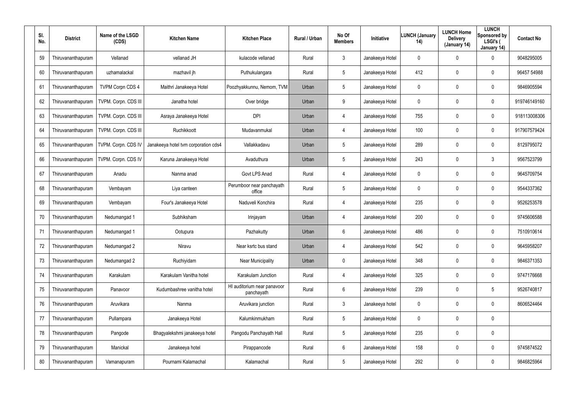| SI.<br>No. | <b>District</b>    | Name of the LSGD<br>(CDS) | <b>Kitchen Name</b>                  | <b>Kitchen Place</b>                      | <b>Rural / Urban</b> | No Of<br><b>Members</b> | Initiative      | <b>LUNCH (January</b><br>14) | <b>LUNCH Home</b><br><b>Delivery</b><br>(January 14) | <b>LUNCH</b><br>Sponsored by<br>LSGI's (<br>January 14) | <b>Contact No</b> |
|------------|--------------------|---------------------------|--------------------------------------|-------------------------------------------|----------------------|-------------------------|-----------------|------------------------------|------------------------------------------------------|---------------------------------------------------------|-------------------|
| 59         | Thiruvananthapuram | Vellanad                  | vellanad JH                          | kulacode vellanad                         | Rural                | $\mathbf{3}$            | Janakeeya Hotel | 0                            | 0                                                    | $\mathbf 0$                                             | 9048295005        |
| 60         | Thiruvananthapuram | uzhamalackal              | mazhavil jh                          | Puthukulangara                            | Rural                | $5\overline{)}$         | Janakeeya Hotel | 412                          | 0                                                    | $\mathbf 0$                                             | 96457 54988       |
| 61         | Thiruvananthapuram | <b>TVPM Corpn CDS 4</b>   | Maithri Janakeeya Hotel              | Poozhyakkunnu, Nemom, TVM                 | Urban                | $5\overline{)}$         | Janakeeya Hotel | 0                            | 0                                                    | $\mathbf 0$                                             | 9846905594        |
| 62         | Thiruvananthapuram | TVPM. Corpn. CDS III      | Janatha hotel                        | Over bridge                               | Urban                | 9                       | Janakeeya Hotel | 0                            | $\mathbf 0$                                          | $\boldsymbol{0}$                                        | 919746149160      |
| 63         | Thiruvananthapuram | TVPM. Corpn. CDS III      | Asraya Janakeeya Hotel               | <b>DPI</b>                                | Urban                | 4                       | Janakeeya Hotel | 755                          | 0                                                    | $\boldsymbol{0}$                                        | 918113008306      |
| 64         | Thiruvananthapuram | TVPM. Corpn. CDS III      | Ruchikkoott                          | Mudavanmukal                              | Urban                | $\overline{4}$          | Janakeeya Hotel | 100                          | 0                                                    | $\mathbf 0$                                             | 917907579424      |
| 65         | Thiruvananthapuram | TVPM. Corpn. CDS IV       | Janakeeya hotel tvm corporation cds4 | Vallakkadavu                              | Urban                | $5\overline{)}$         | Janakeeya Hotel | 289                          | $\mathbf 0$                                          | $\mathbf 0$                                             | 8129795072        |
| 66         | Thiruvananthapuram | TVPM. Corpn. CDS IV       | Karuna Janakeeya Hotel               | Avaduthura                                | Urban                | $5\overline{)}$         | Janakeeya Hotel | 243                          | 0                                                    | $\mathbf{3}$                                            | 9567523799        |
| 67         | Thiruvananthapuram | Anadu                     | Nanma anad                           | Govt LPS Anad                             | Rural                | $\overline{4}$          | Janakeeya Hotel | 0                            | $\mathbf 0$                                          | $\mathbf 0$                                             | 9645709754        |
| 68         | Thiruvananthapuram | Vembayam                  | Liya canteen                         | Perumboor near panchayath<br>office       | Rural                | $5\overline{)}$         | Janakeeya Hotel | 0                            | 0                                                    | $\mathbf 0$                                             | 9544337362        |
| 69         | Thiruvananthapuram | Vembayam                  | Four's Janakeeya Hotel               | Naduveli Konchira                         | Rural                | 4                       | Janakeeya Hotel | 235                          | $\mathbf 0$                                          | $\mathbf 0$                                             | 9526253578        |
| 70         | Thiruvananthapuram | Nedumangad 1              | Subhiksham                           | Irinjayam                                 | Urban                | $\overline{4}$          | Janakeeya Hotel | 200                          | $\boldsymbol{0}$                                     | $\mathbf 0$                                             | 9745606588        |
| 71         | Thiruvananthapuram | Nedumangad 1              | Ootupura                             | Pazhakutty                                | Urban                | 6                       | Janakeeya Hotel | 486                          | $\mathbf 0$                                          | $\mathbf 0$                                             | 7510910614        |
| 72         | Thiruvananthapuram | Nedumangad 2              | Niravu                               | Near ksrtc bus stand                      | Urban                | 4                       | Janakeeya Hotel | 542                          | $\pmb{0}$                                            | $\mathbf 0$                                             | 9645958207        |
| 73         | Thiruvananthapuram | Nedumangad 2              | Ruchiyidam                           | <b>Near Municipality</b>                  | Urban                | $\mathbf 0$             | Janakeeya Hotel | 348                          | $\pmb{0}$                                            | $\pmb{0}$                                               | 9846371353        |
| 74         | Thiruvananthapuram | Karakulam                 | Karakulam Vanitha hotel              | Karakulam Junction                        | Rural                | 4                       | Janakeeya Hotel | 325                          | $\overline{0}$                                       | $\pmb{0}$                                               | 9747176668        |
| 75         | Thiruvananthapuram | Panavoor                  | Kudumbashree vanitha hotel           | HI auditorium near panavoor<br>panchayath | Rural                | 6                       | Janakeeya Hotel | 239                          | $\overline{0}$                                       | $5\phantom{.0}$                                         | 9526740817        |
| 76         | Thiruvananthapuram | Aruvikara                 | Nanma                                | Aruvikara junction                        | Rural                | $\mathbf{3}$            | Janakeeya hotel | 0                            | $\mathbf 0$                                          | $\mathbf 0$                                             | 8606524464        |
| 77         | Thiruvananthapuram | Pullampara                | Janakeeya Hotel                      | Kalumkinmukham                            | Rural                | $5\overline{)}$         | Janakeeya Hotel | 0                            | $\overline{0}$                                       | $\mathbf 0$                                             |                   |
| 78         | Thiruvananthapuram | Pangode                   | Bhagyalekshmi janakeeya hotel        | Pangodu Panchayath Hall                   | Rural                | $5\overline{)}$         | Janakeeya Hotel | 235                          | $\overline{0}$                                       | $\pmb{0}$                                               |                   |
| 79         | Thiruvananthapuram | Manickal                  | Janakeeya hotel                      | Pirappancode                              | Rural                | 6                       | Janakeeya Hotel | 158                          | $\overline{0}$                                       | $\mathbf 0$                                             | 9745874522        |
| 80         | Thiruvananthapuram | Vamanapuram               | Pournami Kalamachal                  | Kalamachal                                | Rural                | $5\phantom{.0}$         | Janakeeya Hotel | 292                          | $\mathbf 0$                                          | $\pmb{0}$                                               | 9846825964        |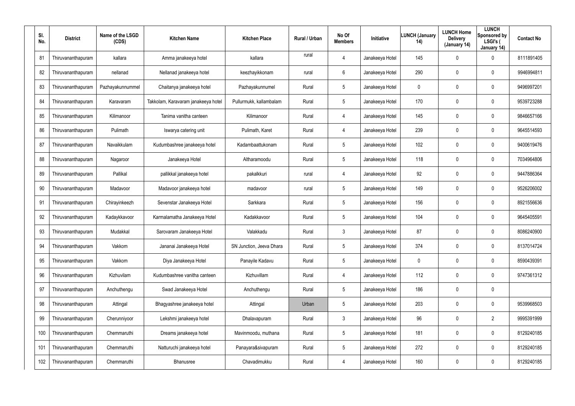| SI.<br>No. | <b>District</b>    | Name of the LSGD<br>(CDS) | <b>Kitchen Name</b>                 | <b>Kitchen Place</b>     | <b>Rural / Urban</b> | No Of<br><b>Members</b> | Initiative      | <b>LUNCH (January</b><br>14) | <b>LUNCH Home</b><br><b>Delivery</b><br>(January 14) | <b>LUNCH</b><br>Sponsored by<br>LSGI's (<br>January 14) | <b>Contact No</b> |
|------------|--------------------|---------------------------|-------------------------------------|--------------------------|----------------------|-------------------------|-----------------|------------------------------|------------------------------------------------------|---------------------------------------------------------|-------------------|
| 81         | Thiruvananthapuram | kallara                   | Amma janakeeya hotel                | kallara                  | rural                | 4                       | Janakeeya Hotel | 145                          | $\mathbf 0$                                          | 0                                                       | 8111891405        |
| 82         | Thiruvananthapuram | nellanad                  | Nellanad janakeeya hotel            | keezhayikkonam           | rural                | 6                       | Janakeeya Hotel | 290                          | $\mathbf 0$                                          | 0                                                       | 9946994811        |
| 83         | Thiruvananthapuram | Pazhayakunnummel          | Chaitanya janakeeya hotel           | Pazhayakunnumel          | Rural                | 5                       | Janakeeya Hotel | 0                            | $\mathbf 0$                                          | $\mathbf 0$                                             | 9496997201        |
| 84         | Thiruvananthapuram | Karavaram                 | Takkolam, Karavaram janakeeya hotel | Pullurmukk, kallambalam  | Rural                | 5                       | Janakeeya Hotel | 170                          | $\mathbf 0$                                          | $\mathbf 0$                                             | 9539723288        |
| 85         | Thiruvananthapuram | Kilimanoor                | Tanima vanitha canteen              | Kilimanoor               | Rural                | 4                       | Janakeeya Hotel | 145                          | 0                                                    | $\mathbf 0$                                             | 9846657166        |
| 86         | Thiruvananthapuram | Pulimath                  | Iswarya catering unit               | Pulimath, Karet          | Rural                | 4                       | Janakeeya Hotel | 239                          | $\mathbf 0$                                          | $\mathbf 0$                                             | 9645514593        |
| 87         | Thiruvananthapuram | Navaikkulam               | Kudumbashree janakeeya hotel        | Kadambaattukonam         | Rural                | 5                       | Janakeeya Hotel | 102                          | 0                                                    | 0                                                       | 9400619476        |
| 88         | Thiruvananthapuram | Nagaroor                  | Janakeeya Hotel                     | Altharamoodu             | Rural                | 5                       | Janakeeya Hotel | 118                          | 0                                                    | $\mathbf 0$                                             | 7034964806        |
| 89         | Thiruvananthapuram | Pallikal                  | pallikkal janakeeya hotel           | pakalkkuri               | rural                | 4                       | Janakeeya Hotel | 92                           | 0                                                    | 0                                                       | 9447886364        |
| 90         | Thiruvananthapuram | Madavoor                  | Madavoor janakeeya hotel            | madavoor                 | rural                | 5                       | Janakeeya Hotel | 149                          | 0                                                    | $\mathbf 0$                                             | 9526206002        |
| 91         | Thiruvananthapuram | Chirayinkeezh             | Sevenstar Janakeeya Hotel           | Sarkkara                 | Rural                | 5                       | Janakeeya Hotel | 156                          | 0                                                    | 0                                                       | 8921556636        |
| 92         | Thiruvananthapuram | Kadaykkavoor              | Karmalamatha Janakeeya Hotel        | Kadakkavoor              | Rural                | $5\overline{)}$         | Janakeeya Hotel | 104                          | 0                                                    | $\mathbf 0$                                             | 9645405591        |
| 93         | Thiruvananthapuram | Mudakkal                  | Sarovaram Janakeeya Hotel           | Valakkadu                | Rural                | $\mathfrak{Z}$          | Janakeeya Hotel | 87                           | $\boldsymbol{0}$                                     | 0                                                       | 8086240900        |
| 94         | Thiruvananthapuram | Vakkom                    | Jananai Janakeeya Hotel             | SN Junction, Jeeva Dhara | Rural                | 5                       | Janakeeya Hotel | 374                          | $\boldsymbol{0}$                                     | 0                                                       | 8137014724        |
| 95         | Thiruvananthapuram | Vakkom                    | Diya Janakeeya Hotel                | Panayile Kadavu          | Rural                | 5                       | Janakeeya Hotel | 0                            | $\boldsymbol{0}$                                     | 0                                                       | 8590439391        |
| 96         | Thiruvananthapuram | Kizhuvilam                | Kudumbashree vanitha canteen        | Kizhuvillam              | Rural                | 4                       | Janakeeya Hotel | 112                          | $\boldsymbol{0}$                                     | 0                                                       | 9747361312        |
| 97         | Thiruvananthapuram | Anchuthengu               | Swad Janakeeya Hotel                | Anchuthengu              | Rural                | 5                       | Janakeeya Hotel | 186                          | $\boldsymbol{0}$                                     | $\pmb{0}$                                               |                   |
| 98         | Thiruvananthapuram | Attingal                  | Bhagyashree janakeeya hotel         | Attingal                 | Urban                | $5\phantom{.0}$         | Janakeeya Hotel | 203                          | $\boldsymbol{0}$                                     | 0                                                       | 9539968503        |
| 99         | Thiruvananthapuram | Cherunniyoor              | Lekshmi janakeeya hotel             | Dhalavapuram             | Rural                | $\mathbf{3}$            | Janakeeya Hotel | 96                           | $\boldsymbol{0}$                                     | $\overline{2}$                                          | 9995391999        |
| 100        | Thiruvananthapuram | Chemmaruthi               | Dreams janakeeya hotel              | Mavinmoodu, muthana      | Rural                | $5\phantom{.0}$         | Janakeeya Hotel | 181                          | $\pmb{0}$                                            | 0                                                       | 8129240185        |
| 101        | Thiruvananthapuram | Chemmaruthi               | Natturuchi janakeeya hotel          | Panayara&sivapuram       | Rural                | $5\overline{)}$         | Janakeeya Hotel | 272                          | $\boldsymbol{0}$                                     | 0                                                       | 8129240185        |
| 102        | Thiruvananthapuram | Chemmaruthi               | Bhanusree                           | Chavadimukku             | Rural                | 4                       | Janakeeya Hotel | 160                          | $\pmb{0}$                                            | 0                                                       | 8129240185        |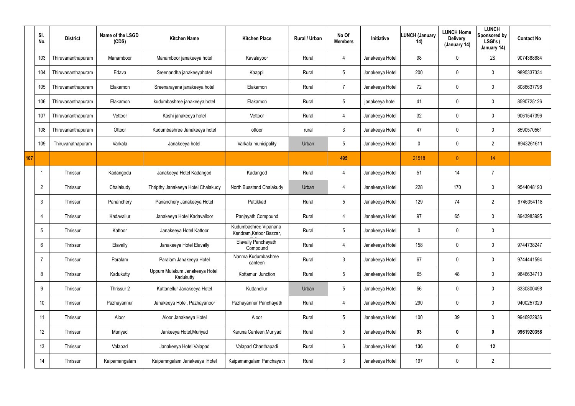|     | SI.<br>No.     | <b>District</b>    | Name of the LSGD<br>(CDS) | <b>Kitchen Name</b>                        | <b>Kitchen Place</b>                             | Rural / Urban | No Of<br><b>Members</b> | Initiative      | <b>LUNCH (January</b><br>14) | <b>LUNCH Home</b><br><b>Delivery</b><br>(January 14) | <b>LUNCH</b><br>Sponsored by<br>LSGI's (<br>January 14) | <b>Contact No</b> |
|-----|----------------|--------------------|---------------------------|--------------------------------------------|--------------------------------------------------|---------------|-------------------------|-----------------|------------------------------|------------------------------------------------------|---------------------------------------------------------|-------------------|
|     | 103            | Thiruvananthapuram | Manamboor                 | Manamboor janakeeya hotel                  | Kavalayoor                                       | Rural         | $\overline{4}$          | Janakeeya Hotel | 98                           | 0                                                    | 2\$                                                     | 9074388684        |
|     | 104            | Thiruvananthapuram | Edava                     | Sreenandha janakeeyahotel                  | Kaappil                                          | Rural         | $\sqrt{5}$              | Janakeeya Hotel | 200                          | 0                                                    | $\mathbf 0$                                             | 9895337334        |
|     | 105            | Thiruvananthapuram | Elakamon                  | Sreenarayana janakeeya hotel               | Elakamon                                         | Rural         | $\overline{7}$          | Janakeeya Hotel | 72                           | 0                                                    | $\mathbf 0$                                             | 8086637798        |
|     | 106            | Thiruvananthapuram | Elakamon                  | kudumbashree janakeeya hotel               | Elakamon                                         | Rural         | 5                       | janakeeya hotel | 41                           | 0                                                    | $\boldsymbol{0}$                                        | 8590725126        |
|     | 107            | Thiruvananthapuram | Vettoor                   | Kashi janakeeya hotel                      | Vettoor                                          | Rural         | $\overline{4}$          | Janakeeya Hotel | 32                           | 0                                                    | $\mathbf 0$                                             | 9061547396        |
|     | 108            | Thiruvananthapuram | Ottoor                    | Kudumbashree Janakeeya hotel               | ottoor                                           | rural         | 3                       | Janakeeya Hotel | 47                           | $\mathbf 0$                                          | $\pmb{0}$                                               | 8590570561        |
|     | 109            | Thiruvanathapuram  | Varkala                   | Janakeeya hotel                            | Varkala municipality                             | Urban         | $5\,$                   | Janakeeya Hotel | 0                            | 0                                                    | $\overline{2}$                                          | 8943261611        |
| 107 |                |                    |                           |                                            |                                                  |               | 495                     |                 | 21518                        | $\overline{0}$                                       | 14                                                      |                   |
|     |                | Thrissur           | Kadangodu                 | Janakeeya Hotel Kadangod                   | Kadangod                                         | Rural         | 4                       | Janakeeya Hotel | 51                           | 14                                                   | $\overline{7}$                                          |                   |
|     | $\overline{2}$ | Thrissur           | Chalakudy                 | Thripthy Janakeeya Hotel Chalakudy         | North Busstand Chalakudy                         | Urban         | 4                       | Janakeeya Hotel | 228                          | 170                                                  | $\boldsymbol{0}$                                        | 9544048190        |
|     | 3              | Thrissur           | Pananchery                | Pananchery Janakeeya Hotel                 | Pattikkad                                        | Rural         | $5\,$                   | Janakeeya Hotel | 129                          | 74                                                   | $\overline{2}$                                          | 9746354118        |
|     | 4              | Thrissur           | Kadavallur                | Janakeeya Hotel Kadavalloor                | Panjayath Compound                               | Rural         | 4                       | Janakeeya Hotel | 97                           | 65                                                   | $\boldsymbol{0}$                                        | 8943983995        |
|     | 5              | <b>Thrissur</b>    | Kattoor                   | Janakeeya Hotel Kattoor                    | Kudumbashree Vipanana<br>Kendram, Katoor Bazzar, | Rural         | $\sqrt{5}$              | Janakeeya Hotel | 0                            | 0                                                    | $\pmb{0}$                                               |                   |
|     | 6              | Thrissur           | Elavally                  | Janakeeya Hotel Elavally                   | <b>Elavally Panchayath</b><br>Compound           | Rural         | $\overline{4}$          | Janakeeya Hotel | 158                          | 0                                                    | $\pmb{0}$                                               | 9744738247        |
|     | $\overline{7}$ | Thrissur           | Paralam                   | Paralam Janakeeya Hotel                    | Nanma Kudumbashree<br>canteen                    | Rural         | $\mathbf{3}$            | Janakeeya Hotel | 67                           | $\mathbf 0$                                          | $\mathsf{0}$                                            | 9744441594        |
|     | 8              | Thrissur           | Kadukutty                 | Uppum Mulakum Janakeeya Hotel<br>Kadukutty | Kottamuri Junction                               | Rural         | $5\phantom{.0}$         | Janakeeya Hotel | 65                           | 48                                                   | $\mathsf{0}$                                            | 9846634710        |
|     | 9              | Thrissur           | Thrissur 2                | Kuttanellur Janakeeya Hotel                | Kuttanellur                                      | Urban         | $5\,$                   | Janakeeya Hotel | 56                           | $\pmb{0}$                                            | $\mathsf{0}$                                            | 8330800498        |
|     | 10             | Thrissur           | Pazhayannur               | Janakeeya Hotel, Pazhayanoor               | Pazhayannur Panchayath                           | Rural         | $\overline{4}$          | Janakeeya Hotel | 290                          | 0                                                    | $\mathsf{0}$                                            | 9400257329        |
|     | 11             | Thrissur           | Aloor                     | Aloor Janakeeya Hotel                      | Aloor                                            | Rural         | $5\phantom{.0}$         | Janakeeya Hotel | 100                          | 39                                                   | $\mathsf{0}$                                            | 9946922936        |
|     | 12             | Thrissur           | Muriyad                   | Jankeeya Hotel, Muriyad                    | Karuna Canteen, Muriyad                          | Rural         | $5\phantom{.0}$         | Janakeeya Hotel | 93                           | $\boldsymbol{0}$                                     | $\pmb{0}$                                               | 9961920358        |
|     | 13             | Thrissur           | Valapad                   | Janakeeya Hotel Valapad                    | Valapad Chanthapadi                              | Rural         | $6\,$                   | Janakeeya Hotel | 136                          | $\boldsymbol{0}$                                     | 12                                                      |                   |
|     | 14             | Thrissur           | Kaipamangalam             | Kaipamngalam Janakeeya Hotel               | Kaipamangalam Panchayath                         | Rural         | $\mathbf{3}$            | Janakeeya Hotel | 197                          | 0                                                    | $\overline{2}$                                          |                   |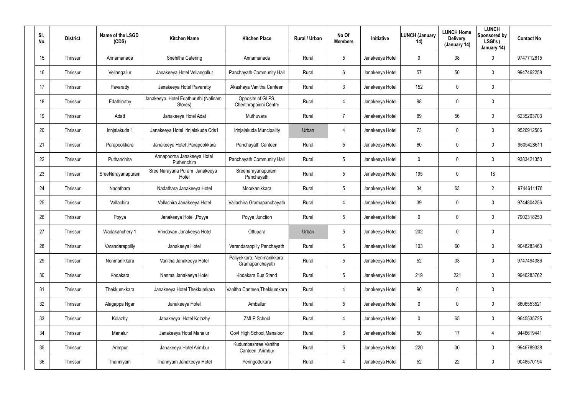| SI.<br>No. | <b>District</b> | Name of the LSGD<br>(CDS) | <b>Kitchen Name</b>                             | <b>Kitchen Place</b>                         | Rural / Urban | No Of<br><b>Members</b> | <b>Initiative</b> | <b>LUNCH (January</b><br>14) | <b>LUNCH Home</b><br><b>Delivery</b><br>(January 14) | <b>LUNCH</b><br>Sponsored by<br>LSGI's (<br>January 14) | <b>Contact No</b> |
|------------|-----------------|---------------------------|-------------------------------------------------|----------------------------------------------|---------------|-------------------------|-------------------|------------------------------|------------------------------------------------------|---------------------------------------------------------|-------------------|
| 15         | Thrissur        | Annamanada                | Snehitha Catering                               | Annamanada                                   | Rural         | 5                       | Janakeeya Hotel   | 0                            | 38                                                   | 0                                                       | 9747712615        |
| 16         | Thrissur        | Vellangallur              | Janakeeya Hotel Vellangallur                    | Panchayath Community Hall                    | Rural         | 6                       | Janakeeya Hotel   | 57                           | 50                                                   | $\mathbf 0$                                             | 9947462258        |
| 17         | Thrissur        | Pavaratty                 | Janakeeya Hotel Pavaratty                       | Akashaya Vanitha Canteen                     | Rural         | 3                       | Janakeeya Hotel   | 152                          | $\mathbf 0$                                          | $\mathbf 0$                                             |                   |
| 18         | Thrissur        | Edathiruthy               | Janakeeya Hotel Edathuruthi (Nalinam<br>Stores) | Opposite of GLPS,<br>Chenthrappinni Centre   | Rural         | $\overline{4}$          | Janakeeya Hotel   | 98                           | $\mathbf 0$                                          | $\mathbf 0$                                             |                   |
| 19         | Thrissur        | Adatt                     | Janakeeya Hotel Adat                            | Muthuvara                                    | Rural         | $\overline{7}$          | Janakeeya Hotel   | 89                           | 56                                                   | $\mathbf 0$                                             | 6235203703        |
| 20         | Thrissur        | Irinjalakuda 1            | Janakeeya Hotel Irinjalakuda Cds1               | Irinjalakuda Muncipality                     | Urban         | 4                       | Janakeeya Hotel   | 73                           | $\mathbf 0$                                          | $\mathbf 0$                                             | 9526912506        |
| 21         | Thrissur        | Parapookkara              | Janakeeya Hotel , Parapookkara                  | Panchayath Canteen                           | Rural         | 5                       | Janakeeya Hotel   | 60                           | $\mathbf 0$                                          | $\mathbf 0$                                             | 9605428611        |
| 22         | Thrissur        | Puthanchira               | Annapoorna Janakeeya Hotel<br>Puthenchira       | Panchayath Community Hall                    | Rural         | 5                       | Janakeeya Hotel   | 0                            | $\mathbf 0$                                          | $\mathbf 0$                                             | 9383421350        |
| 23         | Thrissur        | SreeNarayanapuram         | Sree Narayana Puram Janakeeya<br>Hotel          | Sreenarayanapuram<br>Panchayath              | Rural         | 5                       | Janakeeya Hotel   | 195                          | $\mathbf 0$                                          | 1\$                                                     |                   |
| 24         | Thrissur        | Nadathara                 | Nadathara Janakeeya Hotel                       | Moorkanikkara                                | Rural         | 5                       | Janakeeya Hotel   | 34                           | 63                                                   | $\overline{2}$                                          | 9744611176        |
| 25         | Thrissur        | Vallachira                | Vallachira Janakeeya Hotel                      | Vallachira Gramapanchayath                   | Rural         | 4                       | Janakeeya Hotel   | 39                           | $\mathbf 0$                                          | $\mathbf 0$                                             | 9744804256        |
| 26         | Thrissur        | Poyya                     | Janakeeya Hotel, Poyya                          | Poyya Junction                               | Rural         | 5                       | Janakeeya Hotel   | 0                            | $\mathbf 0$                                          | $\mathbf 0$                                             | 7902318250        |
| 27         | Thrissur        | Wadakanchery 1            | Vrindavan Janakeeya Hotel                       | Ottupara                                     | Urban         | 5                       | Janakeeya Hotel   | 202                          | $\boldsymbol{0}$                                     | 0                                                       |                   |
| 28         | Thrissur        | Varandarappilly           | Janakeeya Hotel                                 | Varandarappilly Panchayath                   | Rural         | 5                       | Janakeeya Hotel   | 103                          | 60                                                   | $\pmb{0}$                                               | 9048283463        |
| 29         | Thrissur        | Nenmanikkara              | Vanitha Janakeeya Hotel                         | Paliyekkara, Nenmanikkara<br>Gramapanchayath | Rural         | 5                       | Janakeeya Hotel   | 52                           | 33                                                   | 0                                                       | 9747494386        |
| 30         | Thrissur        | Kodakara                  | Nanma Janakeeya Hotel                           | Kodakara Bus Stand                           | Rural         | 5                       | Janakeeya Hotel   | 219                          | 221                                                  | $\pmb{0}$                                               | 9946283762        |
| 31         | Thrissur        | Thekkumkkara              | Janakeeya Hotel Thekkumkara                     | Vanitha Canteen, Thekkumkara                 | Rural         | 4                       | Janakeeya Hotel   | 90                           | $\pmb{0}$                                            | $\pmb{0}$                                               |                   |
| 32         | Thrissur        | Alagappa Ngar             | Janakeeya Hotel                                 | Amballur                                     | Rural         | 5                       | Janakeeya Hotel   | 0                            | $\mathbf 0$                                          | $\pmb{0}$                                               | 8606553521        |
| 33         | Thrissur        | Kolazhy                   | Janakeeya Hotel Kolazhy                         | <b>ZMLP School</b>                           | Rural         | 4                       | Janakeeya Hotel   | 0                            | 65                                                   | 0                                                       | 9645535725        |
| 34         | Thrissur        | Manalur                   | Janakeeya Hotel Manalur                         | Govt High School, Manaloor                   | Rural         | $6\phantom{.}$          | Janakeeya Hotel   | 50                           | 17                                                   | $\overline{4}$                                          | 9446619441        |
| 35         | Thrissur        | Arimpur                   | Janakeeya Hotel Arimbur                         | Kudumbashree Vanitha<br>Canteen , Arimbur    | Rural         | 5                       | Janakeeya Hotel   | 220                          | 30 <sub>o</sub>                                      | 0                                                       | 9946789338        |
| 36         | Thrissur        | Thanniyam                 | Thannyam Janakeeya Hotel                        | Peringottukara                               | Rural         | $\overline{4}$          | Janakeeya Hotel   | 52                           | 22                                                   | 0                                                       | 9048570194        |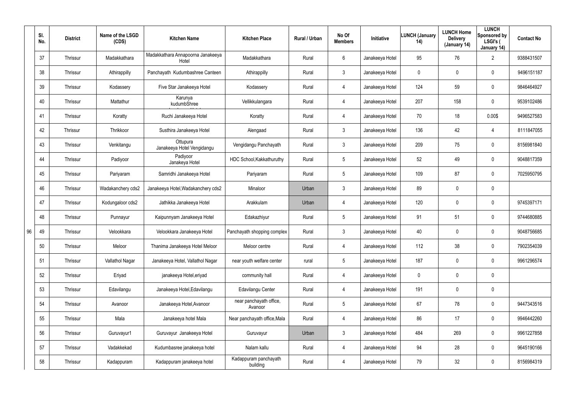|    | SI.<br>No. | <b>District</b> | Name of the LSGD<br>(CDS) | <b>Kitchen Name</b>                        | <b>Kitchen Place</b>               | Rural / Urban | No Of<br><b>Members</b> | <b>Initiative</b> | <b>LUNCH (January</b><br>14) | <b>LUNCH Home</b><br><b>Delivery</b><br>(January 14) | <b>LUNCH</b><br>Sponsored by<br>LSGI's (<br>January 14) | <b>Contact No</b> |
|----|------------|-----------------|---------------------------|--------------------------------------------|------------------------------------|---------------|-------------------------|-------------------|------------------------------|------------------------------------------------------|---------------------------------------------------------|-------------------|
|    | 37         | Thrissur        | Madakkathara              | Madakkathara Annapoorna Janakeeya<br>Hotel | Madakkathara                       | Rural         | $6\phantom{.}$          | Janakeeya Hotel   | 95                           | 76                                                   | $\overline{2}$                                          | 9388431507        |
|    | 38         | Thrissur        | Athirappilly              | Panchayath Kudumbashree Canteen            | Athirappilly                       | Rural         | $\mathbf{3}$            | Janakeeya Hotel   | 0                            | 0                                                    | $\mathbf 0$                                             | 9496151187        |
|    | 39         | Thrissur        | Kodassery                 | Five Star Janakeeya Hotel                  | Kodassery                          | Rural         | $\overline{4}$          | Janakeeya Hotel   | 124                          | 59                                                   | $\mathbf 0$                                             | 9846464927        |
|    | 40         | Thrissur        | Mattathur                 | Karunya<br>kudumbShree                     | Vellikkulangara                    | Rural         | 4                       | Janakeeya Hotel   | 207                          | 158                                                  | $\mathbf 0$                                             | 9539102486        |
|    | 41         | Thrissur        | Koratty                   | Ruchi Janakeeya Hotel                      | Koratty                            | Rural         | $\overline{4}$          | Janakeeya Hotel   | 70                           | 18                                                   | 0.00\$                                                  | 9496527583        |
|    | 42         | Thrissur        | Thrikkoor                 | Susthira Janakeeya Hotel                   | Alengaad                           | Rural         | $\mathbf{3}$            | Janakeeya Hotel   | 136                          | 42                                                   | $\overline{4}$                                          | 8111847055        |
|    | 43         | Thrissur        | Venkitangu                | Ottupura<br>Janakeeya Hotel Vengidangu     | Vengidangu Panchayath              | Rural         | $\mathbf{3}$            | Janakeeya Hotel   | 209                          | 75                                                   | $\mathbf 0$                                             | 8156981840        |
|    | 44         | Thrissur        | Padiyoor                  | Padiyoor<br>Janakeya Hotel                 | HDC School, Kakkathuruthy          | Rural         | $5\phantom{.0}$         | Janakeeya Hotel   | 52                           | 49                                                   | $\mathbf 0$                                             | 9048817359        |
|    | 45         | Thrissur        | Pariyaram                 | Samridhi Janakeeya Hotel                   | Pariyaram                          | Rural         | $5\phantom{.0}$         | Janakeeya Hotel   | 109                          | 87                                                   | $\mathbf 0$                                             | 7025950795        |
|    | 46         | Thrissur        | Wadakanchery cds2         | Janakeeya Hotel, Wadakanchery cds2         | Minaloor                           | Urban         | 3                       | Janakeeya Hotel   | 89                           | 0                                                    | $\mathbf 0$                                             |                   |
|    | 47         | Thrissur        | Kodungaloor cds2          | Jathikka Janakeeya Hotel                   | Arakkulam                          | Urban         | 4                       | Janakeeya Hotel   | 120                          | 0                                                    | $\mathbf 0$                                             | 9745397171        |
|    | 48         | Thrissur        | Punnayur                  | Kaipunnyam Janakeeya Hotel                 | Edakazhiyur                        | Rural         | $5\overline{)}$         | Janakeeya Hotel   | 91                           | 51                                                   | $\mathbf 0$                                             | 9744680885        |
| 96 | 49         | Thrissur        | Velookkara                | Velookkara Janakeeya Hotel                 | Panchayath shopping complex        | Rural         | $\mathbf{3}$            | Janakeeya Hotel   | 40                           | 0                                                    | $\mathbf 0$                                             | 9048756685        |
|    | 50         | Thrissur        | Meloor                    | Thanima Janakeeya Hotel Meloor             | Meloor centre                      | Rural         | 4                       | Janakeeya Hotel   | 112                          | 38                                                   | $\pmb{0}$                                               | 7902354039        |
|    | 51         | Thrissur        | Vallathol Nagar           | Janakeeya Hotel, Vallathol Nagar           | near youth welfare center          | rural         | $5\overline{)}$         | Janakeeya Hotel   | 187                          | 0                                                    | $\pmb{0}$                                               | 9961296574        |
|    | 52         | Thrissur        | Eriyad                    | janakeeya Hotel, eriyad                    | community hall                     | Rural         | 4                       | Janakeeya Hotel   | $\mathbf 0$                  | 0                                                    | $\pmb{0}$                                               |                   |
|    | 53         | Thrissur        | Edavilangu                | Janakeeya Hotel, Edavilangu                | Edavilangu Center                  | Rural         | 4                       | Janakeeya Hotel   | 191                          | 0                                                    | $\pmb{0}$                                               |                   |
|    | 54         | Thrissur        | Avanoor                   | Janakeeya Hotel, Avanoor                   | near panchayath office,<br>Avanoor | Rural         | $5\phantom{.0}$         | Janakeeya Hotel   | 67                           | 78                                                   | $\pmb{0}$                                               | 9447343516        |
|    | 55         | Thrissur        | Mala                      | Janakeeya hotel Mala                       | Near panchayath office, Mala       | Rural         | 4                       | Janakeeya Hotel   | 86                           | 17                                                   | $\boldsymbol{0}$                                        | 9946442260        |
|    | 56         | Thrissur        | Guruvayur1                | Guruvayur Janakeeya Hotel                  | Guruvayur                          | Urban         | $\mathfrak{Z}$          | Janakeeya Hotel   | 484                          | 269                                                  | $\pmb{0}$                                               | 9961227858        |
|    | 57         | Thrissur        | Vadakkekad                | Kudumbasree janakeeya hotel                | Nalam kallu                        | Rural         | 4                       | Janakeeya Hotel   | 94                           | 28                                                   | $\boldsymbol{0}$                                        | 9645190166        |
|    | 58         | Thrissur        | Kadappuram                | Kadappuram janakeeya hotel                 | Kadappuram panchayath<br>building  | Rural         | 4                       | Janakeeya Hotel   | 79                           | 32                                                   | $\pmb{0}$                                               | 8156984319        |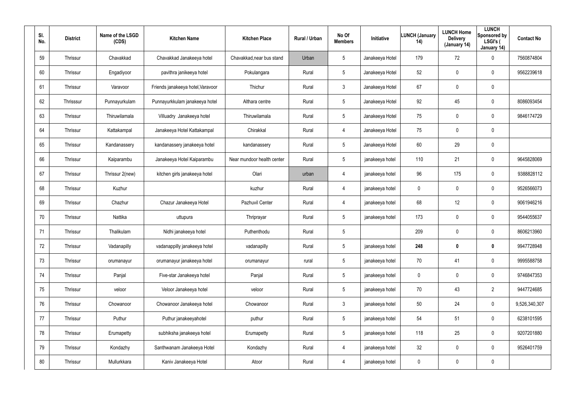| SI.<br>No. | <b>District</b> | Name of the LSGD<br>(CDS) | <b>Kitchen Name</b>               | <b>Kitchen Place</b>       | <b>Rural / Urban</b> | No Of<br><b>Members</b> | <b>Initiative</b> | <b>LUNCH (January</b><br>14) | <b>LUNCH Home</b><br><b>Delivery</b><br>(January 14) | <b>LUNCH</b><br>Sponsored by<br>LSGI's (<br>January 14) | <b>Contact No</b> |
|------------|-----------------|---------------------------|-----------------------------------|----------------------------|----------------------|-------------------------|-------------------|------------------------------|------------------------------------------------------|---------------------------------------------------------|-------------------|
| 59         | Thrissur        | Chavakkad                 | Chavakkad Janakeeya hotel         | Chavakkad, near bus stand  | Urban                | 5                       | Janakeeya Hotel   | 179                          | 72                                                   | 0                                                       | 7560874804        |
| 60         | Thrissur        | Engadiyoor                | pavithra janikeeya hotel          | Pokulangara                | Rural                | 5                       | Janakeeya Hotel   | 52                           | $\mathbf 0$                                          | $\mathbf 0$                                             | 9562239618        |
| 61         | Thrissur        | Varavoor                  | Friends janakeeya hotel, Varavoor | Thichur                    | Rural                | $\mathbf{3}$            | Janakeeya Hotel   | 67                           | $\mathbf 0$                                          | $\mathbf 0$                                             |                   |
| 62         | Thrisssur       | Punnayurkulam             | Punnayurkkulam janakeeya hotel    | Althara centre             | Rural                | 5                       | Janakeeya Hotel   | 92                           | 45                                                   | $\mathbf 0$                                             | 8086093454        |
| 63         | Thrissur        | Thiruwilamala             | Villuadry Janakeeya hotel         | Thiruwilamala              | Rural                | $5\phantom{.0}$         | Janakeeya Hotel   | 75                           | $\mathbf 0$                                          | $\mathbf 0$                                             | 9846174729        |
| 64         | Thrissur        | Kattakampal               | Janakeeya Hotel Kattakampal       | Chirakkal                  | Rural                | 4                       | Janakeeya Hotel   | 75                           | 0                                                    | $\mathbf 0$                                             |                   |
| 65         | Thrissur        | Kandanassery              | kandanassery janakeeya hotel      | kandanassery               | Rural                | 5                       | Janakeeya Hotel   | 60                           | 29                                                   | $\pmb{0}$                                               |                   |
| 66         | Thrissur        | Kaiparambu                | Janakeeya Hotel Kaiparambu        | Near mundoor health center | Rural                | 5                       | janakeeya hotel   | 110                          | 21                                                   | 0                                                       | 9645828069        |
| 67         | Thrissur        | Thrissur 2(new)           | kitchen girls janakeeya hotel     | Olari                      | urban                | 4                       | janakeeya hotel   | 96                           | 175                                                  | 0                                                       | 9388828112        |
| 68         | Thrissur        | Kuzhur                    |                                   | kuzhur                     | Rural                | $\overline{4}$          | janakeeya hotel   | 0                            | $\boldsymbol{0}$                                     | $\mathbf 0$                                             | 9526566073        |
| 69         | Thrissur        | Chazhur                   | Chazur Janakeeya Hotel            | Pazhuvil Center            | Rural                | 4                       | janakeeya hotel   | 68                           | 12                                                   | 0                                                       | 9061946216        |
| 70         | Thrissur        | Nattika                   | uttupura                          | Thriprayar                 | Rural                | 5                       | janakeeya hotel   | 173                          | $\boldsymbol{0}$                                     | $\mathbf 0$                                             | 9544055637        |
| 71         | Thrissur        | Thalikulam                | Nidhi janakeeya hotel             | Puthenthodu                | Rural                | 5                       |                   | 209                          | $\pmb{0}$                                            | $\mathbf 0$                                             | 8606213960        |
| 72         | Thrissur        | Vadanapilly               | vadanappilly janakeeya hotel      | vadanapilly                | Rural                | 5                       | janakeeya hotel   | 248                          | $\pmb{0}$                                            | $\boldsymbol{0}$                                        | 9947728948        |
| 73         | Thrissur        | orumanayur                | orumanayur janakeeya hotel        | orumanayur                 | rural                | $5\phantom{.0}$         | janakeeya hotel   | 70                           | 41                                                   | $\pmb{0}$                                               | 9995588758        |
| 74         | Thrissur        | Panjal                    | Five-star Janakeeya hotel         | Panjal                     | Rural                | 5                       | janakeeya hotel   | $\mathbf 0$                  | $\mathbf 0$                                          | $\pmb{0}$                                               | 9746847353        |
| 75         | Thrissur        | veloor                    | Veloor Janakeeya hotel            | veloor                     | Rural                | $5\phantom{.0}$         | janakeeya hotel   | 70                           | 43                                                   | $\overline{2}$                                          | 9447724685        |
| 76         | Thrissur        | Chowanoor                 | Chowanoor Janakeeya hotel         | Chowanoor                  | Rural                | $\mathfrak{Z}$          | janakeeya hotel   | 50                           | 24                                                   | $\pmb{0}$                                               | 9,526,340,307     |
| 77         | Thrissur        | Puthur                    | Puthur janakeeyahotel             | puthur                     | Rural                | $5\phantom{.0}$         | janakeeya hotel   | 54                           | 51                                                   | $\pmb{0}$                                               | 6238101595        |
| 78         | Thrissur        | Erumapetty                | subhiksha janakeeya hotel         | Erumapetty                 | Rural                | $5\phantom{.0}$         | janakeeya hotel   | 118                          | 25                                                   | $\pmb{0}$                                               | 9207201880        |
| 79         | Thrissur        | Kondazhy                  | Santhwanam Janakeeya Hotel        | Kondazhy                   | Rural                | $\overline{4}$          | janakeeya hotel   | 32                           | $\mathbf 0$                                          | $\pmb{0}$                                               | 9526401759        |
| 80         | Thrissur        | Mullurkkara               | Kaniv Janakeeya Hotel             | Atoor                      | Rural                | $\overline{4}$          | janakeeya hotel   | 0                            | $\boldsymbol{0}$                                     | $\pmb{0}$                                               |                   |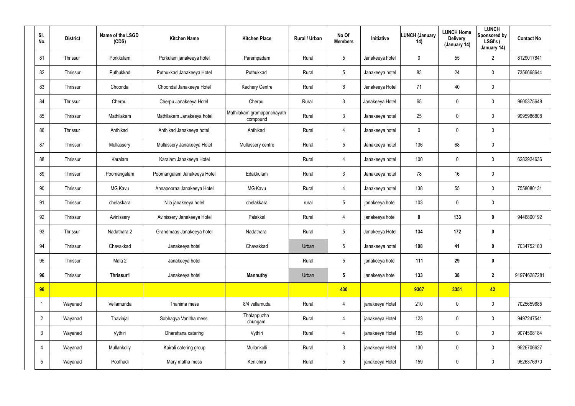| SI.<br>No.      | <b>District</b> | Name of the LSGD<br>(CDS) | <b>Kitchen Name</b>         | <b>Kitchen Place</b>                   | Rural / Urban | No Of<br><b>Members</b> | Initiative      | <b>LUNCH (January</b><br>14) | <b>LUNCH Home</b><br><b>Delivery</b><br>(January 14) | <b>LUNCH</b><br>Sponsored by<br>LSGI's (<br>January 14) | <b>Contact No</b> |
|-----------------|-----------------|---------------------------|-----------------------------|----------------------------------------|---------------|-------------------------|-----------------|------------------------------|------------------------------------------------------|---------------------------------------------------------|-------------------|
| 81              | Thrissur        | Porkkulam                 | Porkulam janakeeya hotel    | Parempadam                             | Rural         | $5\phantom{.0}$         | Janakeeya hotel | $\mathbf 0$                  | 55                                                   | $\overline{2}$                                          | 8129017841        |
| 82              | Thrissur        | Puthukkad                 | Puthukkad Janakeeya Hotel   | Puthukkad                              | Rural         | $5\overline{)}$         | Janakeeya hotel | 83                           | 24                                                   | $\mathbf 0$                                             | 7356668644        |
| 83              | Thrissur        | Choondal                  | Choondal Janakeeya Hotel    | <b>Kechery Centre</b>                  | Rural         | 8                       | Janakeeya Hotel | 71                           | 40                                                   | $\mathbf 0$                                             |                   |
| 84              | Thrissur        | Cherpu                    | Cherpu Janakeeya Hotel      | Cherpu                                 | Rural         | $\mathbf{3}$            | Janakeeya Hotel | 65                           | 0                                                    | $\mathbf 0$                                             | 9605375648        |
| 85              | Thrissur        | Mathilakam                | Mathilakam Janakeeya hotel  | Mathilakam gramapanchayath<br>compound | Rural         | $\mathbf{3}$            | Janakeeya hotel | 25                           | 0                                                    | $\mathbf 0$                                             | 9995986808        |
| 86              | Thrissur        | Anthikad                  | Anthikad Janakeeya hotel    | Anthikad                               | Rural         | $\overline{4}$          | Janakeeya hotel | 0                            | 0                                                    | $\mathbf 0$                                             |                   |
| 87              | Thrissur        | Mullassery                | Mullassery Janakeeya Hotel  | Mullassery centre                      | Rural         | $5\overline{)}$         | Janakeeya hotel | 136                          | 68                                                   | $\pmb{0}$                                               |                   |
| 88              | Thrissur        | Karalam                   | Karalam Janakeeya Hotel     |                                        | Rural         | 4                       | Janakeeya hotel | 100                          | 0                                                    | $\mathbf 0$                                             | 6282924636        |
| 89              | Thrissur        | Poomangalam               | Poomangalam Janakeeya Hotel | Edakkulam                              | Rural         | $\mathbf{3}$            | Janakeeya hotel | 78                           | 16                                                   | $\mathbf 0$                                             |                   |
| 90              | Thrissur        | <b>MG Kavu</b>            | Annapoorna Janakeeya Hotel  | MG Kavu                                | Rural         | 4                       | Janakeeya hotel | 138                          | 55                                                   | $\mathbf 0$                                             | 7558080131        |
| 91              | Thrissur        | chelakkara                | Nila janakeeya hotel        | chelakkara                             | rural         | $5\overline{)}$         | janakeeya hotel | 103                          | 0                                                    | $\mathbf 0$                                             |                   |
| 92              | Thrissur        | Avinissery                | Avinissery Janakeeya Hotel  | Palakkal                               | Rural         | 4                       | janakeeya hotel | $\mathbf 0$                  | 133                                                  | $\mathbf 0$                                             | 9446800192        |
| 93              | Thrissur        | Nadathara 2               | Grandmaas Janakeeya hotel   | Nadathara                              | Rural         | $5\phantom{.0}$         | Janakeeya Hotel | 134                          | 172                                                  | $\bm{0}$                                                |                   |
| 94              | Thrissur        | Chavakkad                 | Janakeeya hotel             | Chavakkad                              | Urban         | $5\phantom{.0}$         | Janakeeya hotel | 198                          | 41                                                   | $\bm{0}$                                                | 7034752180        |
| 95              | Thrissur        | Mala 2                    | Janakeeya hotel             |                                        | Rural         | $5\phantom{.0}$         | janakeeya hotel | 111                          | 29                                                   | $\mathbf 0$                                             |                   |
| 96              | Thrissur        | Thrissur1                 | Janakeeya hotel             | <b>Mannuthy</b>                        | Urban         | $5\phantom{.0}$         | janakeeya hotel | 133                          | 38                                                   | $\overline{2}$                                          | 919746287281      |
| 96              |                 |                           |                             |                                        |               | 430                     |                 | 9367                         | 3351                                                 | 42                                                      |                   |
|                 | Wayanad         | Vellamunda                | Thanima mess                | 8/4 vellamuda                          | Rural         | $\overline{4}$          | janakeeya Hotel | 210                          | 0                                                    | $\pmb{0}$                                               | 7025659685        |
| $\overline{2}$  | Wayanad         | Thavinjal                 | Sobhagya Vanitha mess       | Thalappuzha<br>chungam                 | Rural         | $\overline{4}$          | janakeeya Hotel | 123                          | 0                                                    | $\mathbf 0$                                             | 9497247541        |
| $\mathbf{3}$    | Wayanad         | Vythiri                   | Dharshana catering          | Vythiri                                | Rural         | $\overline{4}$          | janakeeya Hotel | 185                          | 0                                                    | $\pmb{0}$                                               | 9074598184        |
| 4               | Wayanad         | Mullankolly               | Kairali catering group      | Mullankolli                            | Rural         | $\mathbf{3}$            | janakeeya Hotel | 130                          | 0                                                    | $\mathbf 0$                                             | 9526706627        |
| $5\overline{)}$ | Wayanad         | Poothadi                  | Mary matha mess             | Kenichira                              | Rural         | $5\phantom{.0}$         | janakeeya Hotel | 159                          | 0                                                    | $\pmb{0}$                                               | 9526376970        |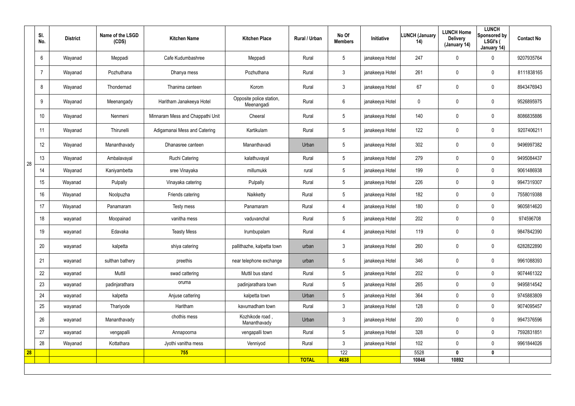|    | SI.<br>No. | <b>District</b> | Name of the LSGD<br>(CDS) | <b>Kitchen Name</b>              | <b>Kitchen Place</b>                   | Rural / Urban | No Of<br><b>Members</b> | Initiative      | <b>LUNCH (January</b><br>14) | <b>LUNCH Home</b><br><b>Delivery</b><br>(January 14) | <b>LUNCH</b><br>Sponsored by<br>LSGI's (<br>January 14) | <b>Contact No</b> |
|----|------------|-----------------|---------------------------|----------------------------------|----------------------------------------|---------------|-------------------------|-----------------|------------------------------|------------------------------------------------------|---------------------------------------------------------|-------------------|
|    | 6          | Wayanad         | Meppadi                   | Cafe Kudumbashree                | Meppadi                                | Rural         | $5\,$                   | janakeeya Hotel | 247                          | $\mathbf 0$                                          | $\mathbf 0$                                             | 9207935764        |
|    |            | Wayanad         | Pozhuthana                | Dhanya mess                      | Pozhuthana                             | Rural         | $\mathbf{3}$            | janakeeya Hotel | 261                          | 0                                                    | $\pmb{0}$                                               | 8111838165        |
|    | 8          | Wayanad         | Thondernad                | Thanima canteen                  | Korom                                  | Rural         | $\mathbf{3}$            | janakeeya Hotel | 67                           | 0                                                    | $\pmb{0}$                                               | 8943476943        |
|    | 9          | Wayanad         | Meenangady                | Haritham Janakeeya Hotel         | Opposite police station,<br>Meenangadi | Rural         | $6\phantom{.}6$         | janakeeya Hotel | 0                            | 0                                                    | $\pmb{0}$                                               | 9526895975        |
|    | 10         | Wayanad         | Nenmeni                   | Minnaram Mess and Chappathi Unit | Cheeral                                | Rural         | $5\phantom{.0}$         | janakeeya Hotel | 140                          | 0                                                    | $\mathbf 0$                                             | 8086835886        |
|    | 11         | Wayanad         | Thirunelli                | Adigamanai Mess and Catering     | Kartikulam                             | Rural         | $5\phantom{.0}$         | janakeeya Hotel | 122                          | 0                                                    | $\mathbf 0$                                             | 9207406211        |
|    | 12         | Wayanad         | Mananthavady              | Dhanasree canteen                | Mananthavadi                           | Urban         | $5\phantom{.0}$         | janakeeya Hotel | 302                          | 0                                                    | $\mathbf 0$                                             | 9496997382        |
| 28 | 13         | Wayanad         | Ambalavayal               | <b>Ruchi Catering</b>            | kalathuvayal                           | Rural         | $5\phantom{.0}$         | janakeeya Hotel | 279                          | 0                                                    | $\mathbf 0$                                             | 9495084437        |
|    | 14         | Wayanad         | Kaniyambetta              | sree Vinayaka                    | millumukk                              | rural         | $5\phantom{.0}$         | janakeeya Hotel | 199                          | 0                                                    | $\mathbf 0$                                             | 9061486938        |
|    | 15         | Wayanad         | Pulpally                  | Vinayaka catering                | Pulpally                               | Rural         | $5\overline{)}$         | janakeeya Hotel | 226                          | 0                                                    | $\boldsymbol{0}$                                        | 9947319307        |
|    | 16         | Wayanad         | Noolpuzha                 | Friends catering                 | Naikketty                              | Rural         | $5\phantom{.0}$         | janakeeya Hotel | 182                          | 0                                                    | $\mathbf 0$                                             | 7558019388        |
|    | 17         | Wayanad         | Panamaram                 | Testy mess                       | Panamaram                              | Rural         | 4                       | janakeeya Hotel | 180                          | 0                                                    | $\mathbf 0$                                             | 9605814620        |
|    | 18         | wayanad         | Moopainad                 | vanitha mess                     | vaduvanchal                            | Rural         | $5\phantom{.0}$         | janakeeya Hotel | 202                          | 0                                                    | $\mathbf 0$                                             | 974596708         |
|    | 19         | wayanad         | Edavaka                   | <b>Teasty Mess</b>               | Irumbupalam                            | Rural         | 4                       | janakeeya Hotel | 119                          | 0                                                    | $\mathbf 0$                                             | 9847842390        |
|    | 20         | wayanad         | kalpetta                  | shiya catering                   | pallithazhe, kalpetta town             | urban         | 3                       | janakeeya Hotel | 260                          | 0                                                    | $\mathbf 0$                                             | 6282822890        |
|    | 21         | wayanad         | sulthan bathery           | preethis                         | near telephone exchange                | urban         | $5\phantom{.0}$         | janakeeya Hotel | 346                          | 0                                                    | $\mathbf 0$                                             | 9961088393        |
|    | 22         | wayanad         | Muttil                    | swad cattering                   | Muttil bus stand                       | Rural         | $5\overline{)}$         | janakeeya Hotel | 202                          | 0                                                    | $\mathbf 0$                                             | 9074461322        |
|    | 23         | wayanad         | padinjarathara            | oruma                            | padinjarathara town                    | Rural         | $5\overline{)}$         | janakeeya Hotel | 265                          | 0                                                    | $\mathbf 0$                                             | 9495814542        |
|    | 24         | wayanad         | kalpetta                  | Anjuse cattering                 | kalpetta town                          | Urban         | $5\phantom{.0}$         | janakeeya Hotel | 364                          | 0                                                    | $\mathbf 0$                                             | 9745883809        |
|    | 25         | wayanad         | Thariyode                 | Haritham                         | kavumadham town                        | Rural         | $\mathfrak{Z}$          | janakeeya Hotel | 128                          | 0                                                    | $\mathbf 0$                                             | 9074095457        |
|    | 26         | wayanad         | Mananthavady              | chothis mess                     | Kozhikode road,<br>Mananthavady        | Urban         | $\mathbf{3}$            | janakeeya Hotel | 200                          | 0                                                    | $\mathbf 0$                                             | 9947376596        |
|    | 27         | wayanad         | vengapalli                | Annapoorna                       | vengapalli town                        | Rural         | $5\overline{)}$         | janakeeya Hotel | 328                          | 0                                                    | $\mathbf 0$                                             | 7592831851        |
|    | 28         | Wayanad         | Kottathara                | Jyothi vanitha mess              | Venniyod                               | Rural         | 3 <sup>1</sup>          | janakeeya Hotel | 102                          | 0                                                    | $\mathbf 0$                                             | 9961844026        |
| 28 |            |                 |                           | 755                              |                                        |               | 122                     |                 | 5528                         | $\boldsymbol{0}$                                     | $\mathbf 0$                                             |                   |
|    |            |                 |                           |                                  |                                        | <b>TOTAL</b>  | 4638                    |                 | 10846                        | 10892                                                |                                                         |                   |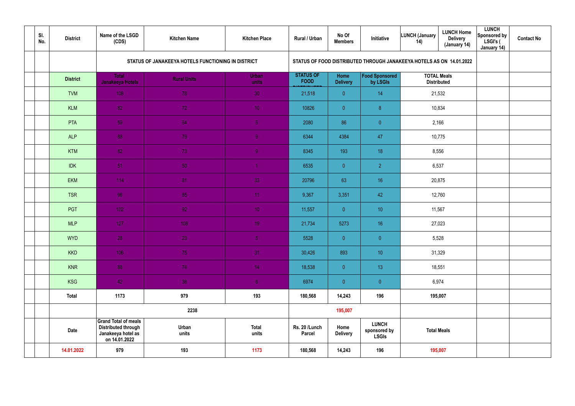| SI.<br>No. | <b>District</b> | Name of the LSGD<br>(CDS)                                                                        | <b>Kitchen Name</b>                                | <b>Kitchen Place</b>  | Rural / Urban                   | No Of<br><b>Members</b> | Initiative                                                           | <b>LUNCH (January</b><br>14) | <b>LUNCH Home</b><br><b>Delivery</b><br>(January 14) | <b>LUNCH</b><br>Sponsored by<br>LSGI's (<br>January 14) | <b>Contact No</b> |
|------------|-----------------|--------------------------------------------------------------------------------------------------|----------------------------------------------------|-----------------------|---------------------------------|-------------------------|----------------------------------------------------------------------|------------------------------|------------------------------------------------------|---------------------------------------------------------|-------------------|
|            |                 |                                                                                                  | STATUS OF JANAKEEYA HOTELS FUNCTIONING IN DISTRICT |                       |                                 |                         | STATUS OF FOOD DISTRIBUTED THROUGH JANAKEEYA HOTELS AS ON 14.01.2022 |                              |                                                      |                                                         |                   |
|            | <b>District</b> | <b>Total</b><br>Janakeeya Hotels                                                                 | <b>Rural Units</b>                                 | Urban<br>units        | <b>STATUS OF</b><br><b>FOOD</b> | Home<br><b>Delivery</b> | Food Sponsored<br>by LSGIs                                           | <b>TOTAL Meals</b>           | <b>Distributed</b>                                   |                                                         |                   |
|            | <b>TVM</b>      | 108                                                                                              | 78                                                 | 30                    | 21,518                          | $\overline{0}$          | 14                                                                   | 21,532                       |                                                      |                                                         |                   |
|            | <b>KLM</b>      | 82                                                                                               | 72                                                 | 10 <sup>°</sup>       | 10826                           | $\overline{0}$          | 8 <sup>°</sup>                                                       |                              | 10,834                                               |                                                         |                   |
|            | PTA             | 59                                                                                               | 54                                                 | 5 <sub>1</sub>        | 2080                            | 86                      | $\overline{0}$                                                       | 2,166                        |                                                      |                                                         |                   |
|            | <b>ALP</b>      | 88                                                                                               | 79                                                 | 9 <sup>°</sup>        | 6344                            | 4384                    | 47                                                                   | 10,775                       |                                                      |                                                         |                   |
|            | <b>KTM</b>      | 82                                                                                               | 73                                                 | 9 <sup>°</sup>        | 8345                            | 193                     | 18                                                                   | 8,556                        |                                                      |                                                         |                   |
|            | <b>IDK</b>      | 51                                                                                               | 50                                                 |                       | 6535                            | $\overline{0}$          | $\overline{2}$                                                       | 6,537                        |                                                      |                                                         |                   |
|            | EKM             | 114                                                                                              | 81                                                 | 33                    | 20796                           | 63                      | 16                                                                   |                              | 20,875                                               |                                                         |                   |
|            | <b>TSR</b>      | 96                                                                                               | 85                                                 | 11                    | 9,367                           | 3,351                   | 42                                                                   |                              | 12,760                                               |                                                         |                   |
|            | PGT             | 102                                                                                              | 92 <sub>1</sub>                                    | 10 <sup>°</sup>       | 11,557                          | $\overline{0}$          | 10                                                                   | 11,567                       |                                                      |                                                         |                   |
|            | <b>MLP</b>      | 127                                                                                              | 108                                                | 19 <sup>°</sup>       | 21,734                          | 5273                    | 16                                                                   | 27,023                       |                                                      |                                                         |                   |
|            | <b>WYD</b>      | 28                                                                                               | 23                                                 | 5 <sub>1</sub>        | 5528                            | $\overline{0}$          | $\overline{0}$                                                       | 5,528                        |                                                      |                                                         |                   |
|            | <b>KKD</b>      | 106                                                                                              | 75                                                 | 31                    | 30,426                          | 893                     | 10                                                                   | 31,329                       |                                                      |                                                         |                   |
|            | <b>KNR</b>      | 88                                                                                               | 74                                                 | 14 <sup>°</sup>       | 18,538                          | $\overline{0}$          | 13                                                                   |                              | 18,551                                               |                                                         |                   |
|            | <b>KSG</b>      | 42                                                                                               | 36                                                 | 6 <sup>1</sup>        | 6974                            | $\overline{0}$          | $\pmb{0}$                                                            | 6,974                        |                                                      |                                                         |                   |
|            | <b>Total</b>    | 1173                                                                                             | 979                                                | 193                   | 180,568                         | 14,243                  | 196                                                                  | 195,007                      |                                                      |                                                         |                   |
|            |                 |                                                                                                  | 2238                                               |                       |                                 | 195,007                 |                                                                      |                              |                                                      |                                                         |                   |
|            | <b>Date</b>     | <b>Grand Total of meals</b><br><b>Distributed through</b><br>Janakeeya hotel as<br>on 14.01.2022 | Urban<br>units                                     | <b>Total</b><br>units | Rs. 20 /Lunch<br>Parcel         | Home<br><b>Delivery</b> | <b>LUNCH</b><br>sponsored by<br><b>LSGIs</b>                         | <b>Total Meals</b>           |                                                      |                                                         |                   |
|            | 14.01.2022      | 979                                                                                              | 193                                                | 1173                  | 180,568                         | 14,243                  | 196                                                                  | 195,007                      |                                                      |                                                         |                   |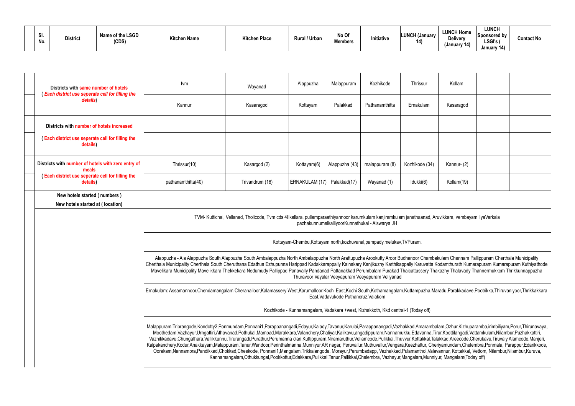| .וט<br>No. | <b>District</b> | Name of the LSGD<br>(CDS) | <b>Kitchen Name</b> | Kitchen Place | <sup>1</sup> /Urban<br>Rural / | No Of<br><b>Members</b> | Initiative | <b>LUNCH (January</b><br>14) | <b>LUNCH Home</b><br><b>Delivery</b><br>(January 1 $\prime$ | <b>LUNCH</b><br><b>Sponsored by</b><br>LSGI's<br>January 14) | <b>Contact No</b> |
|------------|-----------------|---------------------------|---------------------|---------------|--------------------------------|-------------------------|------------|------------------------------|-------------------------------------------------------------|--------------------------------------------------------------|-------------------|
|------------|-----------------|---------------------------|---------------------|---------------|--------------------------------|-------------------------|------------|------------------------------|-------------------------------------------------------------|--------------------------------------------------------------|-------------------|

|                                                                                                                                                                                                                                                                                                                                                                                                                                                                                                                                                                                                                                                                                                                                                                                                                                                                                                                                                                                                                                                                                                                                          | Districts with same number of hotels                               | tvm                                                                                                                                                                                                                                                                                                                                                                                                                                                                                                                                                                        | Wayanad         | Alappuzha                                                                        | Malappuram     | Kozhikode                                         | Thrissur       | Kollam     |  |  |  |  |  |  |
|------------------------------------------------------------------------------------------------------------------------------------------------------------------------------------------------------------------------------------------------------------------------------------------------------------------------------------------------------------------------------------------------------------------------------------------------------------------------------------------------------------------------------------------------------------------------------------------------------------------------------------------------------------------------------------------------------------------------------------------------------------------------------------------------------------------------------------------------------------------------------------------------------------------------------------------------------------------------------------------------------------------------------------------------------------------------------------------------------------------------------------------|--------------------------------------------------------------------|----------------------------------------------------------------------------------------------------------------------------------------------------------------------------------------------------------------------------------------------------------------------------------------------------------------------------------------------------------------------------------------------------------------------------------------------------------------------------------------------------------------------------------------------------------------------------|-----------------|----------------------------------------------------------------------------------|----------------|---------------------------------------------------|----------------|------------|--|--|--|--|--|--|
|                                                                                                                                                                                                                                                                                                                                                                                                                                                                                                                                                                                                                                                                                                                                                                                                                                                                                                                                                                                                                                                                                                                                          | <b>Each district use seperate cell for filling the</b><br>details) | Kannur                                                                                                                                                                                                                                                                                                                                                                                                                                                                                                                                                                     | Kasaragod       | Kottayam                                                                         | Palakkad       | Pathanamthitta                                    | Ernakulam      | Kasaragod  |  |  |  |  |  |  |
|                                                                                                                                                                                                                                                                                                                                                                                                                                                                                                                                                                                                                                                                                                                                                                                                                                                                                                                                                                                                                                                                                                                                          | Districts with number of hotels increased                          |                                                                                                                                                                                                                                                                                                                                                                                                                                                                                                                                                                            |                 |                                                                                  |                |                                                   |                |            |  |  |  |  |  |  |
|                                                                                                                                                                                                                                                                                                                                                                                                                                                                                                                                                                                                                                                                                                                                                                                                                                                                                                                                                                                                                                                                                                                                          | Each district use seperate cell for filling the<br>details)        |                                                                                                                                                                                                                                                                                                                                                                                                                                                                                                                                                                            |                 |                                                                                  |                |                                                   |                |            |  |  |  |  |  |  |
|                                                                                                                                                                                                                                                                                                                                                                                                                                                                                                                                                                                                                                                                                                                                                                                                                                                                                                                                                                                                                                                                                                                                          | Districts with number of hotels with zero entry of<br>meals        | Thrissur(10)                                                                                                                                                                                                                                                                                                                                                                                                                                                                                                                                                               | Kasargod (2)    | Kottayam(6)                                                                      | Alappuzha (43) | malappuram (8)                                    | Kozhikode (04) | Kannur-(2) |  |  |  |  |  |  |
|                                                                                                                                                                                                                                                                                                                                                                                                                                                                                                                                                                                                                                                                                                                                                                                                                                                                                                                                                                                                                                                                                                                                          | <b>Each district use seperate cell for filling the</b><br>details) | pathanamthitta(40)                                                                                                                                                                                                                                                                                                                                                                                                                                                                                                                                                         | Trivandrum (16) | ERNAKULAM (17)   Palakkad(17)                                                    |                | Wayanad (1)                                       | Idukki(6)      | Kollam(19) |  |  |  |  |  |  |
|                                                                                                                                                                                                                                                                                                                                                                                                                                                                                                                                                                                                                                                                                                                                                                                                                                                                                                                                                                                                                                                                                                                                          | New hotels started (numbers)                                       |                                                                                                                                                                                                                                                                                                                                                                                                                                                                                                                                                                            |                 |                                                                                  |                |                                                   |                |            |  |  |  |  |  |  |
|                                                                                                                                                                                                                                                                                                                                                                                                                                                                                                                                                                                                                                                                                                                                                                                                                                                                                                                                                                                                                                                                                                                                          | New hotels started at (location)                                   |                                                                                                                                                                                                                                                                                                                                                                                                                                                                                                                                                                            |                 |                                                                                  |                |                                                   |                |            |  |  |  |  |  |  |
|                                                                                                                                                                                                                                                                                                                                                                                                                                                                                                                                                                                                                                                                                                                                                                                                                                                                                                                                                                                                                                                                                                                                          |                                                                    | TVM- Kuttichal, Vellanad, Tholicode, Tvm cds 4IIkallara, pullamparaathiyannoor karumkulam kanjiramkulam janathaanad, Aruvikkara, vembayam liyaVarkala<br>pazhakunnumelkalliyoorKunnathukal - Aiswarya JH                                                                                                                                                                                                                                                                                                                                                                   |                 |                                                                                  |                |                                                   |                |            |  |  |  |  |  |  |
|                                                                                                                                                                                                                                                                                                                                                                                                                                                                                                                                                                                                                                                                                                                                                                                                                                                                                                                                                                                                                                                                                                                                          |                                                                    | Kottayam-Chembu, Kottayam north, kozhuvanal, pampady, melukav, TVPuram,                                                                                                                                                                                                                                                                                                                                                                                                                                                                                                    |                 |                                                                                  |                |                                                   |                |            |  |  |  |  |  |  |
|                                                                                                                                                                                                                                                                                                                                                                                                                                                                                                                                                                                                                                                                                                                                                                                                                                                                                                                                                                                                                                                                                                                                          |                                                                    | Alappuzha - Ala Alappuzha South Alappuzha South Ambalappuzha North Ambalappuzha North Arattupuzha Arookutty Aroor Budhanoor Chambakulam Chennam Pallippuram Cherthala Municipality<br>Cherthala Municipality Cherthala South Cheruthana Edathua Ezhupunna Harippad Kadakkarappally Kainakary Kanjikuzhy Karthikappally Karuvatta Kodamthurath Kumarapuram Kumarapuram Kuthiyathode<br>Mavelikara Municipality Mavelikkara Thekkekara Nedumudy Pallippad Panavally Pandanad Pattanakkad Perumbalam Purakad Thaicattussery Thakazhy Thalavady Thannermukkom Thrikkunnappuzha |                 |                                                                                  |                | Thuravoor Vayalar Veeyapuram Veeyapuram Veliyanad |                |            |  |  |  |  |  |  |
| Ernakulam: Assamannoor,Chendamangalam,Cheranalloor,Kalamassery West,Karumalloor,Kochi East,Kochi South,Kothamangalam,Kuttampuzha,Maradu,Parakkadave,Pootrikka,Thiruvaniyoor,Thrikkakkara<br>East, Vadavukode Puthancruz, Valakom                                                                                                                                                                                                                                                                                                                                                                                                                                                                                                                                                                                                                                                                                                                                                                                                                                                                                                         |                                                                    |                                                                                                                                                                                                                                                                                                                                                                                                                                                                                                                                                                            |                 |                                                                                  |                |                                                   |                |            |  |  |  |  |  |  |
|                                                                                                                                                                                                                                                                                                                                                                                                                                                                                                                                                                                                                                                                                                                                                                                                                                                                                                                                                                                                                                                                                                                                          |                                                                    |                                                                                                                                                                                                                                                                                                                                                                                                                                                                                                                                                                            |                 | Kozhikode - Kunnamangalam, Vadakara +west, Kizhakkoth, Kkd central-1 (Today off) |                |                                                   |                |            |  |  |  |  |  |  |
| Malappuram:Triprangode,Kondotty2,Ponmundam,Ponnani1,Parappanangadi,Edayur,Kalady,Tavanur,Karulai,Parappanangadi,Vazhakkad,Amarambalam,Ozhur,Kizhuparamba,irimbiliyam,Porur,Thirunavaya,<br>Moothedam, Vazhayur, Urngattiri, Athavanad, Pothukal, Mampad, Marakkara, Valanchery, Chaliyar, Kalikavu, angadippuram, Nannamukku, Edavanna, Tirur, Koottilangadi, Vattamkulam, Nilambur, Puzhakkattiri,<br>Vazhikkadavu,Chungathara,Vallikkunnu,Tirurangadi,Purathur,Perumanna clari,Kuttippuram,Niramaruthur,Veliamcode,Pulikkal,Thuvvur,Kottakkal,Talakkad,Areecode,Cherukavu,Tiruvaly,Alamcode,Manjeri,<br>Kalpakanchery,Kodur,Anakkayam,Malappuram,Tanur,Wandoor,Perinthalmanna,Munniyur,AR nagar, Peruvallur,Muthuvallur,Vengara,Keezhattur, Cheriyamundam,Chelembra,Ponmala, Parappur,Edarikkode,<br>Oorakam,Nannambra,Pandikkad,Chokkad,Cheekode, Ponnani1,Mangalam,Trikkalangode, Morayur,Perumbadapp, Vazhakkad,Pulamanthol,Valavannur, Kottakkal, Vettom, Nilambur,Nilambur,Kuruva,<br>Kannamangalam, Othukkungal, Pookkottur, Edakkara, Pulikkal, Tanur, Pallikkal, Chelembra, Vazhayur, Mangalam, Munniyur, Mangalam (Today off) |                                                                    |                                                                                                                                                                                                                                                                                                                                                                                                                                                                                                                                                                            |                 |                                                                                  |                |                                                   |                |            |  |  |  |  |  |  |